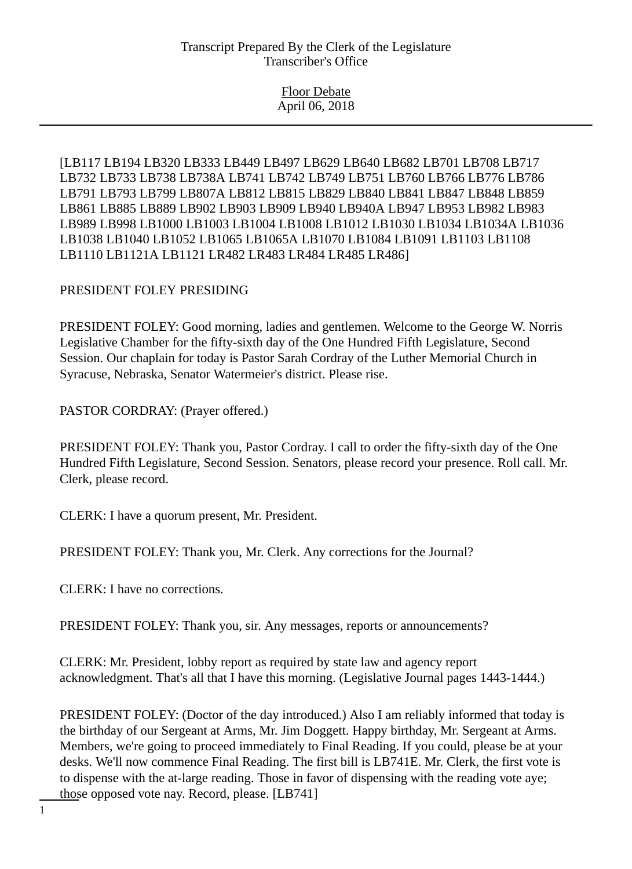Floor Debate April 06, 2018

[LB117 LB194 LB320 LB333 LB449 LB497 LB629 LB640 LB682 LB701 LB708 LB717 LB732 LB733 LB738 LB738A LB741 LB742 LB749 LB751 LB760 LB766 LB776 LB786 LB791 LB793 LB799 LB807A LB812 LB815 LB829 LB840 LB841 LB847 LB848 LB859 LB861 LB885 LB889 LB902 LB903 LB909 LB940 LB940A LB947 LB953 LB982 LB983 LB989 LB998 LB1000 LB1003 LB1004 LB1008 LB1012 LB1030 LB1034 LB1034A LB1036 LB1038 LB1040 LB1052 LB1065 LB1065A LB1070 LB1084 LB1091 LB1103 LB1108 LB1110 LB1121A LB1121 LR482 LR483 LR484 LR485 LR486]

## PRESIDENT FOLEY PRESIDING

PRESIDENT FOLEY: Good morning, ladies and gentlemen. Welcome to the George W. Norris Legislative Chamber for the fifty-sixth day of the One Hundred Fifth Legislature, Second Session. Our chaplain for today is Pastor Sarah Cordray of the Luther Memorial Church in Syracuse, Nebraska, Senator Watermeier's district. Please rise.

PASTOR CORDRAY: (Prayer offered.)

PRESIDENT FOLEY: Thank you, Pastor Cordray. I call to order the fifty-sixth day of the One Hundred Fifth Legislature, Second Session. Senators, please record your presence. Roll call. Mr. Clerk, please record.

CLERK: I have a quorum present, Mr. President.

PRESIDENT FOLEY: Thank you, Mr. Clerk. Any corrections for the Journal?

CLERK: I have no corrections.

PRESIDENT FOLEY: Thank you, sir. Any messages, reports or announcements?

CLERK: Mr. President, lobby report as required by state law and agency report acknowledgment. That's all that I have this morning. (Legislative Journal pages 1443-1444.)

PRESIDENT FOLEY: (Doctor of the day introduced.) Also I am reliably informed that today is the birthday of our Sergeant at Arms, Mr. Jim Doggett. Happy birthday, Mr. Sergeant at Arms. Members, we're going to proceed immediately to Final Reading. If you could, please be at your desks. We'll now commence Final Reading. The first bill is LB741E. Mr. Clerk, the first vote is to dispense with the at-large reading. Those in favor of dispensing with the reading vote aye; those opposed vote nay. Record, please. [LB741]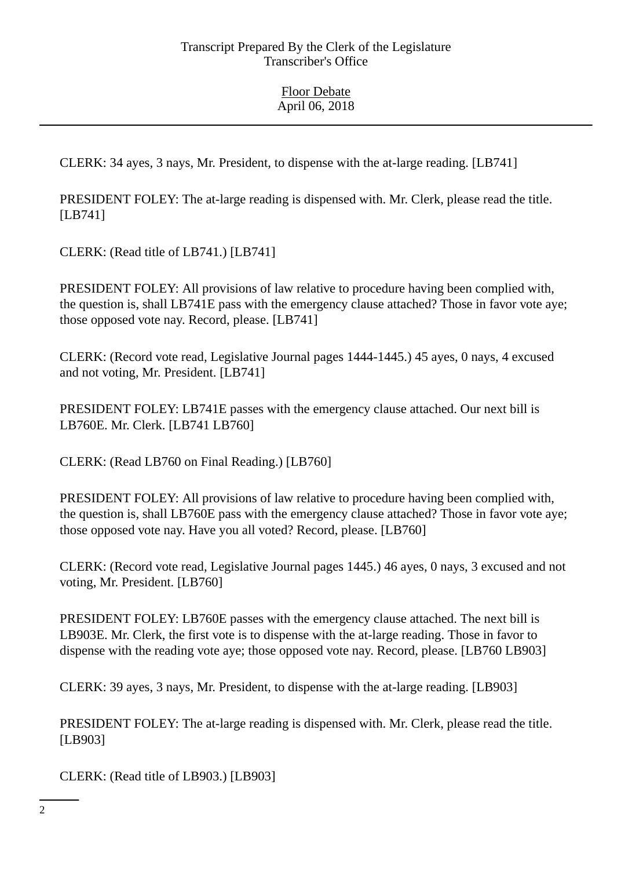CLERK: 34 ayes, 3 nays, Mr. President, to dispense with the at-large reading. [LB741]

PRESIDENT FOLEY: The at-large reading is dispensed with. Mr. Clerk, please read the title. [LB741]

CLERK: (Read title of LB741.) [LB741]

PRESIDENT FOLEY: All provisions of law relative to procedure having been complied with, the question is, shall LB741E pass with the emergency clause attached? Those in favor vote aye; those opposed vote nay. Record, please. [LB741]

CLERK: (Record vote read, Legislative Journal pages 1444-1445.) 45 ayes, 0 nays, 4 excused and not voting, Mr. President. [LB741]

PRESIDENT FOLEY: LB741E passes with the emergency clause attached. Our next bill is LB760E. Mr. Clerk. [LB741 LB760]

CLERK: (Read LB760 on Final Reading.) [LB760]

PRESIDENT FOLEY: All provisions of law relative to procedure having been complied with, the question is, shall LB760E pass with the emergency clause attached? Those in favor vote aye; those opposed vote nay. Have you all voted? Record, please. [LB760]

CLERK: (Record vote read, Legislative Journal pages 1445.) 46 ayes, 0 nays, 3 excused and not voting, Mr. President. [LB760]

PRESIDENT FOLEY: LB760E passes with the emergency clause attached. The next bill is LB903E. Mr. Clerk, the first vote is to dispense with the at-large reading. Those in favor to dispense with the reading vote aye; those opposed vote nay. Record, please. [LB760 LB903]

CLERK: 39 ayes, 3 nays, Mr. President, to dispense with the at-large reading. [LB903]

PRESIDENT FOLEY: The at-large reading is dispensed with. Mr. Clerk, please read the title. [LB903]

CLERK: (Read title of LB903.) [LB903]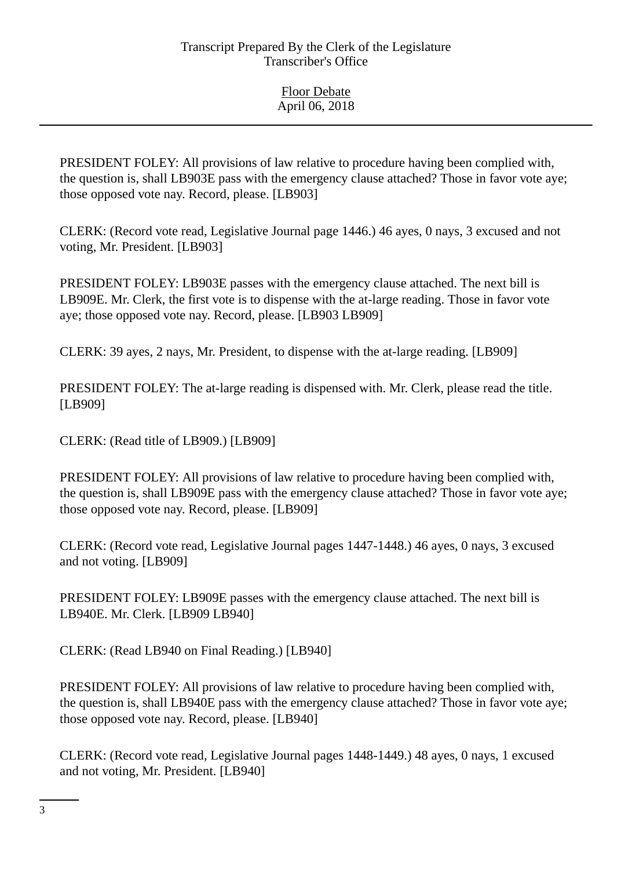PRESIDENT FOLEY: All provisions of law relative to procedure having been complied with, the question is, shall LB903E pass with the emergency clause attached? Those in favor vote aye; those opposed vote nay. Record, please. [LB903]

CLERK: (Record vote read, Legislative Journal page 1446.) 46 ayes, 0 nays, 3 excused and not voting, Mr. President. [LB903]

PRESIDENT FOLEY: LB903E passes with the emergency clause attached. The next bill is LB909E. Mr. Clerk, the first vote is to dispense with the at-large reading. Those in favor vote aye; those opposed vote nay. Record, please. [LB903 LB909]

CLERK: 39 ayes, 2 nays, Mr. President, to dispense with the at-large reading. [LB909]

PRESIDENT FOLEY: The at-large reading is dispensed with. Mr. Clerk, please read the title. [LB909]

CLERK: (Read title of LB909.) [LB909]

PRESIDENT FOLEY: All provisions of law relative to procedure having been complied with, the question is, shall LB909E pass with the emergency clause attached? Those in favor vote aye; those opposed vote nay. Record, please. [LB909]

CLERK: (Record vote read, Legislative Journal pages 1447-1448.) 46 ayes, 0 nays, 3 excused and not voting. [LB909]

PRESIDENT FOLEY: LB909E passes with the emergency clause attached. The next bill is LB940E. Mr. Clerk. [LB909 LB940]

CLERK: (Read LB940 on Final Reading.) [LB940]

PRESIDENT FOLEY: All provisions of law relative to procedure having been complied with, the question is, shall LB940E pass with the emergency clause attached? Those in favor vote aye; those opposed vote nay. Record, please. [LB940]

CLERK: (Record vote read, Legislative Journal pages 1448-1449.) 48 ayes, 0 nays, 1 excused and not voting, Mr. President. [LB940]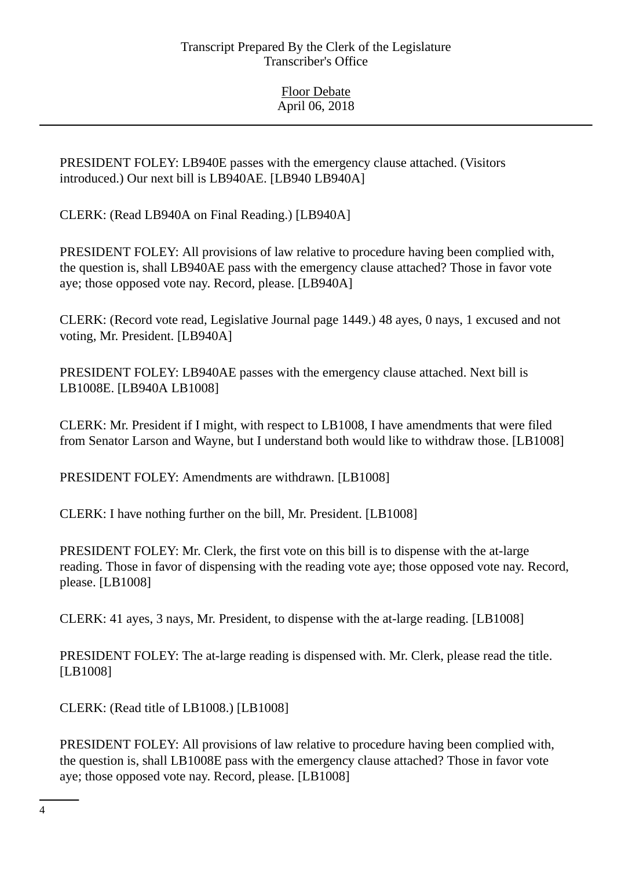PRESIDENT FOLEY: LB940E passes with the emergency clause attached. (Visitors introduced.) Our next bill is LB940AE. [LB940 LB940A]

CLERK: (Read LB940A on Final Reading.) [LB940A]

PRESIDENT FOLEY: All provisions of law relative to procedure having been complied with, the question is, shall LB940AE pass with the emergency clause attached? Those in favor vote aye; those opposed vote nay. Record, please. [LB940A]

CLERK: (Record vote read, Legislative Journal page 1449.) 48 ayes, 0 nays, 1 excused and not voting, Mr. President. [LB940A]

PRESIDENT FOLEY: LB940AE passes with the emergency clause attached. Next bill is LB1008E. [LB940A LB1008]

CLERK: Mr. President if I might, with respect to LB1008, I have amendments that were filed from Senator Larson and Wayne, but I understand both would like to withdraw those. [LB1008]

PRESIDENT FOLEY: Amendments are withdrawn. [LB1008]

CLERK: I have nothing further on the bill, Mr. President. [LB1008]

PRESIDENT FOLEY: Mr. Clerk, the first vote on this bill is to dispense with the at-large reading. Those in favor of dispensing with the reading vote aye; those opposed vote nay. Record, please. [LB1008]

CLERK: 41 ayes, 3 nays, Mr. President, to dispense with the at-large reading. [LB1008]

PRESIDENT FOLEY: The at-large reading is dispensed with. Mr. Clerk, please read the title. [LB1008]

CLERK: (Read title of LB1008.) [LB1008]

PRESIDENT FOLEY: All provisions of law relative to procedure having been complied with, the question is, shall LB1008E pass with the emergency clause attached? Those in favor vote aye; those opposed vote nay. Record, please. [LB1008]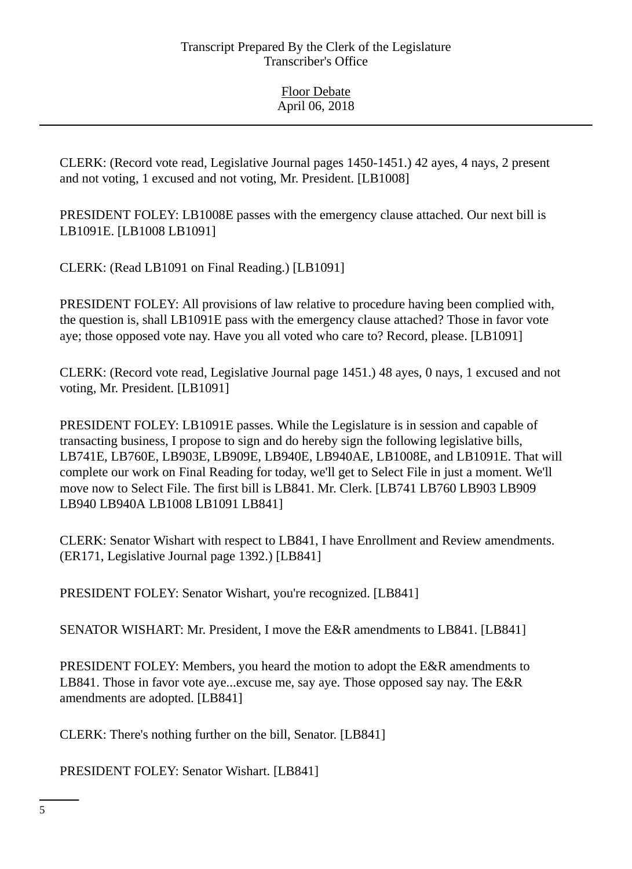CLERK: (Record vote read, Legislative Journal pages 1450-1451.) 42 ayes, 4 nays, 2 present and not voting, 1 excused and not voting, Mr. President. [LB1008]

PRESIDENT FOLEY: LB1008E passes with the emergency clause attached. Our next bill is LB1091E. [LB1008 LB1091]

CLERK: (Read LB1091 on Final Reading.) [LB1091]

PRESIDENT FOLEY: All provisions of law relative to procedure having been complied with, the question is, shall LB1091E pass with the emergency clause attached? Those in favor vote aye; those opposed vote nay. Have you all voted who care to? Record, please. [LB1091]

CLERK: (Record vote read, Legislative Journal page 1451.) 48 ayes, 0 nays, 1 excused and not voting, Mr. President. [LB1091]

PRESIDENT FOLEY: LB1091E passes. While the Legislature is in session and capable of transacting business, I propose to sign and do hereby sign the following legislative bills, LB741E, LB760E, LB903E, LB909E, LB940E, LB940AE, LB1008E, and LB1091E. That will complete our work on Final Reading for today, we'll get to Select File in just a moment. We'll move now to Select File. The first bill is LB841. Mr. Clerk. [LB741 LB760 LB903 LB909 LB940 LB940A LB1008 LB1091 LB841]

CLERK: Senator Wishart with respect to LB841, I have Enrollment and Review amendments. (ER171, Legislative Journal page 1392.) [LB841]

PRESIDENT FOLEY: Senator Wishart, you're recognized. [LB841]

SENATOR WISHART: Mr. President, I move the E&R amendments to LB841. [LB841]

PRESIDENT FOLEY: Members, you heard the motion to adopt the E&R amendments to LB841. Those in favor vote aye...excuse me, say aye. Those opposed say nay. The E&R amendments are adopted. [LB841]

CLERK: There's nothing further on the bill, Senator. [LB841]

PRESIDENT FOLEY: Senator Wishart. [LB841]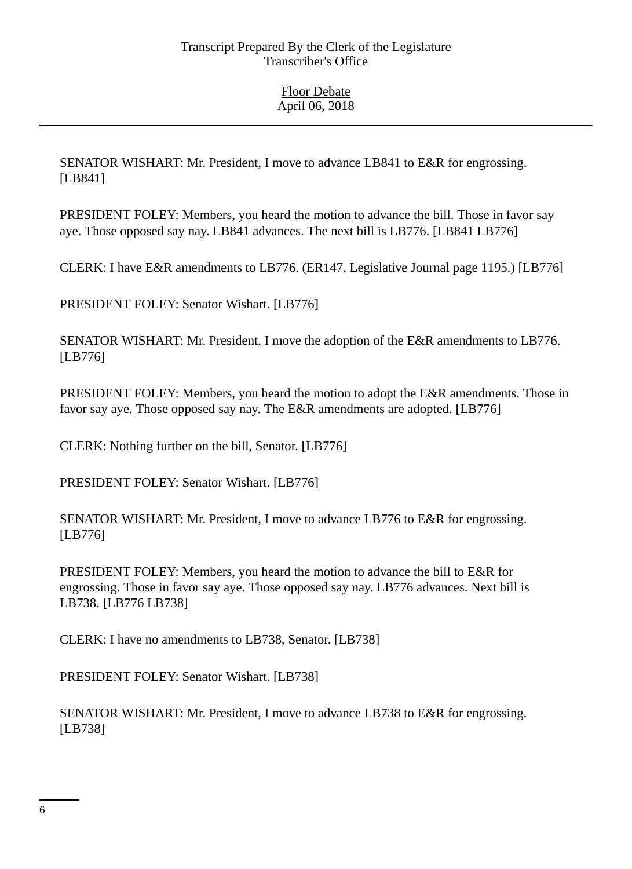SENATOR WISHART: Mr. President, I move to advance LB841 to E&R for engrossing. [LB841]

PRESIDENT FOLEY: Members, you heard the motion to advance the bill. Those in favor say aye. Those opposed say nay. LB841 advances. The next bill is LB776. [LB841 LB776]

CLERK: I have E&R amendments to LB776. (ER147, Legislative Journal page 1195.) [LB776]

PRESIDENT FOLEY: Senator Wishart. [LB776]

SENATOR WISHART: Mr. President, I move the adoption of the E&R amendments to LB776. [LB776]

PRESIDENT FOLEY: Members, you heard the motion to adopt the E&R amendments. Those in favor say aye. Those opposed say nay. The E&R amendments are adopted. [LB776]

CLERK: Nothing further on the bill, Senator. [LB776]

PRESIDENT FOLEY: Senator Wishart. [LB776]

SENATOR WISHART: Mr. President, I move to advance LB776 to E&R for engrossing. [LB776]

PRESIDENT FOLEY: Members, you heard the motion to advance the bill to E&R for engrossing. Those in favor say aye. Those opposed say nay. LB776 advances. Next bill is LB738. [LB776 LB738]

CLERK: I have no amendments to LB738, Senator. [LB738]

PRESIDENT FOLEY: Senator Wishart. [LB738]

SENATOR WISHART: Mr. President, I move to advance LB738 to E&R for engrossing. [LB738]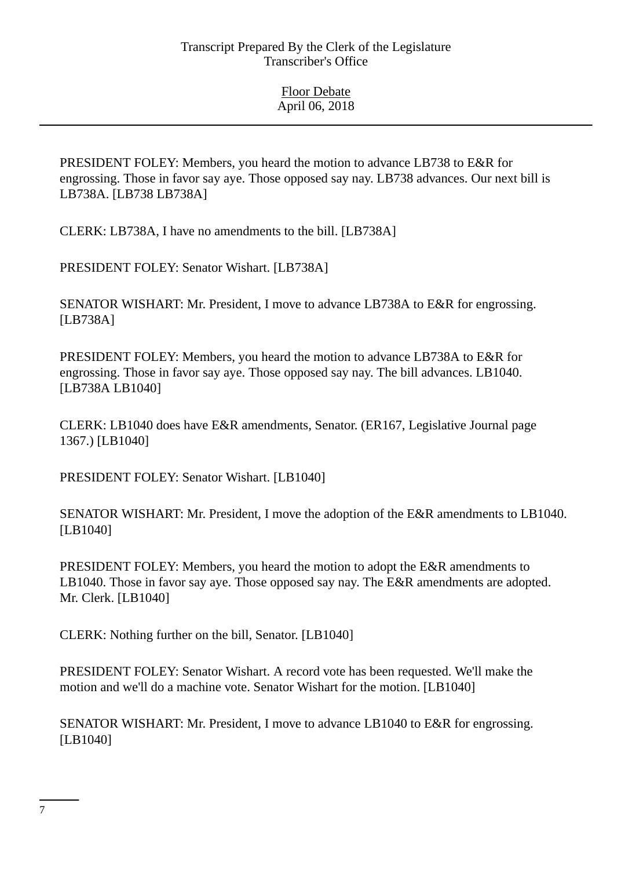PRESIDENT FOLEY: Members, you heard the motion to advance LB738 to E&R for engrossing. Those in favor say aye. Those opposed say nay. LB738 advances. Our next bill is LB738A. [LB738 LB738A]

CLERK: LB738A, I have no amendments to the bill. [LB738A]

PRESIDENT FOLEY: Senator Wishart. [LB738A]

SENATOR WISHART: Mr. President, I move to advance LB738A to E&R for engrossing. [LB738A]

PRESIDENT FOLEY: Members, you heard the motion to advance LB738A to E&R for engrossing. Those in favor say aye. Those opposed say nay. The bill advances. LB1040. [LB738A LB1040]

CLERK: LB1040 does have E&R amendments, Senator. (ER167, Legislative Journal page 1367.) [LB1040]

PRESIDENT FOLEY: Senator Wishart. [LB1040]

SENATOR WISHART: Mr. President, I move the adoption of the E&R amendments to LB1040. [LB1040]

PRESIDENT FOLEY: Members, you heard the motion to adopt the E&R amendments to LB1040. Those in favor say aye. Those opposed say nay. The E&R amendments are adopted. Mr. Clerk. [LB1040]

CLERK: Nothing further on the bill, Senator. [LB1040]

PRESIDENT FOLEY: Senator Wishart. A record vote has been requested. We'll make the motion and we'll do a machine vote. Senator Wishart for the motion. [LB1040]

SENATOR WISHART: Mr. President, I move to advance LB1040 to E&R for engrossing. [LB1040]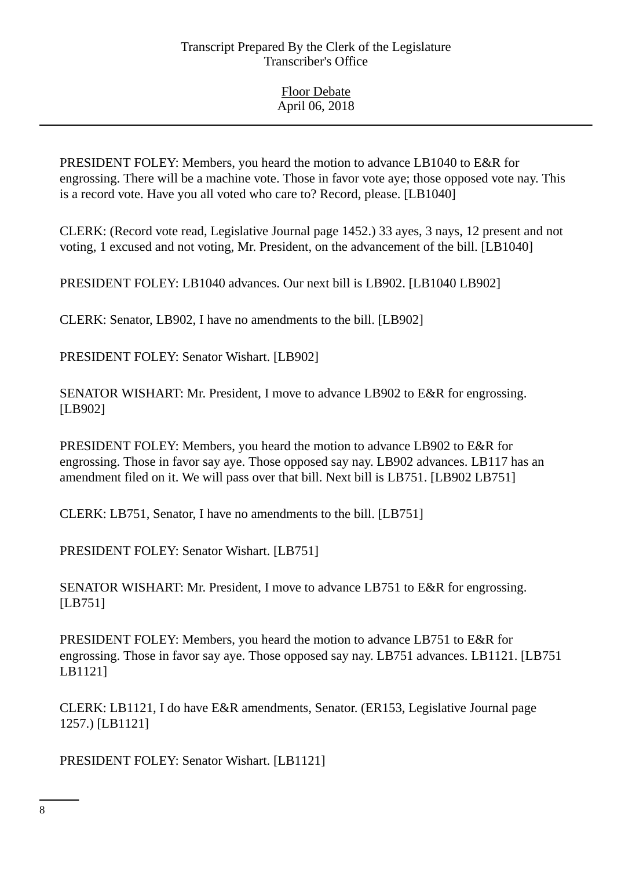PRESIDENT FOLEY: Members, you heard the motion to advance LB1040 to E&R for engrossing. There will be a machine vote. Those in favor vote aye; those opposed vote nay. This is a record vote. Have you all voted who care to? Record, please. [LB1040]

CLERK: (Record vote read, Legislative Journal page 1452.) 33 ayes, 3 nays, 12 present and not voting, 1 excused and not voting, Mr. President, on the advancement of the bill. [LB1040]

PRESIDENT FOLEY: LB1040 advances. Our next bill is LB902. [LB1040 LB902]

CLERK: Senator, LB902, I have no amendments to the bill. [LB902]

PRESIDENT FOLEY: Senator Wishart. [LB902]

SENATOR WISHART: Mr. President, I move to advance LB902 to E&R for engrossing. [LB902]

PRESIDENT FOLEY: Members, you heard the motion to advance LB902 to E&R for engrossing. Those in favor say aye. Those opposed say nay. LB902 advances. LB117 has an amendment filed on it. We will pass over that bill. Next bill is LB751. [LB902 LB751]

CLERK: LB751, Senator, I have no amendments to the bill. [LB751]

PRESIDENT FOLEY: Senator Wishart. [LB751]

SENATOR WISHART: Mr. President, I move to advance LB751 to E&R for engrossing. [LB751]

PRESIDENT FOLEY: Members, you heard the motion to advance LB751 to E&R for engrossing. Those in favor say aye. Those opposed say nay. LB751 advances. LB1121. [LB751 LB1121]

CLERK: LB1121, I do have E&R amendments, Senator. (ER153, Legislative Journal page 1257.) [LB1121]

PRESIDENT FOLEY: Senator Wishart. [LB1121]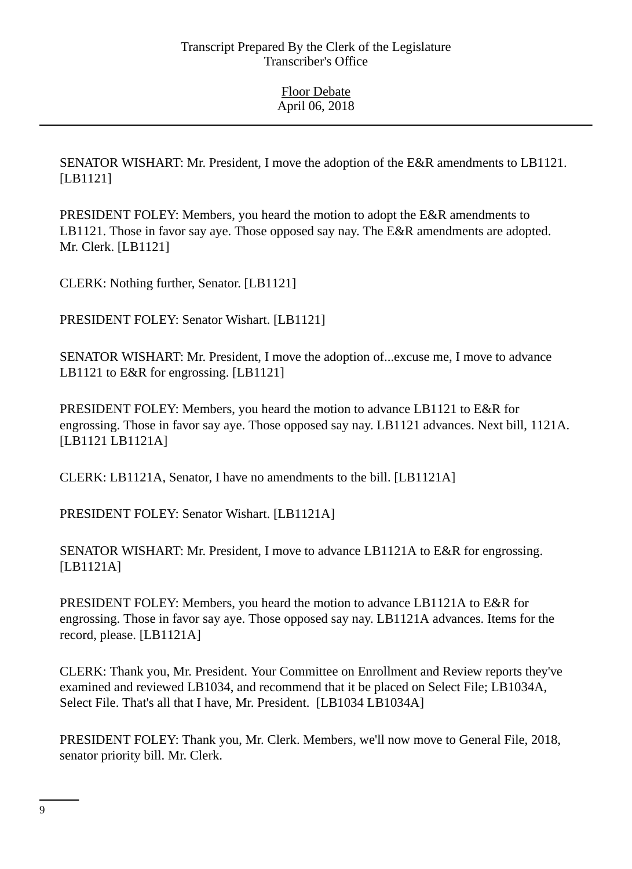SENATOR WISHART: Mr. President, I move the adoption of the E&R amendments to LB1121. [LB1121]

PRESIDENT FOLEY: Members, you heard the motion to adopt the E&R amendments to LB1121. Those in favor say aye. Those opposed say nay. The E&R amendments are adopted. Mr. Clerk. [LB1121]

CLERK: Nothing further, Senator. [LB1121]

PRESIDENT FOLEY: Senator Wishart. [LB1121]

SENATOR WISHART: Mr. President, I move the adoption of...excuse me, I move to advance LB1121 to E&R for engrossing. [LB1121]

PRESIDENT FOLEY: Members, you heard the motion to advance LB1121 to E&R for engrossing. Those in favor say aye. Those opposed say nay. LB1121 advances. Next bill, 1121A. [LB1121 LB1121A]

CLERK: LB1121A, Senator, I have no amendments to the bill. [LB1121A]

PRESIDENT FOLEY: Senator Wishart. [LB1121A]

SENATOR WISHART: Mr. President, I move to advance LB1121A to E&R for engrossing. [LB1121A]

PRESIDENT FOLEY: Members, you heard the motion to advance LB1121A to E&R for engrossing. Those in favor say aye. Those opposed say nay. LB1121A advances. Items for the record, please. [LB1121A]

CLERK: Thank you, Mr. President. Your Committee on Enrollment and Review reports they've examined and reviewed LB1034, and recommend that it be placed on Select File; LB1034A, Select File. That's all that I have, Mr. President. [LB1034 LB1034A]

PRESIDENT FOLEY: Thank you, Mr. Clerk. Members, we'll now move to General File, 2018, senator priority bill. Mr. Clerk.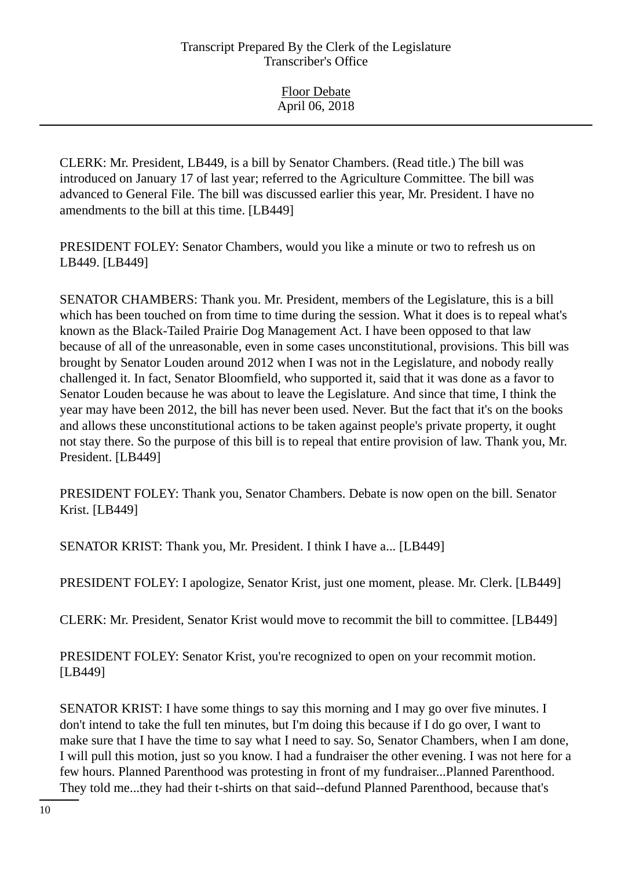CLERK: Mr. President, LB449, is a bill by Senator Chambers. (Read title.) The bill was introduced on January 17 of last year; referred to the Agriculture Committee. The bill was advanced to General File. The bill was discussed earlier this year, Mr. President. I have no amendments to the bill at this time. [LB449]

PRESIDENT FOLEY: Senator Chambers, would you like a minute or two to refresh us on LB449. [LB449]

SENATOR CHAMBERS: Thank you. Mr. President, members of the Legislature, this is a bill which has been touched on from time to time during the session. What it does is to repeal what's known as the Black-Tailed Prairie Dog Management Act. I have been opposed to that law because of all of the unreasonable, even in some cases unconstitutional, provisions. This bill was brought by Senator Louden around 2012 when I was not in the Legislature, and nobody really challenged it. In fact, Senator Bloomfield, who supported it, said that it was done as a favor to Senator Louden because he was about to leave the Legislature. And since that time, I think the year may have been 2012, the bill has never been used. Never. But the fact that it's on the books and allows these unconstitutional actions to be taken against people's private property, it ought not stay there. So the purpose of this bill is to repeal that entire provision of law. Thank you, Mr. President. [LB449]

PRESIDENT FOLEY: Thank you, Senator Chambers. Debate is now open on the bill. Senator Krist. [LB449]

SENATOR KRIST: Thank you, Mr. President. I think I have a... [LB449]

PRESIDENT FOLEY: I apologize, Senator Krist, just one moment, please. Mr. Clerk. [LB449]

CLERK: Mr. President, Senator Krist would move to recommit the bill to committee. [LB449]

PRESIDENT FOLEY: Senator Krist, you're recognized to open on your recommit motion. [LB449]

SENATOR KRIST: I have some things to say this morning and I may go over five minutes. I don't intend to take the full ten minutes, but I'm doing this because if I do go over, I want to make sure that I have the time to say what I need to say. So, Senator Chambers, when I am done, I will pull this motion, just so you know. I had a fundraiser the other evening. I was not here for a few hours. Planned Parenthood was protesting in front of my fundraiser...Planned Parenthood. They told me...they had their t-shirts on that said--defund Planned Parenthood, because that's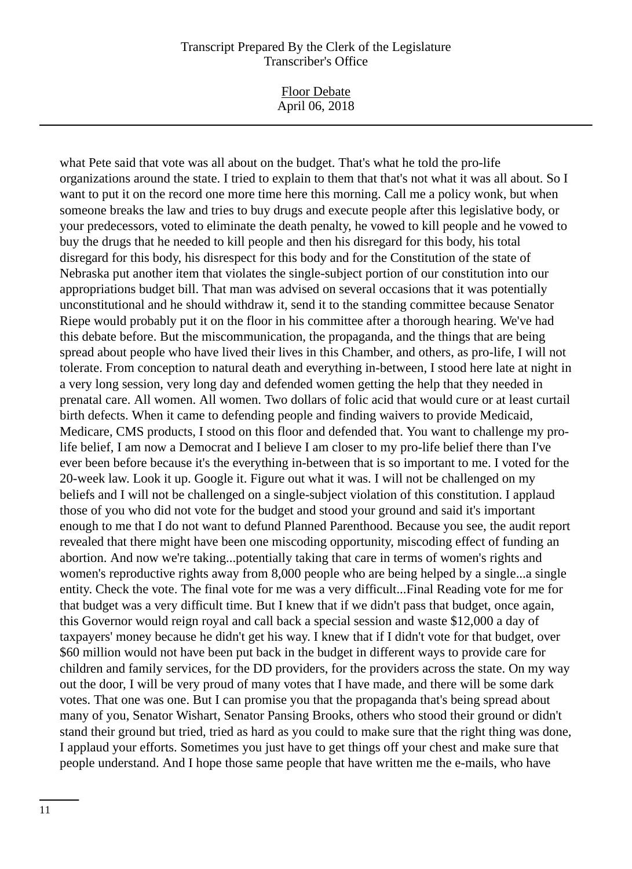Floor Debate April 06, 2018

what Pete said that vote was all about on the budget. That's what he told the pro-life organizations around the state. I tried to explain to them that that's not what it was all about. So I want to put it on the record one more time here this morning. Call me a policy wonk, but when someone breaks the law and tries to buy drugs and execute people after this legislative body, or your predecessors, voted to eliminate the death penalty, he vowed to kill people and he vowed to buy the drugs that he needed to kill people and then his disregard for this body, his total disregard for this body, his disrespect for this body and for the Constitution of the state of Nebraska put another item that violates the single-subject portion of our constitution into our appropriations budget bill. That man was advised on several occasions that it was potentially unconstitutional and he should withdraw it, send it to the standing committee because Senator Riepe would probably put it on the floor in his committee after a thorough hearing. We've had this debate before. But the miscommunication, the propaganda, and the things that are being spread about people who have lived their lives in this Chamber, and others, as pro-life, I will not tolerate. From conception to natural death and everything in-between, I stood here late at night in a very long session, very long day and defended women getting the help that they needed in prenatal care. All women. All women. Two dollars of folic acid that would cure or at least curtail birth defects. When it came to defending people and finding waivers to provide Medicaid, Medicare, CMS products, I stood on this floor and defended that. You want to challenge my prolife belief, I am now a Democrat and I believe I am closer to my pro-life belief there than I've ever been before because it's the everything in-between that is so important to me. I voted for the 20-week law. Look it up. Google it. Figure out what it was. I will not be challenged on my beliefs and I will not be challenged on a single-subject violation of this constitution. I applaud those of you who did not vote for the budget and stood your ground and said it's important enough to me that I do not want to defund Planned Parenthood. Because you see, the audit report revealed that there might have been one miscoding opportunity, miscoding effect of funding an abortion. And now we're taking...potentially taking that care in terms of women's rights and women's reproductive rights away from 8,000 people who are being helped by a single...a single entity. Check the vote. The final vote for me was a very difficult...Final Reading vote for me for that budget was a very difficult time. But I knew that if we didn't pass that budget, once again, this Governor would reign royal and call back a special session and waste \$12,000 a day of taxpayers' money because he didn't get his way. I knew that if I didn't vote for that budget, over \$60 million would not have been put back in the budget in different ways to provide care for children and family services, for the DD providers, for the providers across the state. On my way out the door, I will be very proud of many votes that I have made, and there will be some dark votes. That one was one. But I can promise you that the propaganda that's being spread about many of you, Senator Wishart, Senator Pansing Brooks, others who stood their ground or didn't stand their ground but tried, tried as hard as you could to make sure that the right thing was done, I applaud your efforts. Sometimes you just have to get things off your chest and make sure that people understand. And I hope those same people that have written me the e-mails, who have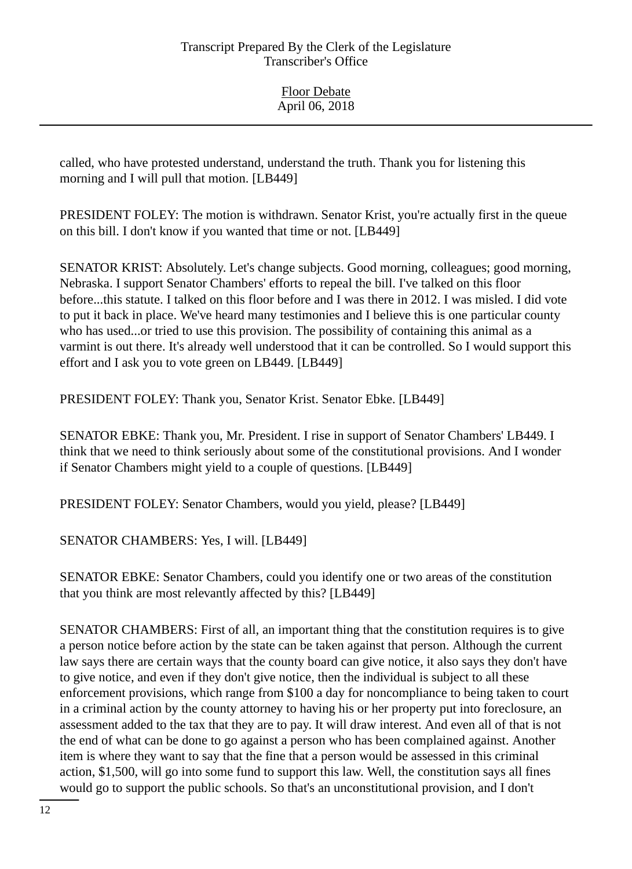Floor Debate April 06, 2018

called, who have protested understand, understand the truth. Thank you for listening this morning and I will pull that motion. [LB449]

PRESIDENT FOLEY: The motion is withdrawn. Senator Krist, you're actually first in the queue on this bill. I don't know if you wanted that time or not. [LB449]

SENATOR KRIST: Absolutely. Let's change subjects. Good morning, colleagues; good morning, Nebraska. I support Senator Chambers' efforts to repeal the bill. I've talked on this floor before...this statute. I talked on this floor before and I was there in 2012. I was misled. I did vote to put it back in place. We've heard many testimonies and I believe this is one particular county who has used...or tried to use this provision. The possibility of containing this animal as a varmint is out there. It's already well understood that it can be controlled. So I would support this effort and I ask you to vote green on LB449. [LB449]

PRESIDENT FOLEY: Thank you, Senator Krist. Senator Ebke. [LB449]

SENATOR EBKE: Thank you, Mr. President. I rise in support of Senator Chambers' LB449. I think that we need to think seriously about some of the constitutional provisions. And I wonder if Senator Chambers might yield to a couple of questions. [LB449]

PRESIDENT FOLEY: Senator Chambers, would you yield, please? [LB449]

SENATOR CHAMBERS: Yes, I will. [LB449]

SENATOR EBKE: Senator Chambers, could you identify one or two areas of the constitution that you think are most relevantly affected by this? [LB449]

SENATOR CHAMBERS: First of all, an important thing that the constitution requires is to give a person notice before action by the state can be taken against that person. Although the current law says there are certain ways that the county board can give notice, it also says they don't have to give notice, and even if they don't give notice, then the individual is subject to all these enforcement provisions, which range from \$100 a day for noncompliance to being taken to court in a criminal action by the county attorney to having his or her property put into foreclosure, an assessment added to the tax that they are to pay. It will draw interest. And even all of that is not the end of what can be done to go against a person who has been complained against. Another item is where they want to say that the fine that a person would be assessed in this criminal action, \$1,500, will go into some fund to support this law. Well, the constitution says all fines would go to support the public schools. So that's an unconstitutional provision, and I don't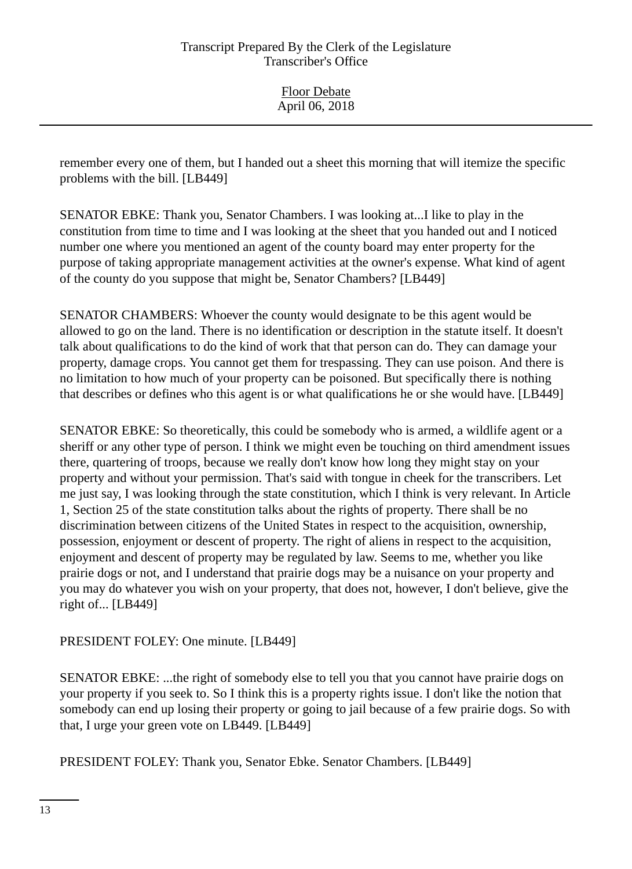Floor Debate April 06, 2018

remember every one of them, but I handed out a sheet this morning that will itemize the specific problems with the bill. [LB449]

SENATOR EBKE: Thank you, Senator Chambers. I was looking at...I like to play in the constitution from time to time and I was looking at the sheet that you handed out and I noticed number one where you mentioned an agent of the county board may enter property for the purpose of taking appropriate management activities at the owner's expense. What kind of agent of the county do you suppose that might be, Senator Chambers? [LB449]

SENATOR CHAMBERS: Whoever the county would designate to be this agent would be allowed to go on the land. There is no identification or description in the statute itself. It doesn't talk about qualifications to do the kind of work that that person can do. They can damage your property, damage crops. You cannot get them for trespassing. They can use poison. And there is no limitation to how much of your property can be poisoned. But specifically there is nothing that describes or defines who this agent is or what qualifications he or she would have. [LB449]

SENATOR EBKE: So theoretically, this could be somebody who is armed, a wildlife agent or a sheriff or any other type of person. I think we might even be touching on third amendment issues there, quartering of troops, because we really don't know how long they might stay on your property and without your permission. That's said with tongue in cheek for the transcribers. Let me just say, I was looking through the state constitution, which I think is very relevant. In Article 1, Section 25 of the state constitution talks about the rights of property. There shall be no discrimination between citizens of the United States in respect to the acquisition, ownership, possession, enjoyment or descent of property. The right of aliens in respect to the acquisition, enjoyment and descent of property may be regulated by law. Seems to me, whether you like prairie dogs or not, and I understand that prairie dogs may be a nuisance on your property and you may do whatever you wish on your property, that does not, however, I don't believe, give the right of... [LB449]

## PRESIDENT FOLEY: One minute. [LB449]

SENATOR EBKE: ...the right of somebody else to tell you that you cannot have prairie dogs on your property if you seek to. So I think this is a property rights issue. I don't like the notion that somebody can end up losing their property or going to jail because of a few prairie dogs. So with that, I urge your green vote on LB449. [LB449]

PRESIDENT FOLEY: Thank you, Senator Ebke. Senator Chambers. [LB449]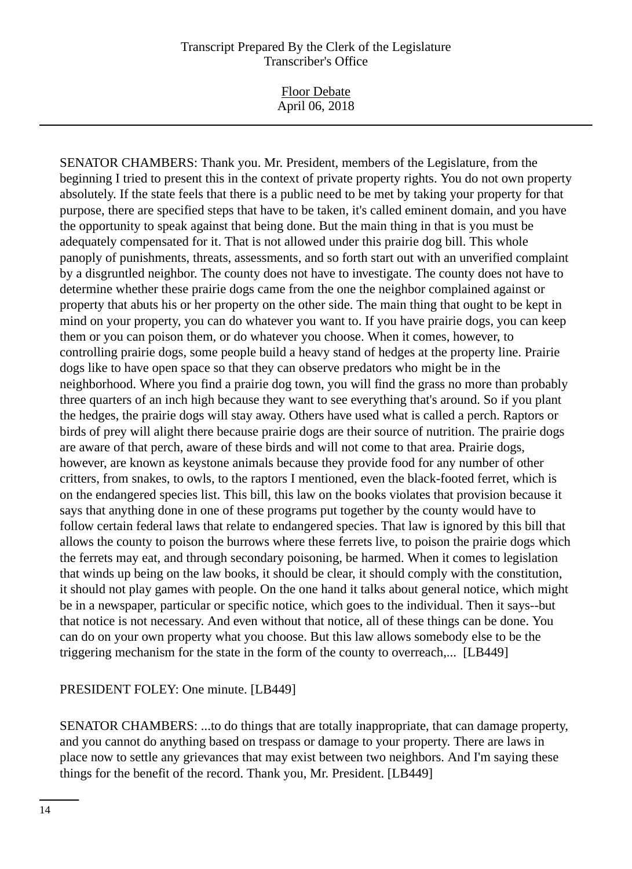Floor Debate April 06, 2018

SENATOR CHAMBERS: Thank you. Mr. President, members of the Legislature, from the beginning I tried to present this in the context of private property rights. You do not own property absolutely. If the state feels that there is a public need to be met by taking your property for that purpose, there are specified steps that have to be taken, it's called eminent domain, and you have the opportunity to speak against that being done. But the main thing in that is you must be adequately compensated for it. That is not allowed under this prairie dog bill. This whole panoply of punishments, threats, assessments, and so forth start out with an unverified complaint by a disgruntled neighbor. The county does not have to investigate. The county does not have to determine whether these prairie dogs came from the one the neighbor complained against or property that abuts his or her property on the other side. The main thing that ought to be kept in mind on your property, you can do whatever you want to. If you have prairie dogs, you can keep them or you can poison them, or do whatever you choose. When it comes, however, to controlling prairie dogs, some people build a heavy stand of hedges at the property line. Prairie dogs like to have open space so that they can observe predators who might be in the neighborhood. Where you find a prairie dog town, you will find the grass no more than probably three quarters of an inch high because they want to see everything that's around. So if you plant the hedges, the prairie dogs will stay away. Others have used what is called a perch. Raptors or birds of prey will alight there because prairie dogs are their source of nutrition. The prairie dogs are aware of that perch, aware of these birds and will not come to that area. Prairie dogs, however, are known as keystone animals because they provide food for any number of other critters, from snakes, to owls, to the raptors I mentioned, even the black-footed ferret, which is on the endangered species list. This bill, this law on the books violates that provision because it says that anything done in one of these programs put together by the county would have to follow certain federal laws that relate to endangered species. That law is ignored by this bill that allows the county to poison the burrows where these ferrets live, to poison the prairie dogs which the ferrets may eat, and through secondary poisoning, be harmed. When it comes to legislation that winds up being on the law books, it should be clear, it should comply with the constitution, it should not play games with people. On the one hand it talks about general notice, which might be in a newspaper, particular or specific notice, which goes to the individual. Then it says--but that notice is not necessary. And even without that notice, all of these things can be done. You can do on your own property what you choose. But this law allows somebody else to be the triggering mechanism for the state in the form of the county to overreach,... [LB449]

## PRESIDENT FOLEY: One minute. [LB449]

SENATOR CHAMBERS: ...to do things that are totally inappropriate, that can damage property, and you cannot do anything based on trespass or damage to your property. There are laws in place now to settle any grievances that may exist between two neighbors. And I'm saying these things for the benefit of the record. Thank you, Mr. President. [LB449]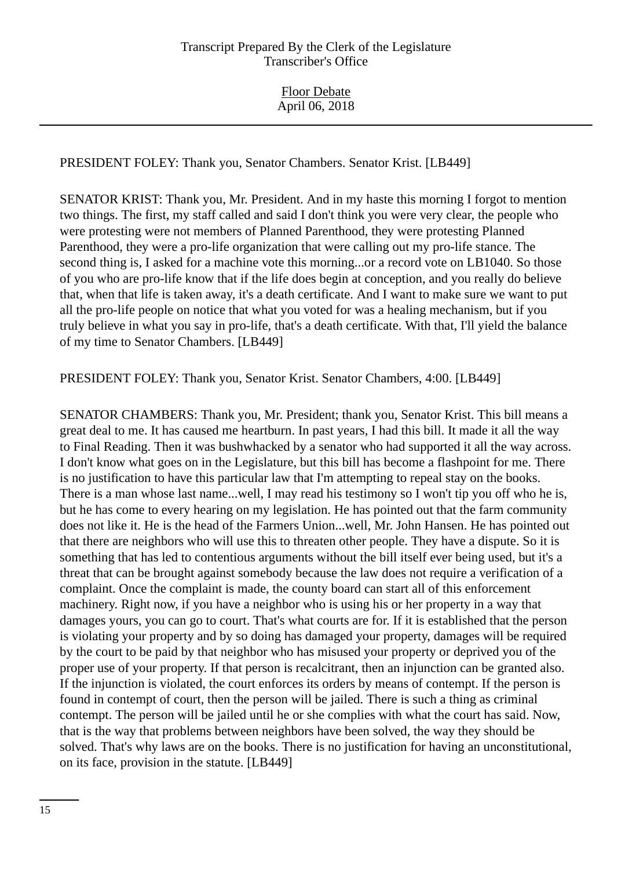PRESIDENT FOLEY: Thank you, Senator Chambers. Senator Krist. [LB449]

SENATOR KRIST: Thank you, Mr. President. And in my haste this morning I forgot to mention two things. The first, my staff called and said I don't think you were very clear, the people who were protesting were not members of Planned Parenthood, they were protesting Planned Parenthood, they were a pro-life organization that were calling out my pro-life stance. The second thing is, I asked for a machine vote this morning...or a record vote on LB1040. So those of you who are pro-life know that if the life does begin at conception, and you really do believe that, when that life is taken away, it's a death certificate. And I want to make sure we want to put all the pro-life people on notice that what you voted for was a healing mechanism, but if you truly believe in what you say in pro-life, that's a death certificate. With that, I'll yield the balance of my time to Senator Chambers. [LB449]

PRESIDENT FOLEY: Thank you, Senator Krist. Senator Chambers, 4:00. [LB449]

SENATOR CHAMBERS: Thank you, Mr. President; thank you, Senator Krist. This bill means a great deal to me. It has caused me heartburn. In past years, I had this bill. It made it all the way to Final Reading. Then it was bushwhacked by a senator who had supported it all the way across. I don't know what goes on in the Legislature, but this bill has become a flashpoint for me. There is no justification to have this particular law that I'm attempting to repeal stay on the books. There is a man whose last name...well, I may read his testimony so I won't tip you off who he is, but he has come to every hearing on my legislation. He has pointed out that the farm community does not like it. He is the head of the Farmers Union...well, Mr. John Hansen. He has pointed out that there are neighbors who will use this to threaten other people. They have a dispute. So it is something that has led to contentious arguments without the bill itself ever being used, but it's a threat that can be brought against somebody because the law does not require a verification of a complaint. Once the complaint is made, the county board can start all of this enforcement machinery. Right now, if you have a neighbor who is using his or her property in a way that damages yours, you can go to court. That's what courts are for. If it is established that the person is violating your property and by so doing has damaged your property, damages will be required by the court to be paid by that neighbor who has misused your property or deprived you of the proper use of your property. If that person is recalcitrant, then an injunction can be granted also. If the injunction is violated, the court enforces its orders by means of contempt. If the person is found in contempt of court, then the person will be jailed. There is such a thing as criminal contempt. The person will be jailed until he or she complies with what the court has said. Now, that is the way that problems between neighbors have been solved, the way they should be solved. That's why laws are on the books. There is no justification for having an unconstitutional, on its face, provision in the statute. [LB449]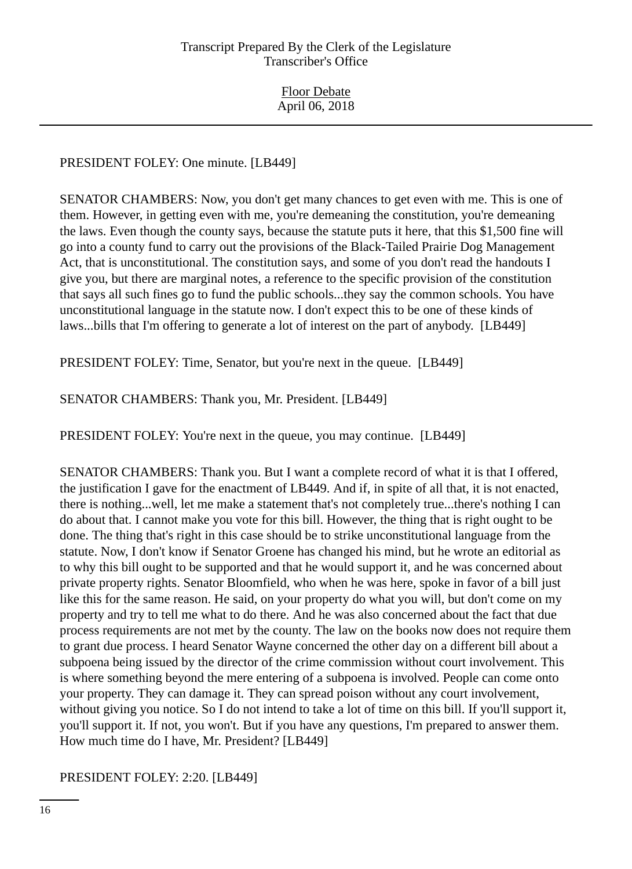## PRESIDENT FOLEY: One minute. [LB449]

SENATOR CHAMBERS: Now, you don't get many chances to get even with me. This is one of them. However, in getting even with me, you're demeaning the constitution, you're demeaning the laws. Even though the county says, because the statute puts it here, that this \$1,500 fine will go into a county fund to carry out the provisions of the Black-Tailed Prairie Dog Management Act, that is unconstitutional. The constitution says, and some of you don't read the handouts I give you, but there are marginal notes, a reference to the specific provision of the constitution that says all such fines go to fund the public schools...they say the common schools. You have unconstitutional language in the statute now. I don't expect this to be one of these kinds of laws...bills that I'm offering to generate a lot of interest on the part of anybody. [LB449]

PRESIDENT FOLEY: Time, Senator, but you're next in the queue. [LB449]

SENATOR CHAMBERS: Thank you, Mr. President. [LB449]

PRESIDENT FOLEY: You're next in the queue, you may continue. [LB449]

SENATOR CHAMBERS: Thank you. But I want a complete record of what it is that I offered, the justification I gave for the enactment of LB449. And if, in spite of all that, it is not enacted, there is nothing...well, let me make a statement that's not completely true...there's nothing I can do about that. I cannot make you vote for this bill. However, the thing that is right ought to be done. The thing that's right in this case should be to strike unconstitutional language from the statute. Now, I don't know if Senator Groene has changed his mind, but he wrote an editorial as to why this bill ought to be supported and that he would support it, and he was concerned about private property rights. Senator Bloomfield, who when he was here, spoke in favor of a bill just like this for the same reason. He said, on your property do what you will, but don't come on my property and try to tell me what to do there. And he was also concerned about the fact that due process requirements are not met by the county. The law on the books now does not require them to grant due process. I heard Senator Wayne concerned the other day on a different bill about a subpoena being issued by the director of the crime commission without court involvement. This is where something beyond the mere entering of a subpoena is involved. People can come onto your property. They can damage it. They can spread poison without any court involvement, without giving you notice. So I do not intend to take a lot of time on this bill. If you'll support it, you'll support it. If not, you won't. But if you have any questions, I'm prepared to answer them. How much time do I have, Mr. President? [LB449]

## PRESIDENT FOLEY: 2:20. [LB449]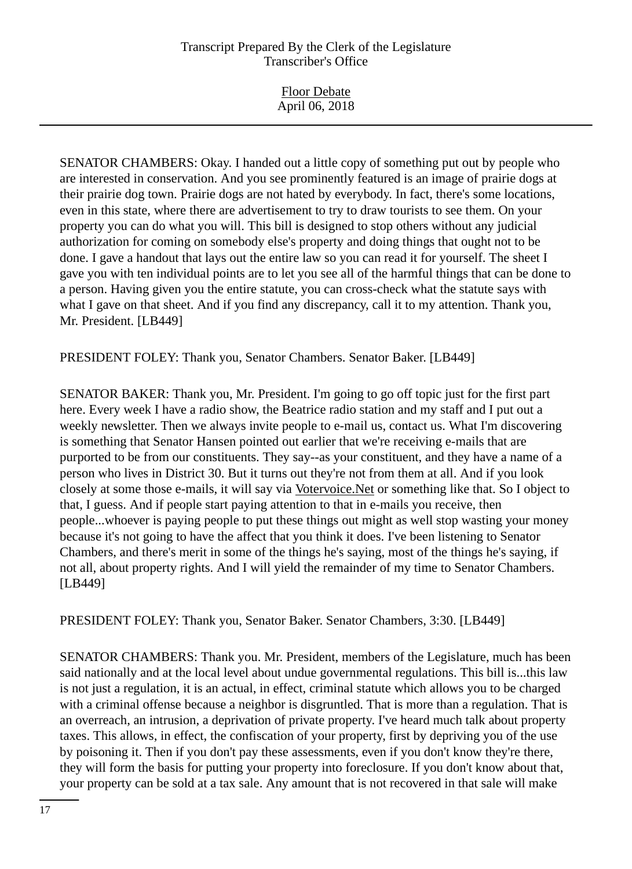Floor Debate April 06, 2018

SENATOR CHAMBERS: Okay. I handed out a little copy of something put out by people who are interested in conservation. And you see prominently featured is an image of prairie dogs at their prairie dog town. Prairie dogs are not hated by everybody. In fact, there's some locations, even in this state, where there are advertisement to try to draw tourists to see them. On your property you can do what you will. This bill is designed to stop others without any judicial authorization for coming on somebody else's property and doing things that ought not to be done. I gave a handout that lays out the entire law so you can read it for yourself. The sheet I gave you with ten individual points are to let you see all of the harmful things that can be done to a person. Having given you the entire statute, you can cross-check what the statute says with what I gave on that sheet. And if you find any discrepancy, call it to my attention. Thank you, Mr. President. [LB449]

PRESIDENT FOLEY: Thank you, Senator Chambers. Senator Baker. [LB449]

SENATOR BAKER: Thank you, Mr. President. I'm going to go off topic just for the first part here. Every week I have a radio show, the Beatrice radio station and my staff and I put out a weekly newsletter. Then we always invite people to e-mail us, contact us. What I'm discovering is something that Senator Hansen pointed out earlier that we're receiving e-mails that are purported to be from our constituents. They say--as your constituent, and they have a name of a person who lives in District 30. But it turns out they're not from them at all. And if you look closely at some those e-mails, it will say via Votervoice.Net or something like that. So I object to that, I guess. And if people start paying attention to that in e-mails you receive, then people...whoever is paying people to put these things out might as well stop wasting your money because it's not going to have the affect that you think it does. I've been listening to Senator Chambers, and there's merit in some of the things he's saying, most of the things he's saying, if not all, about property rights. And I will yield the remainder of my time to Senator Chambers. [LB449]

PRESIDENT FOLEY: Thank you, Senator Baker. Senator Chambers, 3:30. [LB449]

SENATOR CHAMBERS: Thank you. Mr. President, members of the Legislature, much has been said nationally and at the local level about undue governmental regulations. This bill is...this law is not just a regulation, it is an actual, in effect, criminal statute which allows you to be charged with a criminal offense because a neighbor is disgruntled. That is more than a regulation. That is an overreach, an intrusion, a deprivation of private property. I've heard much talk about property taxes. This allows, in effect, the confiscation of your property, first by depriving you of the use by poisoning it. Then if you don't pay these assessments, even if you don't know they're there, they will form the basis for putting your property into foreclosure. If you don't know about that, your property can be sold at a tax sale. Any amount that is not recovered in that sale will make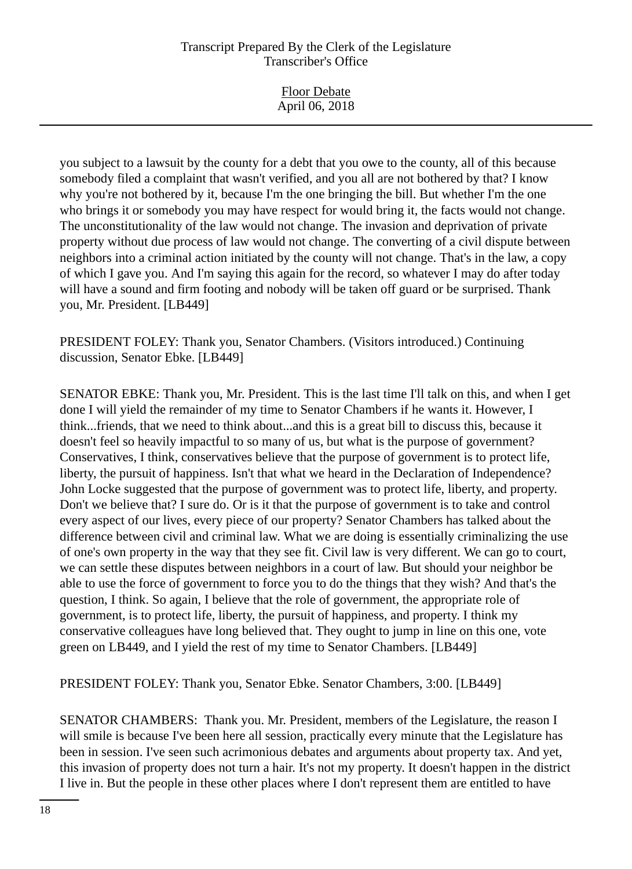Floor Debate April 06, 2018

you subject to a lawsuit by the county for a debt that you owe to the county, all of this because somebody filed a complaint that wasn't verified, and you all are not bothered by that? I know why you're not bothered by it, because I'm the one bringing the bill. But whether I'm the one who brings it or somebody you may have respect for would bring it, the facts would not change. The unconstitutionality of the law would not change. The invasion and deprivation of private property without due process of law would not change. The converting of a civil dispute between neighbors into a criminal action initiated by the county will not change. That's in the law, a copy of which I gave you. And I'm saying this again for the record, so whatever I may do after today will have a sound and firm footing and nobody will be taken off guard or be surprised. Thank you, Mr. President. [LB449]

PRESIDENT FOLEY: Thank you, Senator Chambers. (Visitors introduced.) Continuing discussion, Senator Ebke. [LB449]

SENATOR EBKE: Thank you, Mr. President. This is the last time I'll talk on this, and when I get done I will yield the remainder of my time to Senator Chambers if he wants it. However, I think...friends, that we need to think about...and this is a great bill to discuss this, because it doesn't feel so heavily impactful to so many of us, but what is the purpose of government? Conservatives, I think, conservatives believe that the purpose of government is to protect life, liberty, the pursuit of happiness. Isn't that what we heard in the Declaration of Independence? John Locke suggested that the purpose of government was to protect life, liberty, and property. Don't we believe that? I sure do. Or is it that the purpose of government is to take and control every aspect of our lives, every piece of our property? Senator Chambers has talked about the difference between civil and criminal law. What we are doing is essentially criminalizing the use of one's own property in the way that they see fit. Civil law is very different. We can go to court, we can settle these disputes between neighbors in a court of law. But should your neighbor be able to use the force of government to force you to do the things that they wish? And that's the question, I think. So again, I believe that the role of government, the appropriate role of government, is to protect life, liberty, the pursuit of happiness, and property. I think my conservative colleagues have long believed that. They ought to jump in line on this one, vote green on LB449, and I yield the rest of my time to Senator Chambers. [LB449]

PRESIDENT FOLEY: Thank you, Senator Ebke. Senator Chambers, 3:00. [LB449]

SENATOR CHAMBERS: Thank you. Mr. President, members of the Legislature, the reason I will smile is because I've been here all session, practically every minute that the Legislature has been in session. I've seen such acrimonious debates and arguments about property tax. And yet, this invasion of property does not turn a hair. It's not my property. It doesn't happen in the district I live in. But the people in these other places where I don't represent them are entitled to have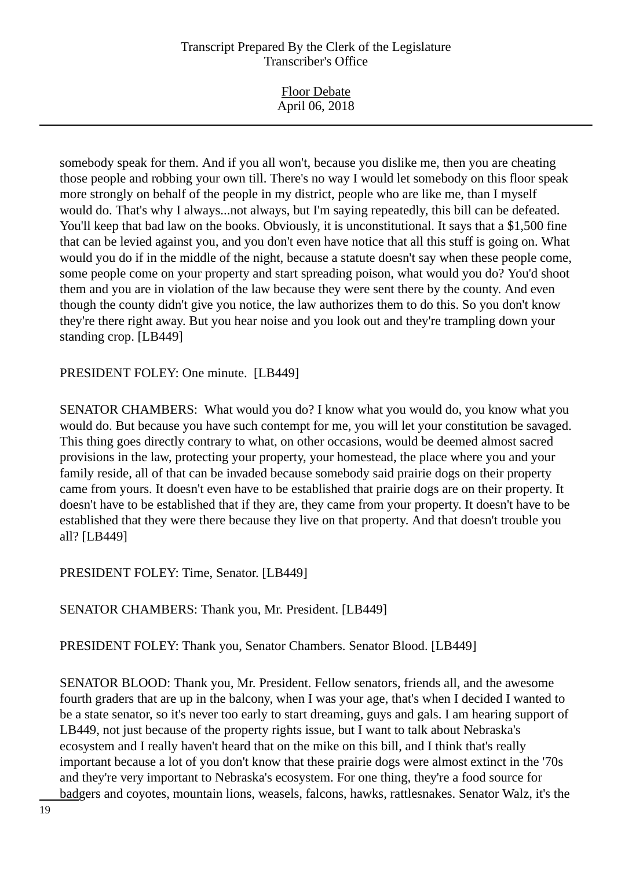| <b>Floor Debate</b><br>April 06, 2018 |
|---------------------------------------|
|                                       |

somebody speak for them. And if you all won't, because you dislike me, then you are cheating those people and robbing your own till. There's no way I would let somebody on this floor speak more strongly on behalf of the people in my district, people who are like me, than I myself would do. That's why I always...not always, but I'm saying repeatedly, this bill can be defeated. You'll keep that bad law on the books. Obviously, it is unconstitutional. It says that a \$1,500 fine that can be levied against you, and you don't even have notice that all this stuff is going on. What would you do if in the middle of the night, because a statute doesn't say when these people come, some people come on your property and start spreading poison, what would you do? You'd shoot them and you are in violation of the law because they were sent there by the county. And even though the county didn't give you notice, the law authorizes them to do this. So you don't know they're there right away. But you hear noise and you look out and they're trampling down your standing crop. [LB449]

PRESIDENT FOLEY: One minute. [LB449]

SENATOR CHAMBERS: What would you do? I know what you would do, you know what you would do. But because you have such contempt for me, you will let your constitution be savaged. This thing goes directly contrary to what, on other occasions, would be deemed almost sacred provisions in the law, protecting your property, your homestead, the place where you and your family reside, all of that can be invaded because somebody said prairie dogs on their property came from yours. It doesn't even have to be established that prairie dogs are on their property. It doesn't have to be established that if they are, they came from your property. It doesn't have to be established that they were there because they live on that property. And that doesn't trouble you all? [LB449]

PRESIDENT FOLEY: Time, Senator. [LB449]

SENATOR CHAMBERS: Thank you, Mr. President. [LB449]

PRESIDENT FOLEY: Thank you, Senator Chambers. Senator Blood. [LB449]

SENATOR BLOOD: Thank you, Mr. President. Fellow senators, friends all, and the awesome fourth graders that are up in the balcony, when I was your age, that's when I decided I wanted to be a state senator, so it's never too early to start dreaming, guys and gals. I am hearing support of LB449, not just because of the property rights issue, but I want to talk about Nebraska's ecosystem and I really haven't heard that on the mike on this bill, and I think that's really important because a lot of you don't know that these prairie dogs were almost extinct in the '70s and they're very important to Nebraska's ecosystem. For one thing, they're a food source for badgers and coyotes, mountain lions, weasels, falcons, hawks, rattlesnakes. Senator Walz, it's the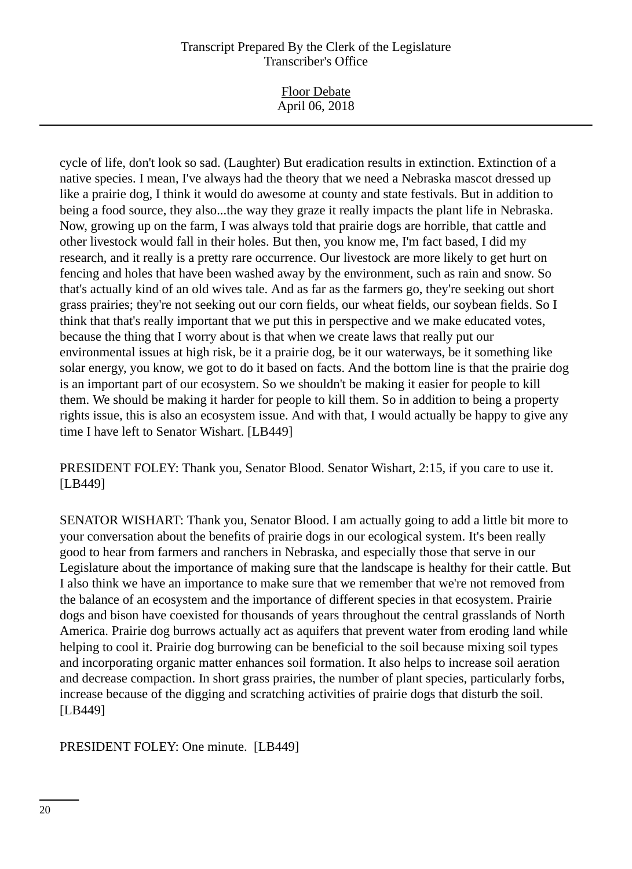Floor Debate April 06, 2018

cycle of life, don't look so sad. (Laughter) But eradication results in extinction. Extinction of a native species. I mean, I've always had the theory that we need a Nebraska mascot dressed up like a prairie dog, I think it would do awesome at county and state festivals. But in addition to being a food source, they also...the way they graze it really impacts the plant life in Nebraska. Now, growing up on the farm, I was always told that prairie dogs are horrible, that cattle and other livestock would fall in their holes. But then, you know me, I'm fact based, I did my research, and it really is a pretty rare occurrence. Our livestock are more likely to get hurt on fencing and holes that have been washed away by the environment, such as rain and snow. So that's actually kind of an old wives tale. And as far as the farmers go, they're seeking out short grass prairies; they're not seeking out our corn fields, our wheat fields, our soybean fields. So I think that that's really important that we put this in perspective and we make educated votes, because the thing that I worry about is that when we create laws that really put our environmental issues at high risk, be it a prairie dog, be it our waterways, be it something like solar energy, you know, we got to do it based on facts. And the bottom line is that the prairie dog is an important part of our ecosystem. So we shouldn't be making it easier for people to kill them. We should be making it harder for people to kill them. So in addition to being a property rights issue, this is also an ecosystem issue. And with that, I would actually be happy to give any time I have left to Senator Wishart. [LB449]

PRESIDENT FOLEY: Thank you, Senator Blood. Senator Wishart, 2:15, if you care to use it. [LB449]

SENATOR WISHART: Thank you, Senator Blood. I am actually going to add a little bit more to your conversation about the benefits of prairie dogs in our ecological system. It's been really good to hear from farmers and ranchers in Nebraska, and especially those that serve in our Legislature about the importance of making sure that the landscape is healthy for their cattle. But I also think we have an importance to make sure that we remember that we're not removed from the balance of an ecosystem and the importance of different species in that ecosystem. Prairie dogs and bison have coexisted for thousands of years throughout the central grasslands of North America. Prairie dog burrows actually act as aquifers that prevent water from eroding land while helping to cool it. Prairie dog burrowing can be beneficial to the soil because mixing soil types and incorporating organic matter enhances soil formation. It also helps to increase soil aeration and decrease compaction. In short grass prairies, the number of plant species, particularly forbs, increase because of the digging and scratching activities of prairie dogs that disturb the soil. [LB449]

PRESIDENT FOLEY: One minute. [LB449]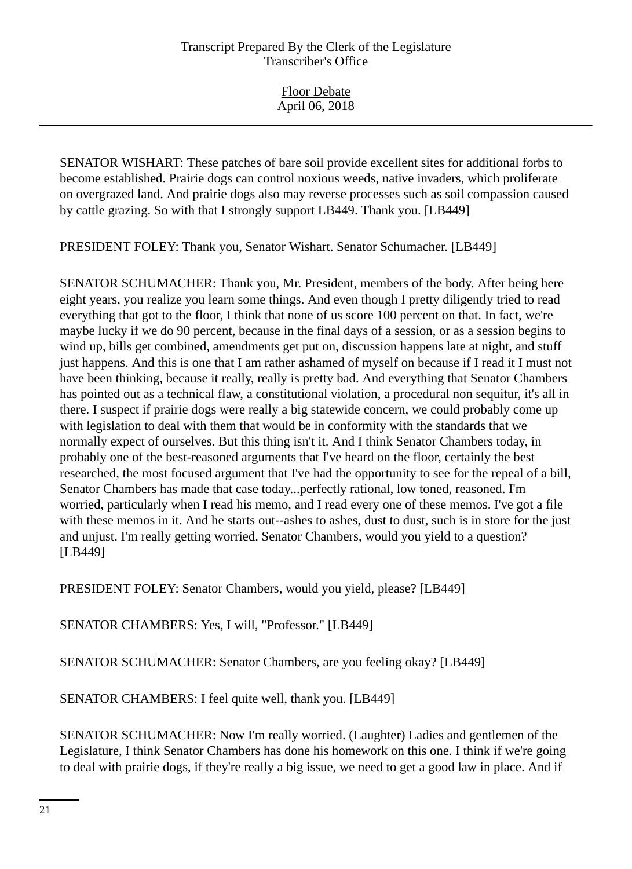SENATOR WISHART: These patches of bare soil provide excellent sites for additional forbs to become established. Prairie dogs can control noxious weeds, native invaders, which proliferate on overgrazed land. And prairie dogs also may reverse processes such as soil compassion caused by cattle grazing. So with that I strongly support LB449. Thank you. [LB449]

PRESIDENT FOLEY: Thank you, Senator Wishart. Senator Schumacher. [LB449]

SENATOR SCHUMACHER: Thank you, Mr. President, members of the body. After being here eight years, you realize you learn some things. And even though I pretty diligently tried to read everything that got to the floor, I think that none of us score 100 percent on that. In fact, we're maybe lucky if we do 90 percent, because in the final days of a session, or as a session begins to wind up, bills get combined, amendments get put on, discussion happens late at night, and stuff just happens. And this is one that I am rather ashamed of myself on because if I read it I must not have been thinking, because it really, really is pretty bad. And everything that Senator Chambers has pointed out as a technical flaw, a constitutional violation, a procedural non sequitur, it's all in there. I suspect if prairie dogs were really a big statewide concern, we could probably come up with legislation to deal with them that would be in conformity with the standards that we normally expect of ourselves. But this thing isn't it. And I think Senator Chambers today, in probably one of the best-reasoned arguments that I've heard on the floor, certainly the best researched, the most focused argument that I've had the opportunity to see for the repeal of a bill, Senator Chambers has made that case today...perfectly rational, low toned, reasoned. I'm worried, particularly when I read his memo, and I read every one of these memos. I've got a file with these memos in it. And he starts out--ashes to ashes, dust to dust, such is in store for the just and unjust. I'm really getting worried. Senator Chambers, would you yield to a question? [LB449]

PRESIDENT FOLEY: Senator Chambers, would you yield, please? [LB449]

SENATOR CHAMBERS: Yes, I will, "Professor." [LB449]

SENATOR SCHUMACHER: Senator Chambers, are you feeling okay? [LB449]

SENATOR CHAMBERS: I feel quite well, thank you. [LB449]

SENATOR SCHUMACHER: Now I'm really worried. (Laughter) Ladies and gentlemen of the Legislature, I think Senator Chambers has done his homework on this one. I think if we're going to deal with prairie dogs, if they're really a big issue, we need to get a good law in place. And if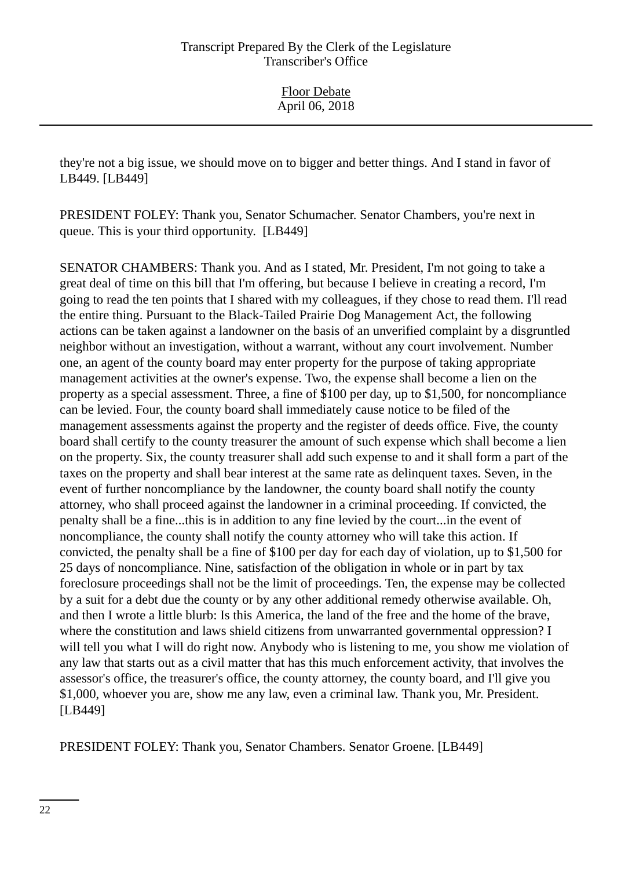they're not a big issue, we should move on to bigger and better things. And I stand in favor of LB449. [LB449]

PRESIDENT FOLEY: Thank you, Senator Schumacher. Senator Chambers, you're next in queue. This is your third opportunity. [LB449]

SENATOR CHAMBERS: Thank you. And as I stated, Mr. President, I'm not going to take a great deal of time on this bill that I'm offering, but because I believe in creating a record, I'm going to read the ten points that I shared with my colleagues, if they chose to read them. I'll read the entire thing. Pursuant to the Black-Tailed Prairie Dog Management Act, the following actions can be taken against a landowner on the basis of an unverified complaint by a disgruntled neighbor without an investigation, without a warrant, without any court involvement. Number one, an agent of the county board may enter property for the purpose of taking appropriate management activities at the owner's expense. Two, the expense shall become a lien on the property as a special assessment. Three, a fine of \$100 per day, up to \$1,500, for noncompliance can be levied. Four, the county board shall immediately cause notice to be filed of the management assessments against the property and the register of deeds office. Five, the county board shall certify to the county treasurer the amount of such expense which shall become a lien on the property. Six, the county treasurer shall add such expense to and it shall form a part of the taxes on the property and shall bear interest at the same rate as delinquent taxes. Seven, in the event of further noncompliance by the landowner, the county board shall notify the county attorney, who shall proceed against the landowner in a criminal proceeding. If convicted, the penalty shall be a fine...this is in addition to any fine levied by the court...in the event of noncompliance, the county shall notify the county attorney who will take this action. If convicted, the penalty shall be a fine of \$100 per day for each day of violation, up to \$1,500 for 25 days of noncompliance. Nine, satisfaction of the obligation in whole or in part by tax foreclosure proceedings shall not be the limit of proceedings. Ten, the expense may be collected by a suit for a debt due the county or by any other additional remedy otherwise available. Oh, and then I wrote a little blurb: Is this America, the land of the free and the home of the brave, where the constitution and laws shield citizens from unwarranted governmental oppression? I will tell you what I will do right now. Anybody who is listening to me, you show me violation of any law that starts out as a civil matter that has this much enforcement activity, that involves the assessor's office, the treasurer's office, the county attorney, the county board, and I'll give you \$1,000, whoever you are, show me any law, even a criminal law. Thank you, Mr. President. [LB449]

PRESIDENT FOLEY: Thank you, Senator Chambers. Senator Groene. [LB449]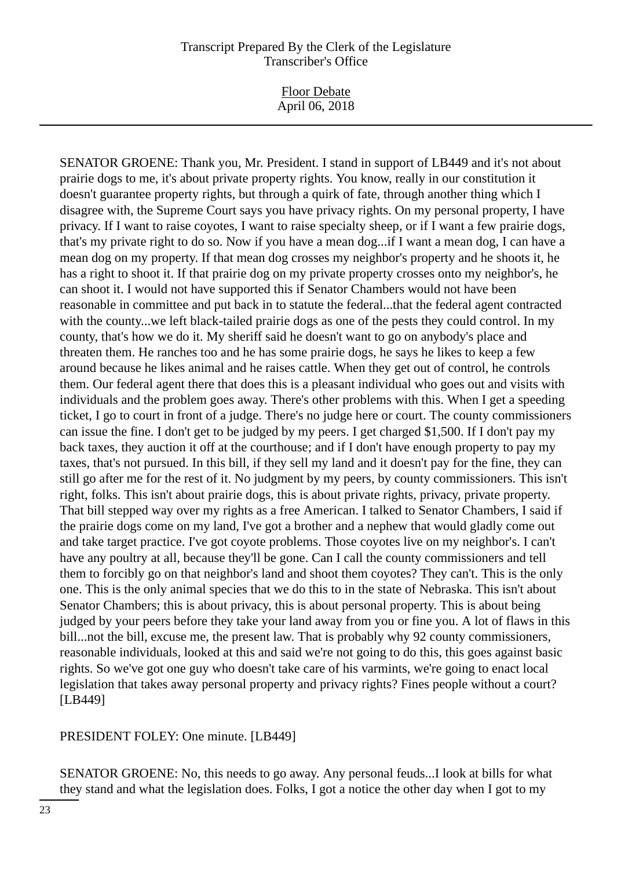Floor Debate April 06, 2018

SENATOR GROENE: Thank you, Mr. President. I stand in support of LB449 and it's not about prairie dogs to me, it's about private property rights. You know, really in our constitution it doesn't guarantee property rights, but through a quirk of fate, through another thing which I disagree with, the Supreme Court says you have privacy rights. On my personal property, I have privacy. If I want to raise coyotes, I want to raise specialty sheep, or if I want a few prairie dogs, that's my private right to do so. Now if you have a mean dog...if I want a mean dog, I can have a mean dog on my property. If that mean dog crosses my neighbor's property and he shoots it, he has a right to shoot it. If that prairie dog on my private property crosses onto my neighbor's, he can shoot it. I would not have supported this if Senator Chambers would not have been reasonable in committee and put back in to statute the federal...that the federal agent contracted with the county...we left black-tailed prairie dogs as one of the pests they could control. In my county, that's how we do it. My sheriff said he doesn't want to go on anybody's place and threaten them. He ranches too and he has some prairie dogs, he says he likes to keep a few around because he likes animal and he raises cattle. When they get out of control, he controls them. Our federal agent there that does this is a pleasant individual who goes out and visits with individuals and the problem goes away. There's other problems with this. When I get a speeding ticket, I go to court in front of a judge. There's no judge here or court. The county commissioners can issue the fine. I don't get to be judged by my peers. I get charged \$1,500. If I don't pay my back taxes, they auction it off at the courthouse; and if I don't have enough property to pay my taxes, that's not pursued. In this bill, if they sell my land and it doesn't pay for the fine, they can still go after me for the rest of it. No judgment by my peers, by county commissioners. This isn't right, folks. This isn't about prairie dogs, this is about private rights, privacy, private property. That bill stepped way over my rights as a free American. I talked to Senator Chambers, I said if the prairie dogs come on my land, I've got a brother and a nephew that would gladly come out and take target practice. I've got coyote problems. Those coyotes live on my neighbor's. I can't have any poultry at all, because they'll be gone. Can I call the county commissioners and tell them to forcibly go on that neighbor's land and shoot them coyotes? They can't. This is the only one. This is the only animal species that we do this to in the state of Nebraska. This isn't about Senator Chambers; this is about privacy, this is about personal property. This is about being judged by your peers before they take your land away from you or fine you. A lot of flaws in this bill...not the bill, excuse me, the present law. That is probably why 92 county commissioners, reasonable individuals, looked at this and said we're not going to do this, this goes against basic rights. So we've got one guy who doesn't take care of his varmints, we're going to enact local legislation that takes away personal property and privacy rights? Fines people without a court? [LB449]

PRESIDENT FOLEY: One minute. [LB449]

SENATOR GROENE: No, this needs to go away. Any personal feuds...I look at bills for what they stand and what the legislation does. Folks, I got a notice the other day when I got to my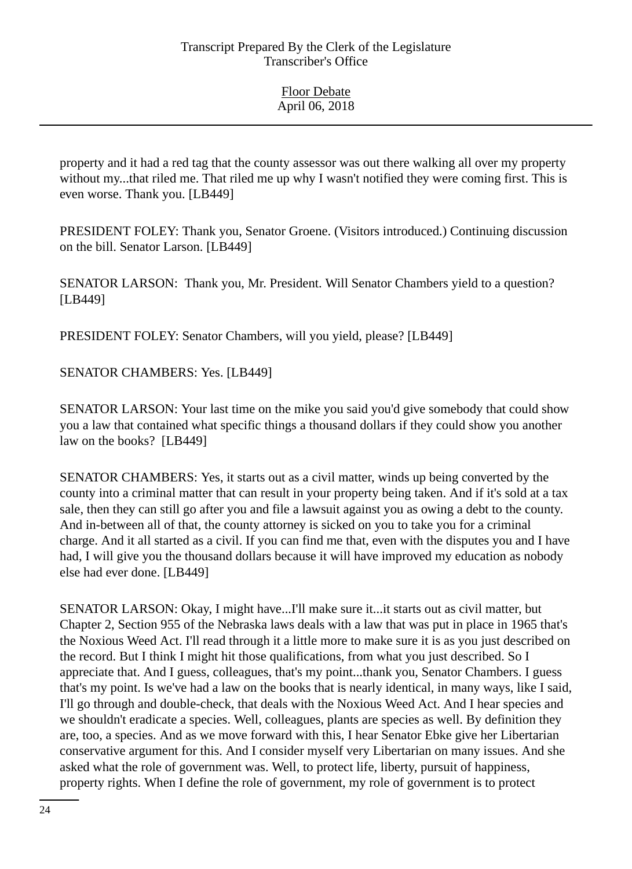property and it had a red tag that the county assessor was out there walking all over my property without my...that riled me. That riled me up why I wasn't notified they were coming first. This is even worse. Thank you. [LB449]

PRESIDENT FOLEY: Thank you, Senator Groene. (Visitors introduced.) Continuing discussion on the bill. Senator Larson. [LB449]

SENATOR LARSON: Thank you, Mr. President. Will Senator Chambers yield to a question? [LB449]

PRESIDENT FOLEY: Senator Chambers, will you yield, please? [LB449]

SENATOR CHAMBERS: Yes. [LB449]

SENATOR LARSON: Your last time on the mike you said you'd give somebody that could show you a law that contained what specific things a thousand dollars if they could show you another law on the books? [LB449]

SENATOR CHAMBERS: Yes, it starts out as a civil matter, winds up being converted by the county into a criminal matter that can result in your property being taken. And if it's sold at a tax sale, then they can still go after you and file a lawsuit against you as owing a debt to the county. And in-between all of that, the county attorney is sicked on you to take you for a criminal charge. And it all started as a civil. If you can find me that, even with the disputes you and I have had, I will give you the thousand dollars because it will have improved my education as nobody else had ever done. [LB449]

SENATOR LARSON: Okay, I might have...I'll make sure it...it starts out as civil matter, but Chapter 2, Section 955 of the Nebraska laws deals with a law that was put in place in 1965 that's the Noxious Weed Act. I'll read through it a little more to make sure it is as you just described on the record. But I think I might hit those qualifications, from what you just described. So I appreciate that. And I guess, colleagues, that's my point...thank you, Senator Chambers. I guess that's my point. Is we've had a law on the books that is nearly identical, in many ways, like I said, I'll go through and double-check, that deals with the Noxious Weed Act. And I hear species and we shouldn't eradicate a species. Well, colleagues, plants are species as well. By definition they are, too, a species. And as we move forward with this, I hear Senator Ebke give her Libertarian conservative argument for this. And I consider myself very Libertarian on many issues. And she asked what the role of government was. Well, to protect life, liberty, pursuit of happiness, property rights. When I define the role of government, my role of government is to protect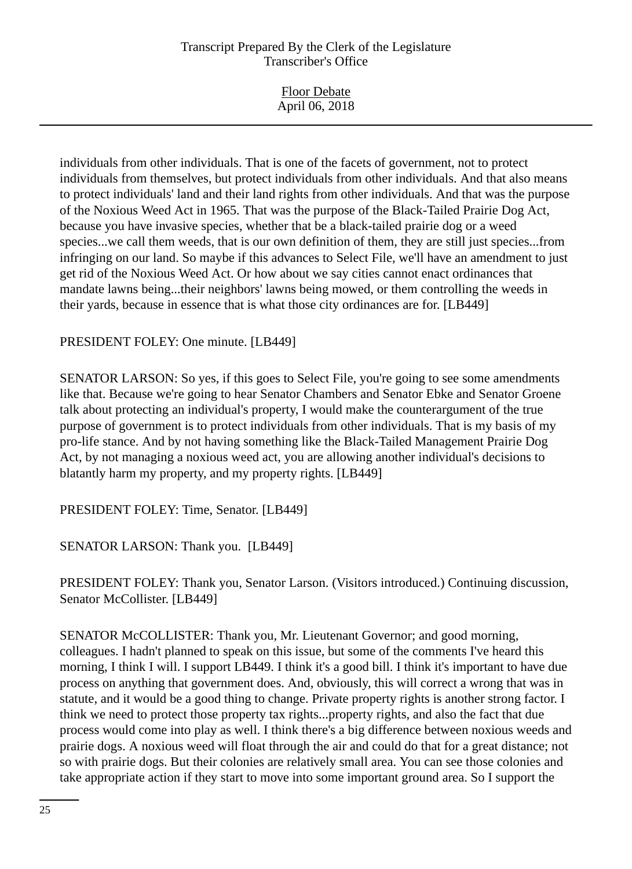| <b>Floor Debate</b> |
|---------------------|
|                     |
| April 06, 2018      |
|                     |

individuals from other individuals. That is one of the facets of government, not to protect individuals from themselves, but protect individuals from other individuals. And that also means to protect individuals' land and their land rights from other individuals. And that was the purpose of the Noxious Weed Act in 1965. That was the purpose of the Black-Tailed Prairie Dog Act, because you have invasive species, whether that be a black-tailed prairie dog or a weed species...we call them weeds, that is our own definition of them, they are still just species...from infringing on our land. So maybe if this advances to Select File, we'll have an amendment to just get rid of the Noxious Weed Act. Or how about we say cities cannot enact ordinances that mandate lawns being...their neighbors' lawns being mowed, or them controlling the weeds in their yards, because in essence that is what those city ordinances are for. [LB449]

## PRESIDENT FOLEY: One minute. [LB449]

SENATOR LARSON: So yes, if this goes to Select File, you're going to see some amendments like that. Because we're going to hear Senator Chambers and Senator Ebke and Senator Groene talk about protecting an individual's property, I would make the counterargument of the true purpose of government is to protect individuals from other individuals. That is my basis of my pro-life stance. And by not having something like the Black-Tailed Management Prairie Dog Act, by not managing a noxious weed act, you are allowing another individual's decisions to blatantly harm my property, and my property rights. [LB449]

PRESIDENT FOLEY: Time, Senator. [LB449]

SENATOR LARSON: Thank you. [LB449]

PRESIDENT FOLEY: Thank you, Senator Larson. (Visitors introduced.) Continuing discussion, Senator McCollister. [LB449]

SENATOR McCOLLISTER: Thank you, Mr. Lieutenant Governor; and good morning, colleagues. I hadn't planned to speak on this issue, but some of the comments I've heard this morning, I think I will. I support LB449. I think it's a good bill. I think it's important to have due process on anything that government does. And, obviously, this will correct a wrong that was in statute, and it would be a good thing to change. Private property rights is another strong factor. I think we need to protect those property tax rights...property rights, and also the fact that due process would come into play as well. I think there's a big difference between noxious weeds and prairie dogs. A noxious weed will float through the air and could do that for a great distance; not so with prairie dogs. But their colonies are relatively small area. You can see those colonies and take appropriate action if they start to move into some important ground area. So I support the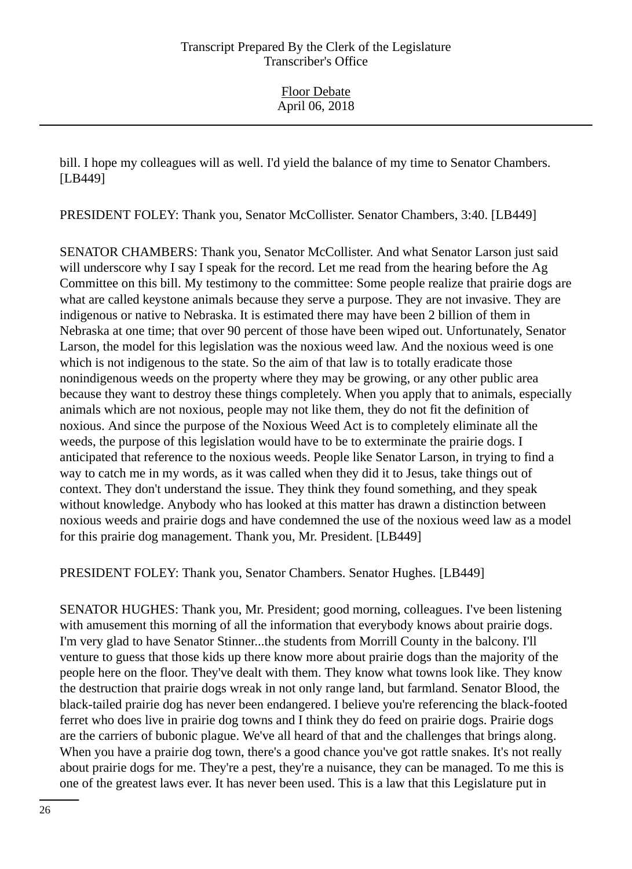bill. I hope my colleagues will as well. I'd yield the balance of my time to Senator Chambers. [LB449]

PRESIDENT FOLEY: Thank you, Senator McCollister. Senator Chambers, 3:40. [LB449]

SENATOR CHAMBERS: Thank you, Senator McCollister. And what Senator Larson just said will underscore why I say I speak for the record. Let me read from the hearing before the Ag Committee on this bill. My testimony to the committee: Some people realize that prairie dogs are what are called keystone animals because they serve a purpose. They are not invasive. They are indigenous or native to Nebraska. It is estimated there may have been 2 billion of them in Nebraska at one time; that over 90 percent of those have been wiped out. Unfortunately, Senator Larson, the model for this legislation was the noxious weed law. And the noxious weed is one which is not indigenous to the state. So the aim of that law is to totally eradicate those nonindigenous weeds on the property where they may be growing, or any other public area because they want to destroy these things completely. When you apply that to animals, especially animals which are not noxious, people may not like them, they do not fit the definition of noxious. And since the purpose of the Noxious Weed Act is to completely eliminate all the weeds, the purpose of this legislation would have to be to exterminate the prairie dogs. I anticipated that reference to the noxious weeds. People like Senator Larson, in trying to find a way to catch me in my words, as it was called when they did it to Jesus, take things out of context. They don't understand the issue. They think they found something, and they speak without knowledge. Anybody who has looked at this matter has drawn a distinction between noxious weeds and prairie dogs and have condemned the use of the noxious weed law as a model for this prairie dog management. Thank you, Mr. President. [LB449]

PRESIDENT FOLEY: Thank you, Senator Chambers. Senator Hughes. [LB449]

SENATOR HUGHES: Thank you, Mr. President; good morning, colleagues. I've been listening with amusement this morning of all the information that everybody knows about prairie dogs. I'm very glad to have Senator Stinner...the students from Morrill County in the balcony. I'll venture to guess that those kids up there know more about prairie dogs than the majority of the people here on the floor. They've dealt with them. They know what towns look like. They know the destruction that prairie dogs wreak in not only range land, but farmland. Senator Blood, the black-tailed prairie dog has never been endangered. I believe you're referencing the black-footed ferret who does live in prairie dog towns and I think they do feed on prairie dogs. Prairie dogs are the carriers of bubonic plague. We've all heard of that and the challenges that brings along. When you have a prairie dog town, there's a good chance you've got rattle snakes. It's not really about prairie dogs for me. They're a pest, they're a nuisance, they can be managed. To me this is one of the greatest laws ever. It has never been used. This is a law that this Legislature put in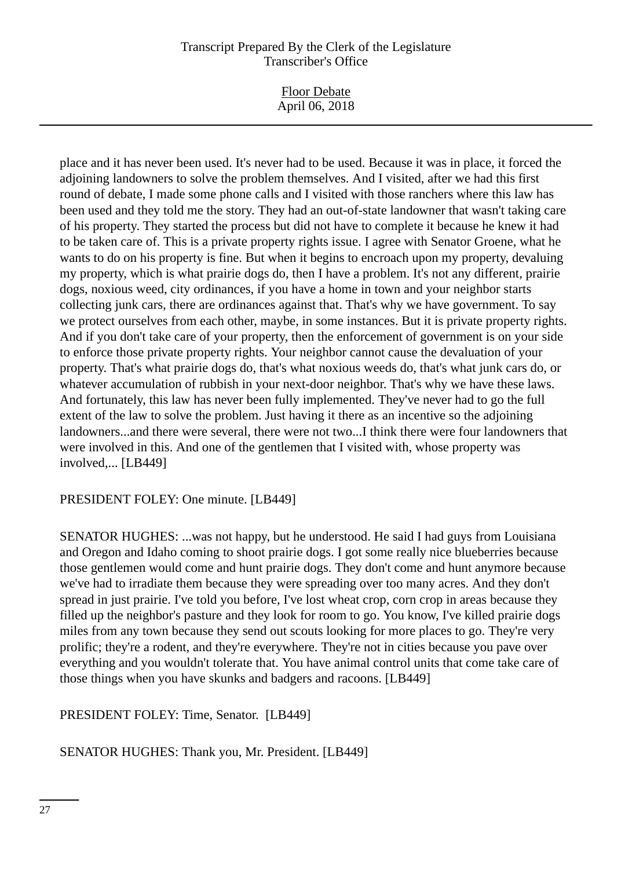|                | <b>Floor Debate</b> |
|----------------|---------------------|
| April 06, 2018 |                     |

place and it has never been used. It's never had to be used. Because it was in place, it forced the adjoining landowners to solve the problem themselves. And I visited, after we had this first round of debate, I made some phone calls and I visited with those ranchers where this law has been used and they told me the story. They had an out-of-state landowner that wasn't taking care of his property. They started the process but did not have to complete it because he knew it had to be taken care of. This is a private property rights issue. I agree with Senator Groene, what he wants to do on his property is fine. But when it begins to encroach upon my property, devaluing my property, which is what prairie dogs do, then I have a problem. It's not any different, prairie dogs, noxious weed, city ordinances, if you have a home in town and your neighbor starts collecting junk cars, there are ordinances against that. That's why we have government. To say we protect ourselves from each other, maybe, in some instances. But it is private property rights. And if you don't take care of your property, then the enforcement of government is on your side to enforce those private property rights. Your neighbor cannot cause the devaluation of your property. That's what prairie dogs do, that's what noxious weeds do, that's what junk cars do, or whatever accumulation of rubbish in your next-door neighbor. That's why we have these laws. And fortunately, this law has never been fully implemented. They've never had to go the full extent of the law to solve the problem. Just having it there as an incentive so the adjoining landowners...and there were several, there were not two...I think there were four landowners that were involved in this. And one of the gentlemen that I visited with, whose property was involved,... [LB449]

#### PRESIDENT FOLEY: One minute. [LB449]

SENATOR HUGHES: ...was not happy, but he understood. He said I had guys from Louisiana and Oregon and Idaho coming to shoot prairie dogs. I got some really nice blueberries because those gentlemen would come and hunt prairie dogs. They don't come and hunt anymore because we've had to irradiate them because they were spreading over too many acres. And they don't spread in just prairie. I've told you before, I've lost wheat crop, corn crop in areas because they filled up the neighbor's pasture and they look for room to go. You know, I've killed prairie dogs miles from any town because they send out scouts looking for more places to go. They're very prolific; they're a rodent, and they're everywhere. They're not in cities because you pave over everything and you wouldn't tolerate that. You have animal control units that come take care of those things when you have skunks and badgers and racoons. [LB449]

PRESIDENT FOLEY: Time, Senator. [LB449]

SENATOR HUGHES: Thank you, Mr. President. [LB449]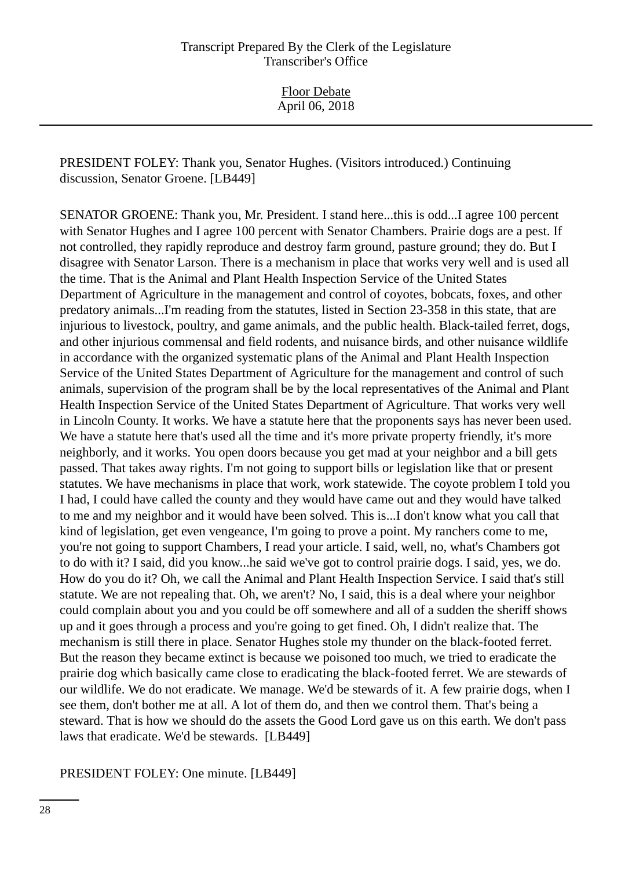Floor Debate April 06, 2018

PRESIDENT FOLEY: Thank you, Senator Hughes. (Visitors introduced.) Continuing discussion, Senator Groene. [LB449]

SENATOR GROENE: Thank you, Mr. President. I stand here...this is odd...I agree 100 percent with Senator Hughes and I agree 100 percent with Senator Chambers. Prairie dogs are a pest. If not controlled, they rapidly reproduce and destroy farm ground, pasture ground; they do. But I disagree with Senator Larson. There is a mechanism in place that works very well and is used all the time. That is the Animal and Plant Health Inspection Service of the United States Department of Agriculture in the management and control of coyotes, bobcats, foxes, and other predatory animals...I'm reading from the statutes, listed in Section 23-358 in this state, that are injurious to livestock, poultry, and game animals, and the public health. Black-tailed ferret, dogs, and other injurious commensal and field rodents, and nuisance birds, and other nuisance wildlife in accordance with the organized systematic plans of the Animal and Plant Health Inspection Service of the United States Department of Agriculture for the management and control of such animals, supervision of the program shall be by the local representatives of the Animal and Plant Health Inspection Service of the United States Department of Agriculture. That works very well in Lincoln County. It works. We have a statute here that the proponents says has never been used. We have a statute here that's used all the time and it's more private property friendly, it's more neighborly, and it works. You open doors because you get mad at your neighbor and a bill gets passed. That takes away rights. I'm not going to support bills or legislation like that or present statutes. We have mechanisms in place that work, work statewide. The coyote problem I told you I had, I could have called the county and they would have came out and they would have talked to me and my neighbor and it would have been solved. This is...I don't know what you call that kind of legislation, get even vengeance, I'm going to prove a point. My ranchers come to me, you're not going to support Chambers, I read your article. I said, well, no, what's Chambers got to do with it? I said, did you know...he said we've got to control prairie dogs. I said, yes, we do. How do you do it? Oh, we call the Animal and Plant Health Inspection Service. I said that's still statute. We are not repealing that. Oh, we aren't? No, I said, this is a deal where your neighbor could complain about you and you could be off somewhere and all of a sudden the sheriff shows up and it goes through a process and you're going to get fined. Oh, I didn't realize that. The mechanism is still there in place. Senator Hughes stole my thunder on the black-footed ferret. But the reason they became extinct is because we poisoned too much, we tried to eradicate the prairie dog which basically came close to eradicating the black-footed ferret. We are stewards of our wildlife. We do not eradicate. We manage. We'd be stewards of it. A few prairie dogs, when I see them, don't bother me at all. A lot of them do, and then we control them. That's being a steward. That is how we should do the assets the Good Lord gave us on this earth. We don't pass laws that eradicate. We'd be stewards. [LB449]

PRESIDENT FOLEY: One minute. [LB449]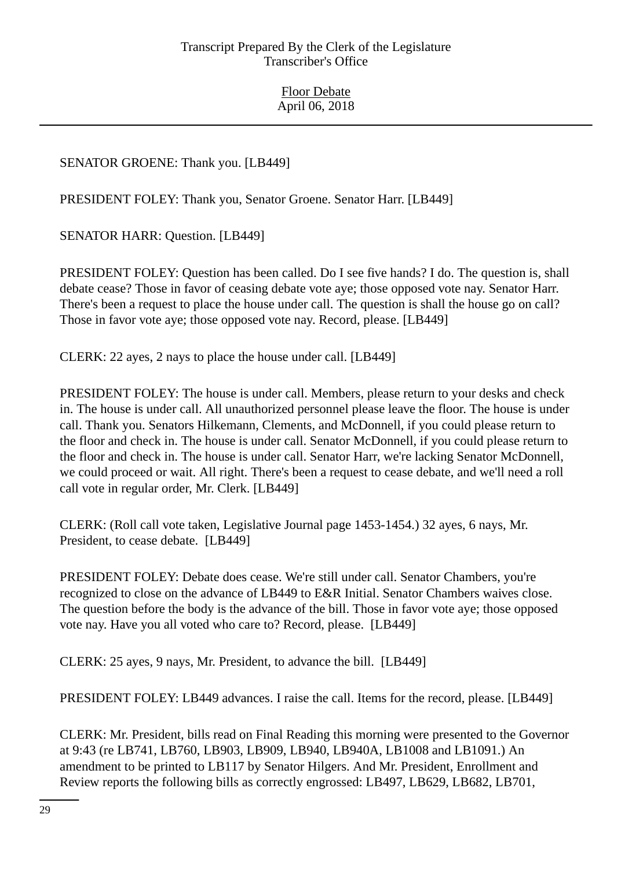SENATOR GROENE: Thank you. [LB449]

PRESIDENT FOLEY: Thank you, Senator Groene. Senator Harr. [LB449]

SENATOR HARR: Question. [LB449]

PRESIDENT FOLEY: Question has been called. Do I see five hands? I do. The question is, shall debate cease? Those in favor of ceasing debate vote aye; those opposed vote nay. Senator Harr. There's been a request to place the house under call. The question is shall the house go on call? Those in favor vote aye; those opposed vote nay. Record, please. [LB449]

CLERK: 22 ayes, 2 nays to place the house under call. [LB449]

PRESIDENT FOLEY: The house is under call. Members, please return to your desks and check in. The house is under call. All unauthorized personnel please leave the floor. The house is under call. Thank you. Senators Hilkemann, Clements, and McDonnell, if you could please return to the floor and check in. The house is under call. Senator McDonnell, if you could please return to the floor and check in. The house is under call. Senator Harr, we're lacking Senator McDonnell, we could proceed or wait. All right. There's been a request to cease debate, and we'll need a roll call vote in regular order, Mr. Clerk. [LB449]

CLERK: (Roll call vote taken, Legislative Journal page 1453-1454.) 32 ayes, 6 nays, Mr. President, to cease debate. [LB449]

PRESIDENT FOLEY: Debate does cease. We're still under call. Senator Chambers, you're recognized to close on the advance of LB449 to E&R Initial. Senator Chambers waives close. The question before the body is the advance of the bill. Those in favor vote aye; those opposed vote nay. Have you all voted who care to? Record, please. [LB449]

CLERK: 25 ayes, 9 nays, Mr. President, to advance the bill. [LB449]

PRESIDENT FOLEY: LB449 advances. I raise the call. Items for the record, please. [LB449]

CLERK: Mr. President, bills read on Final Reading this morning were presented to the Governor at 9:43 (re LB741, LB760, LB903, LB909, LB940, LB940A, LB1008 and LB1091.) An amendment to be printed to LB117 by Senator Hilgers. And Mr. President, Enrollment and Review reports the following bills as correctly engrossed: LB497, LB629, LB682, LB701,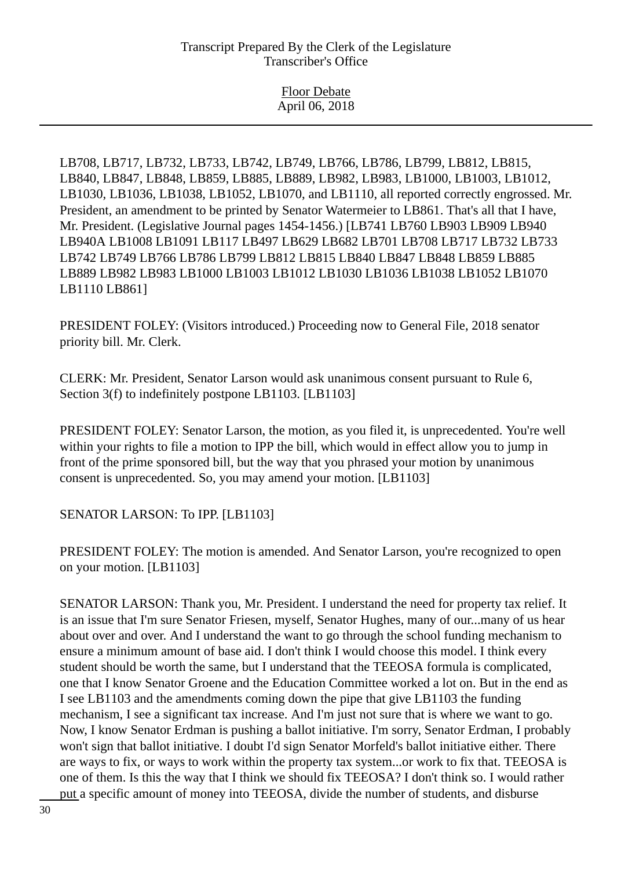Floor Debate April 06, 2018

LB708, LB717, LB732, LB733, LB742, LB749, LB766, LB786, LB799, LB812, LB815, LB840, LB847, LB848, LB859, LB885, LB889, LB982, LB983, LB1000, LB1003, LB1012, LB1030, LB1036, LB1038, LB1052, LB1070, and LB1110, all reported correctly engrossed. Mr. President, an amendment to be printed by Senator Watermeier to LB861. That's all that I have, Mr. President. (Legislative Journal pages 1454-1456.) [LB741 LB760 LB903 LB909 LB940 LB940A LB1008 LB1091 LB117 LB497 LB629 LB682 LB701 LB708 LB717 LB732 LB733 LB742 LB749 LB766 LB786 LB799 LB812 LB815 LB840 LB847 LB848 LB859 LB885 LB889 LB982 LB983 LB1000 LB1003 LB1012 LB1030 LB1036 LB1038 LB1052 LB1070 LB1110 LB861]

PRESIDENT FOLEY: (Visitors introduced.) Proceeding now to General File, 2018 senator priority bill. Mr. Clerk.

CLERK: Mr. President, Senator Larson would ask unanimous consent pursuant to Rule 6, Section 3(f) to indefinitely postpone LB1103. [LB1103]

PRESIDENT FOLEY: Senator Larson, the motion, as you filed it, is unprecedented. You're well within your rights to file a motion to IPP the bill, which would in effect allow you to jump in front of the prime sponsored bill, but the way that you phrased your motion by unanimous consent is unprecedented. So, you may amend your motion. [LB1103]

SENATOR LARSON: To IPP. [LB1103]

PRESIDENT FOLEY: The motion is amended. And Senator Larson, you're recognized to open on your motion. [LB1103]

SENATOR LARSON: Thank you, Mr. President. I understand the need for property tax relief. It is an issue that I'm sure Senator Friesen, myself, Senator Hughes, many of our...many of us hear about over and over. And I understand the want to go through the school funding mechanism to ensure a minimum amount of base aid. I don't think I would choose this model. I think every student should be worth the same, but I understand that the TEEOSA formula is complicated, one that I know Senator Groene and the Education Committee worked a lot on. But in the end as I see LB1103 and the amendments coming down the pipe that give LB1103 the funding mechanism, I see a significant tax increase. And I'm just not sure that is where we want to go. Now, I know Senator Erdman is pushing a ballot initiative. I'm sorry, Senator Erdman, I probably won't sign that ballot initiative. I doubt I'd sign Senator Morfeld's ballot initiative either. There are ways to fix, or ways to work within the property tax system...or work to fix that. TEEOSA is one of them. Is this the way that I think we should fix TEEOSA? I don't think so. I would rather put a specific amount of money into TEEOSA, divide the number of students, and disburse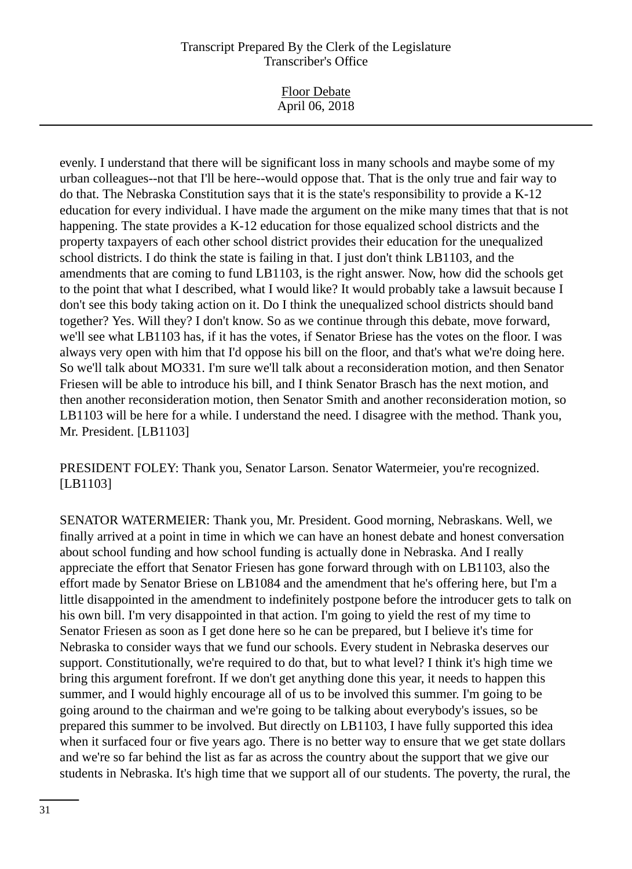Floor Debate April 06, 2018

evenly. I understand that there will be significant loss in many schools and maybe some of my urban colleagues--not that I'll be here--would oppose that. That is the only true and fair way to do that. The Nebraska Constitution says that it is the state's responsibility to provide a K-12 education for every individual. I have made the argument on the mike many times that that is not happening. The state provides a K-12 education for those equalized school districts and the property taxpayers of each other school district provides their education for the unequalized school districts. I do think the state is failing in that. I just don't think LB1103, and the amendments that are coming to fund LB1103, is the right answer. Now, how did the schools get to the point that what I described, what I would like? It would probably take a lawsuit because I don't see this body taking action on it. Do I think the unequalized school districts should band together? Yes. Will they? I don't know. So as we continue through this debate, move forward, we'll see what LB1103 has, if it has the votes, if Senator Briese has the votes on the floor. I was always very open with him that I'd oppose his bill on the floor, and that's what we're doing here. So we'll talk about MO331. I'm sure we'll talk about a reconsideration motion, and then Senator Friesen will be able to introduce his bill, and I think Senator Brasch has the next motion, and then another reconsideration motion, then Senator Smith and another reconsideration motion, so LB1103 will be here for a while. I understand the need. I disagree with the method. Thank you, Mr. President. [LB1103]

PRESIDENT FOLEY: Thank you, Senator Larson. Senator Watermeier, you're recognized. [LB1103]

SENATOR WATERMEIER: Thank you, Mr. President. Good morning, Nebraskans. Well, we finally arrived at a point in time in which we can have an honest debate and honest conversation about school funding and how school funding is actually done in Nebraska. And I really appreciate the effort that Senator Friesen has gone forward through with on LB1103, also the effort made by Senator Briese on LB1084 and the amendment that he's offering here, but I'm a little disappointed in the amendment to indefinitely postpone before the introducer gets to talk on his own bill. I'm very disappointed in that action. I'm going to yield the rest of my time to Senator Friesen as soon as I get done here so he can be prepared, but I believe it's time for Nebraska to consider ways that we fund our schools. Every student in Nebraska deserves our support. Constitutionally, we're required to do that, but to what level? I think it's high time we bring this argument forefront. If we don't get anything done this year, it needs to happen this summer, and I would highly encourage all of us to be involved this summer. I'm going to be going around to the chairman and we're going to be talking about everybody's issues, so be prepared this summer to be involved. But directly on LB1103, I have fully supported this idea when it surfaced four or five years ago. There is no better way to ensure that we get state dollars and we're so far behind the list as far as across the country about the support that we give our students in Nebraska. It's high time that we support all of our students. The poverty, the rural, the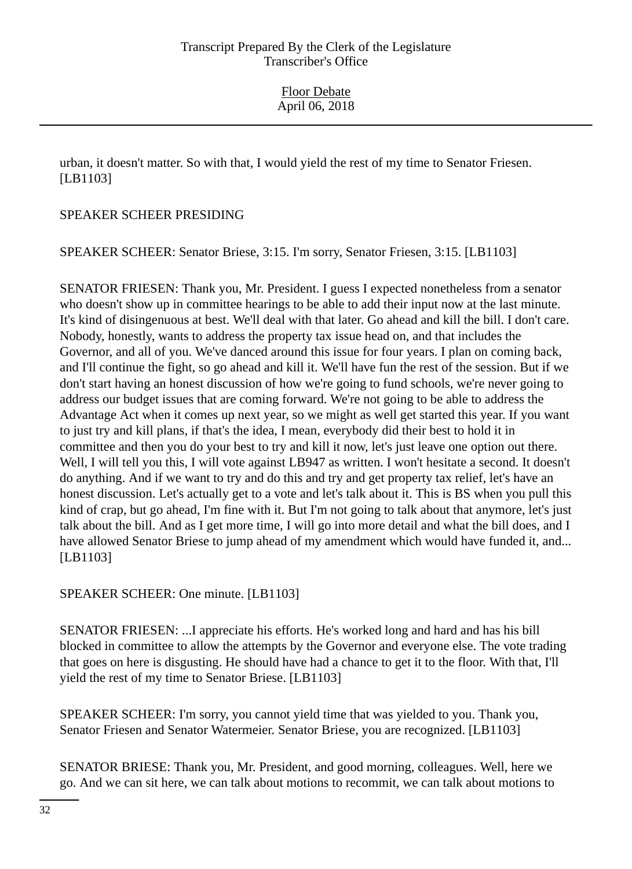urban, it doesn't matter. So with that, I would yield the rest of my time to Senator Friesen. [LB1103]

# SPEAKER SCHEER PRESIDING

SPEAKER SCHEER: Senator Briese, 3:15. I'm sorry, Senator Friesen, 3:15. [LB1103]

SENATOR FRIESEN: Thank you, Mr. President. I guess I expected nonetheless from a senator who doesn't show up in committee hearings to be able to add their input now at the last minute. It's kind of disingenuous at best. We'll deal with that later. Go ahead and kill the bill. I don't care. Nobody, honestly, wants to address the property tax issue head on, and that includes the Governor, and all of you. We've danced around this issue for four years. I plan on coming back, and I'll continue the fight, so go ahead and kill it. We'll have fun the rest of the session. But if we don't start having an honest discussion of how we're going to fund schools, we're never going to address our budget issues that are coming forward. We're not going to be able to address the Advantage Act when it comes up next year, so we might as well get started this year. If you want to just try and kill plans, if that's the idea, I mean, everybody did their best to hold it in committee and then you do your best to try and kill it now, let's just leave one option out there. Well, I will tell you this, I will vote against LB947 as written. I won't hesitate a second. It doesn't do anything. And if we want to try and do this and try and get property tax relief, let's have an honest discussion. Let's actually get to a vote and let's talk about it. This is BS when you pull this kind of crap, but go ahead, I'm fine with it. But I'm not going to talk about that anymore, let's just talk about the bill. And as I get more time, I will go into more detail and what the bill does, and I have allowed Senator Briese to jump ahead of my amendment which would have funded it, and... [LB1103]

SPEAKER SCHEER: One minute. [LB1103]

SENATOR FRIESEN: ...I appreciate his efforts. He's worked long and hard and has his bill blocked in committee to allow the attempts by the Governor and everyone else. The vote trading that goes on here is disgusting. He should have had a chance to get it to the floor. With that, I'll yield the rest of my time to Senator Briese. [LB1103]

SPEAKER SCHEER: I'm sorry, you cannot yield time that was yielded to you. Thank you, Senator Friesen and Senator Watermeier. Senator Briese, you are recognized. [LB1103]

SENATOR BRIESE: Thank you, Mr. President, and good morning, colleagues. Well, here we go. And we can sit here, we can talk about motions to recommit, we can talk about motions to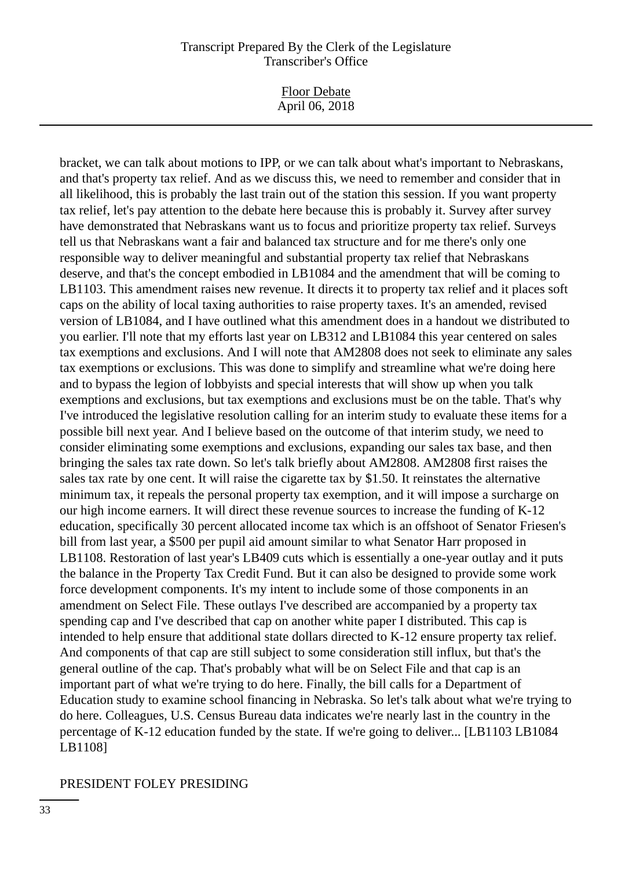Floor Debate April 06, 2018

bracket, we can talk about motions to IPP, or we can talk about what's important to Nebraskans, and that's property tax relief. And as we discuss this, we need to remember and consider that in all likelihood, this is probably the last train out of the station this session. If you want property tax relief, let's pay attention to the debate here because this is probably it. Survey after survey have demonstrated that Nebraskans want us to focus and prioritize property tax relief. Surveys tell us that Nebraskans want a fair and balanced tax structure and for me there's only one responsible way to deliver meaningful and substantial property tax relief that Nebraskans deserve, and that's the concept embodied in LB1084 and the amendment that will be coming to LB1103. This amendment raises new revenue. It directs it to property tax relief and it places soft caps on the ability of local taxing authorities to raise property taxes. It's an amended, revised version of LB1084, and I have outlined what this amendment does in a handout we distributed to you earlier. I'll note that my efforts last year on LB312 and LB1084 this year centered on sales tax exemptions and exclusions. And I will note that AM2808 does not seek to eliminate any sales tax exemptions or exclusions. This was done to simplify and streamline what we're doing here and to bypass the legion of lobbyists and special interests that will show up when you talk exemptions and exclusions, but tax exemptions and exclusions must be on the table. That's why I've introduced the legislative resolution calling for an interim study to evaluate these items for a possible bill next year. And I believe based on the outcome of that interim study, we need to consider eliminating some exemptions and exclusions, expanding our sales tax base, and then bringing the sales tax rate down. So let's talk briefly about AM2808. AM2808 first raises the sales tax rate by one cent. It will raise the cigarette tax by \$1.50. It reinstates the alternative minimum tax, it repeals the personal property tax exemption, and it will impose a surcharge on our high income earners. It will direct these revenue sources to increase the funding of K-12 education, specifically 30 percent allocated income tax which is an offshoot of Senator Friesen's bill from last year, a \$500 per pupil aid amount similar to what Senator Harr proposed in LB1108. Restoration of last year's LB409 cuts which is essentially a one-year outlay and it puts the balance in the Property Tax Credit Fund. But it can also be designed to provide some work force development components. It's my intent to include some of those components in an amendment on Select File. These outlays I've described are accompanied by a property tax spending cap and I've described that cap on another white paper I distributed. This cap is intended to help ensure that additional state dollars directed to K-12 ensure property tax relief. And components of that cap are still subject to some consideration still influx, but that's the general outline of the cap. That's probably what will be on Select File and that cap is an important part of what we're trying to do here. Finally, the bill calls for a Department of Education study to examine school financing in Nebraska. So let's talk about what we're trying to do here. Colleagues, U.S. Census Bureau data indicates we're nearly last in the country in the percentage of K-12 education funded by the state. If we're going to deliver... [LB1103 LB1084 LB1108]

#### PRESIDENT FOLEY PRESIDING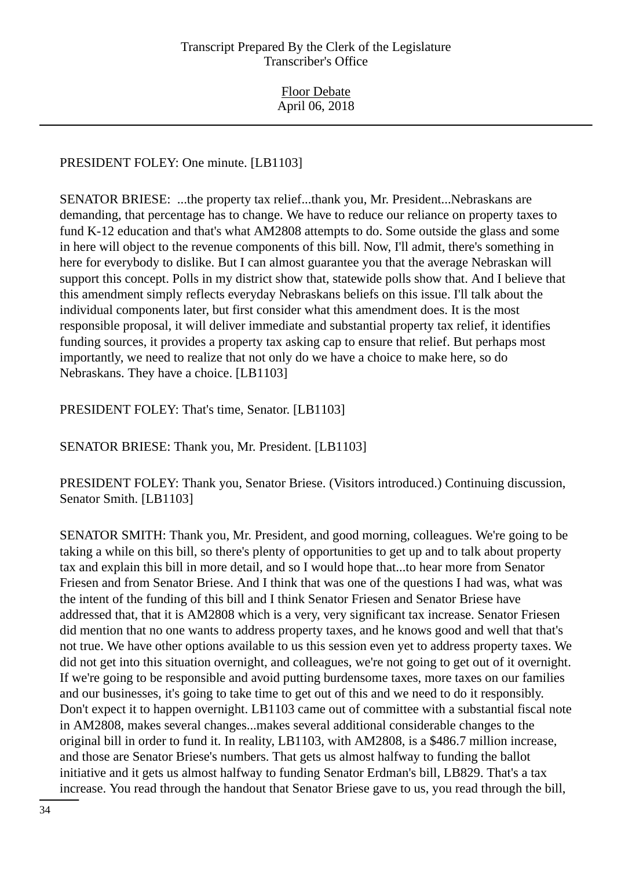## PRESIDENT FOLEY: One minute. [LB1103]

SENATOR BRIESE: ...the property tax relief...thank you, Mr. President...Nebraskans are demanding, that percentage has to change. We have to reduce our reliance on property taxes to fund K-12 education and that's what AM2808 attempts to do. Some outside the glass and some in here will object to the revenue components of this bill. Now, I'll admit, there's something in here for everybody to dislike. But I can almost guarantee you that the average Nebraskan will support this concept. Polls in my district show that, statewide polls show that. And I believe that this amendment simply reflects everyday Nebraskans beliefs on this issue. I'll talk about the individual components later, but first consider what this amendment does. It is the most responsible proposal, it will deliver immediate and substantial property tax relief, it identifies funding sources, it provides a property tax asking cap to ensure that relief. But perhaps most importantly, we need to realize that not only do we have a choice to make here, so do Nebraskans. They have a choice. [LB1103]

## PRESIDENT FOLEY: That's time, Senator. [LB1103]

SENATOR BRIESE: Thank you, Mr. President. [LB1103]

PRESIDENT FOLEY: Thank you, Senator Briese. (Visitors introduced.) Continuing discussion, Senator Smith. [LB1103]

SENATOR SMITH: Thank you, Mr. President, and good morning, colleagues. We're going to be taking a while on this bill, so there's plenty of opportunities to get up and to talk about property tax and explain this bill in more detail, and so I would hope that...to hear more from Senator Friesen and from Senator Briese. And I think that was one of the questions I had was, what was the intent of the funding of this bill and I think Senator Friesen and Senator Briese have addressed that, that it is AM2808 which is a very, very significant tax increase. Senator Friesen did mention that no one wants to address property taxes, and he knows good and well that that's not true. We have other options available to us this session even yet to address property taxes. We did not get into this situation overnight, and colleagues, we're not going to get out of it overnight. If we're going to be responsible and avoid putting burdensome taxes, more taxes on our families and our businesses, it's going to take time to get out of this and we need to do it responsibly. Don't expect it to happen overnight. LB1103 came out of committee with a substantial fiscal note in AM2808, makes several changes...makes several additional considerable changes to the original bill in order to fund it. In reality, LB1103, with AM2808, is a \$486.7 million increase, and those are Senator Briese's numbers. That gets us almost halfway to funding the ballot initiative and it gets us almost halfway to funding Senator Erdman's bill, LB829. That's a tax increase. You read through the handout that Senator Briese gave to us, you read through the bill,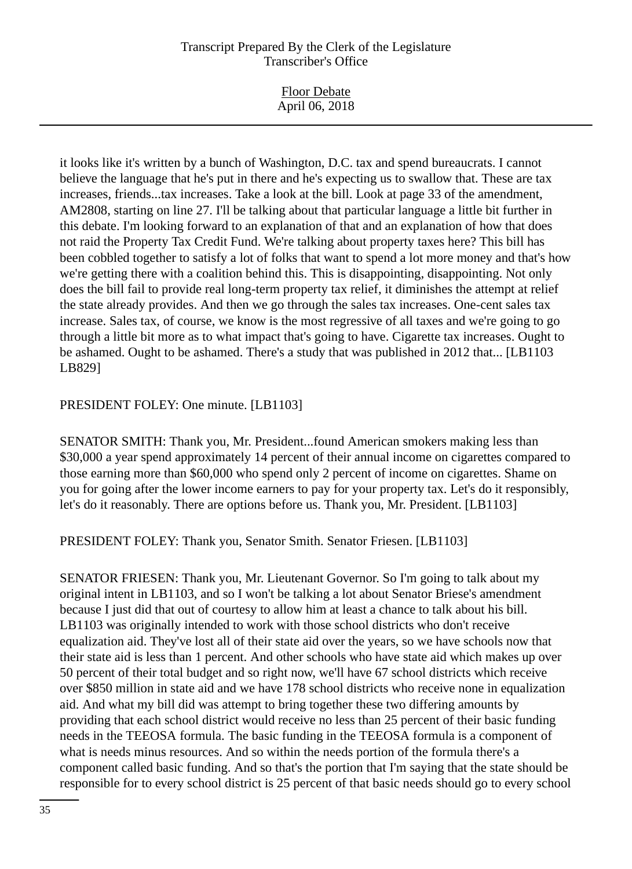| <b>Floor Debate</b><br>April 06, 2018 |
|---------------------------------------|
|                                       |

it looks like it's written by a bunch of Washington, D.C. tax and spend bureaucrats. I cannot believe the language that he's put in there and he's expecting us to swallow that. These are tax increases, friends...tax increases. Take a look at the bill. Look at page 33 of the amendment, AM2808, starting on line 27. I'll be talking about that particular language a little bit further in this debate. I'm looking forward to an explanation of that and an explanation of how that does not raid the Property Tax Credit Fund. We're talking about property taxes here? This bill has been cobbled together to satisfy a lot of folks that want to spend a lot more money and that's how we're getting there with a coalition behind this. This is disappointing, disappointing. Not only does the bill fail to provide real long-term property tax relief, it diminishes the attempt at relief the state already provides. And then we go through the sales tax increases. One-cent sales tax increase. Sales tax, of course, we know is the most regressive of all taxes and we're going to go through a little bit more as to what impact that's going to have. Cigarette tax increases. Ought to be ashamed. Ought to be ashamed. There's a study that was published in 2012 that... [LB1103 LB829]

#### PRESIDENT FOLEY: One minute. [LB1103]

SENATOR SMITH: Thank you, Mr. President...found American smokers making less than \$30,000 a year spend approximately 14 percent of their annual income on cigarettes compared to those earning more than \$60,000 who spend only 2 percent of income on cigarettes. Shame on you for going after the lower income earners to pay for your property tax. Let's do it responsibly, let's do it reasonably. There are options before us. Thank you, Mr. President. [LB1103]

PRESIDENT FOLEY: Thank you, Senator Smith. Senator Friesen. [LB1103]

SENATOR FRIESEN: Thank you, Mr. Lieutenant Governor. So I'm going to talk about my original intent in LB1103, and so I won't be talking a lot about Senator Briese's amendment because I just did that out of courtesy to allow him at least a chance to talk about his bill. LB1103 was originally intended to work with those school districts who don't receive equalization aid. They've lost all of their state aid over the years, so we have schools now that their state aid is less than 1 percent. And other schools who have state aid which makes up over 50 percent of their total budget and so right now, we'll have 67 school districts which receive over \$850 million in state aid and we have 178 school districts who receive none in equalization aid. And what my bill did was attempt to bring together these two differing amounts by providing that each school district would receive no less than 25 percent of their basic funding needs in the TEEOSA formula. The basic funding in the TEEOSA formula is a component of what is needs minus resources. And so within the needs portion of the formula there's a component called basic funding. And so that's the portion that I'm saying that the state should be responsible for to every school district is 25 percent of that basic needs should go to every school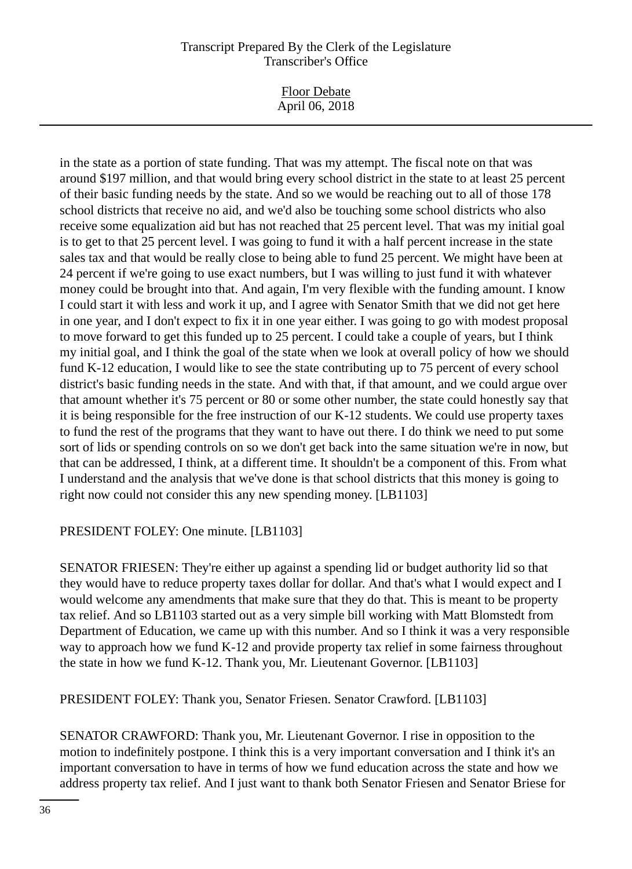Floor Debate April 06, 2018

in the state as a portion of state funding. That was my attempt. The fiscal note on that was around \$197 million, and that would bring every school district in the state to at least 25 percent of their basic funding needs by the state. And so we would be reaching out to all of those 178 school districts that receive no aid, and we'd also be touching some school districts who also receive some equalization aid but has not reached that 25 percent level. That was my initial goal is to get to that 25 percent level. I was going to fund it with a half percent increase in the state sales tax and that would be really close to being able to fund 25 percent. We might have been at 24 percent if we're going to use exact numbers, but I was willing to just fund it with whatever money could be brought into that. And again, I'm very flexible with the funding amount. I know I could start it with less and work it up, and I agree with Senator Smith that we did not get here in one year, and I don't expect to fix it in one year either. I was going to go with modest proposal to move forward to get this funded up to 25 percent. I could take a couple of years, but I think my initial goal, and I think the goal of the state when we look at overall policy of how we should fund K-12 education, I would like to see the state contributing up to 75 percent of every school district's basic funding needs in the state. And with that, if that amount, and we could argue over that amount whether it's 75 percent or 80 or some other number, the state could honestly say that it is being responsible for the free instruction of our K-12 students. We could use property taxes to fund the rest of the programs that they want to have out there. I do think we need to put some sort of lids or spending controls on so we don't get back into the same situation we're in now, but that can be addressed, I think, at a different time. It shouldn't be a component of this. From what I understand and the analysis that we've done is that school districts that this money is going to right now could not consider this any new spending money. [LB1103]

## PRESIDENT FOLEY: One minute. [LB1103]

SENATOR FRIESEN: They're either up against a spending lid or budget authority lid so that they would have to reduce property taxes dollar for dollar. And that's what I would expect and I would welcome any amendments that make sure that they do that. This is meant to be property tax relief. And so LB1103 started out as a very simple bill working with Matt Blomstedt from Department of Education, we came up with this number. And so I think it was a very responsible way to approach how we fund K-12 and provide property tax relief in some fairness throughout the state in how we fund K-12. Thank you, Mr. Lieutenant Governor. [LB1103]

PRESIDENT FOLEY: Thank you, Senator Friesen. Senator Crawford. [LB1103]

SENATOR CRAWFORD: Thank you, Mr. Lieutenant Governor. I rise in opposition to the motion to indefinitely postpone. I think this is a very important conversation and I think it's an important conversation to have in terms of how we fund education across the state and how we address property tax relief. And I just want to thank both Senator Friesen and Senator Briese for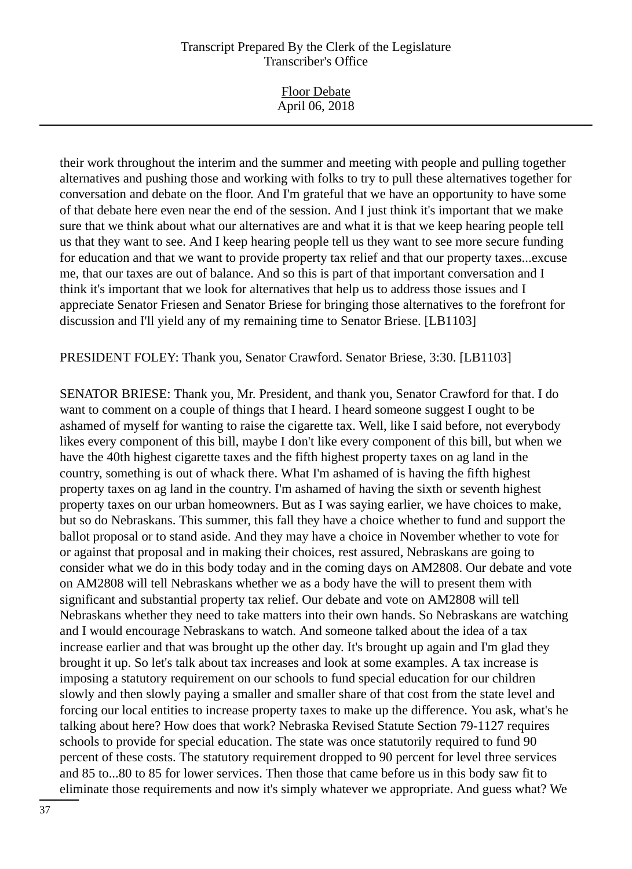| <b>Floor Debate</b><br>April 06, 2018 |
|---------------------------------------|
|                                       |

their work throughout the interim and the summer and meeting with people and pulling together alternatives and pushing those and working with folks to try to pull these alternatives together for conversation and debate on the floor. And I'm grateful that we have an opportunity to have some of that debate here even near the end of the session. And I just think it's important that we make sure that we think about what our alternatives are and what it is that we keep hearing people tell us that they want to see. And I keep hearing people tell us they want to see more secure funding for education and that we want to provide property tax relief and that our property taxes...excuse me, that our taxes are out of balance. And so this is part of that important conversation and I think it's important that we look for alternatives that help us to address those issues and I appreciate Senator Friesen and Senator Briese for bringing those alternatives to the forefront for discussion and I'll yield any of my remaining time to Senator Briese. [LB1103]

PRESIDENT FOLEY: Thank you, Senator Crawford. Senator Briese, 3:30. [LB1103]

SENATOR BRIESE: Thank you, Mr. President, and thank you, Senator Crawford for that. I do want to comment on a couple of things that I heard. I heard someone suggest I ought to be ashamed of myself for wanting to raise the cigarette tax. Well, like I said before, not everybody likes every component of this bill, maybe I don't like every component of this bill, but when we have the 40th highest cigarette taxes and the fifth highest property taxes on ag land in the country, something is out of whack there. What I'm ashamed of is having the fifth highest property taxes on ag land in the country. I'm ashamed of having the sixth or seventh highest property taxes on our urban homeowners. But as I was saying earlier, we have choices to make, but so do Nebraskans. This summer, this fall they have a choice whether to fund and support the ballot proposal or to stand aside. And they may have a choice in November whether to vote for or against that proposal and in making their choices, rest assured, Nebraskans are going to consider what we do in this body today and in the coming days on AM2808. Our debate and vote on AM2808 will tell Nebraskans whether we as a body have the will to present them with significant and substantial property tax relief. Our debate and vote on AM2808 will tell Nebraskans whether they need to take matters into their own hands. So Nebraskans are watching and I would encourage Nebraskans to watch. And someone talked about the idea of a tax increase earlier and that was brought up the other day. It's brought up again and I'm glad they brought it up. So let's talk about tax increases and look at some examples. A tax increase is imposing a statutory requirement on our schools to fund special education for our children slowly and then slowly paying a smaller and smaller share of that cost from the state level and forcing our local entities to increase property taxes to make up the difference. You ask, what's he talking about here? How does that work? Nebraska Revised Statute Section 79-1127 requires schools to provide for special education. The state was once statutorily required to fund 90 percent of these costs. The statutory requirement dropped to 90 percent for level three services and 85 to...80 to 85 for lower services. Then those that came before us in this body saw fit to eliminate those requirements and now it's simply whatever we appropriate. And guess what? We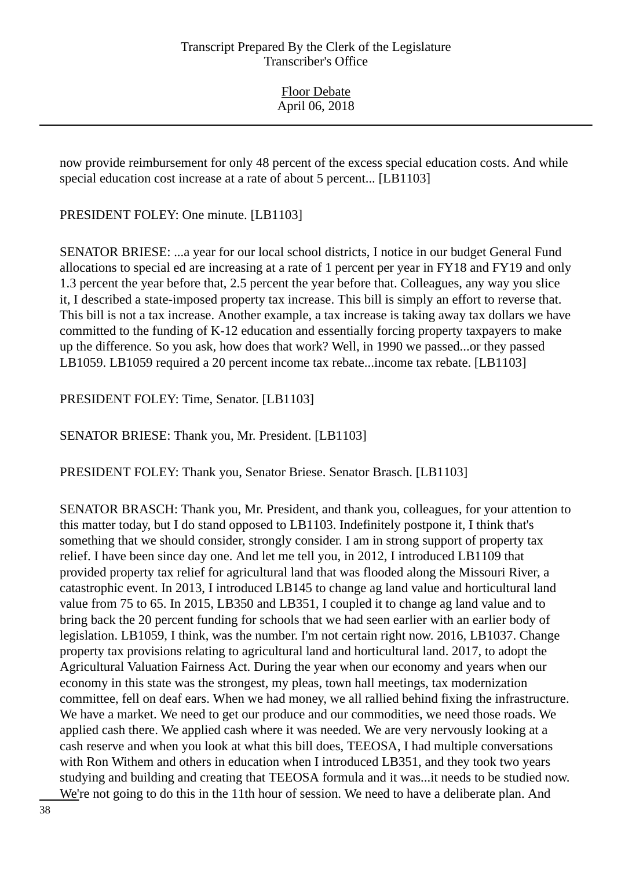Floor Debate April 06, 2018

now provide reimbursement for only 48 percent of the excess special education costs. And while special education cost increase at a rate of about 5 percent... [LB1103]

PRESIDENT FOLEY: One minute. [LB1103]

SENATOR BRIESE: ...a year for our local school districts, I notice in our budget General Fund allocations to special ed are increasing at a rate of 1 percent per year in FY18 and FY19 and only 1.3 percent the year before that, 2.5 percent the year before that. Colleagues, any way you slice it, I described a state-imposed property tax increase. This bill is simply an effort to reverse that. This bill is not a tax increase. Another example, a tax increase is taking away tax dollars we have committed to the funding of K-12 education and essentially forcing property taxpayers to make up the difference. So you ask, how does that work? Well, in 1990 we passed...or they passed LB1059. LB1059 required a 20 percent income tax rebate...income tax rebate. [LB1103]

PRESIDENT FOLEY: Time, Senator. [LB1103]

SENATOR BRIESE: Thank you, Mr. President. [LB1103]

PRESIDENT FOLEY: Thank you, Senator Briese. Senator Brasch. [LB1103]

SENATOR BRASCH: Thank you, Mr. President, and thank you, colleagues, for your attention to this matter today, but I do stand opposed to LB1103. Indefinitely postpone it, I think that's something that we should consider, strongly consider. I am in strong support of property tax relief. I have been since day one. And let me tell you, in 2012, I introduced LB1109 that provided property tax relief for agricultural land that was flooded along the Missouri River, a catastrophic event. In 2013, I introduced LB145 to change ag land value and horticultural land value from 75 to 65. In 2015, LB350 and LB351, I coupled it to change ag land value and to bring back the 20 percent funding for schools that we had seen earlier with an earlier body of legislation. LB1059, I think, was the number. I'm not certain right now. 2016, LB1037. Change property tax provisions relating to agricultural land and horticultural land. 2017, to adopt the Agricultural Valuation Fairness Act. During the year when our economy and years when our economy in this state was the strongest, my pleas, town hall meetings, tax modernization committee, fell on deaf ears. When we had money, we all rallied behind fixing the infrastructure. We have a market. We need to get our produce and our commodities, we need those roads. We applied cash there. We applied cash where it was needed. We are very nervously looking at a cash reserve and when you look at what this bill does, TEEOSA, I had multiple conversations with Ron Withem and others in education when I introduced LB351, and they took two years studying and building and creating that TEEOSA formula and it was...it needs to be studied now. We're not going to do this in the 11th hour of session. We need to have a deliberate plan. And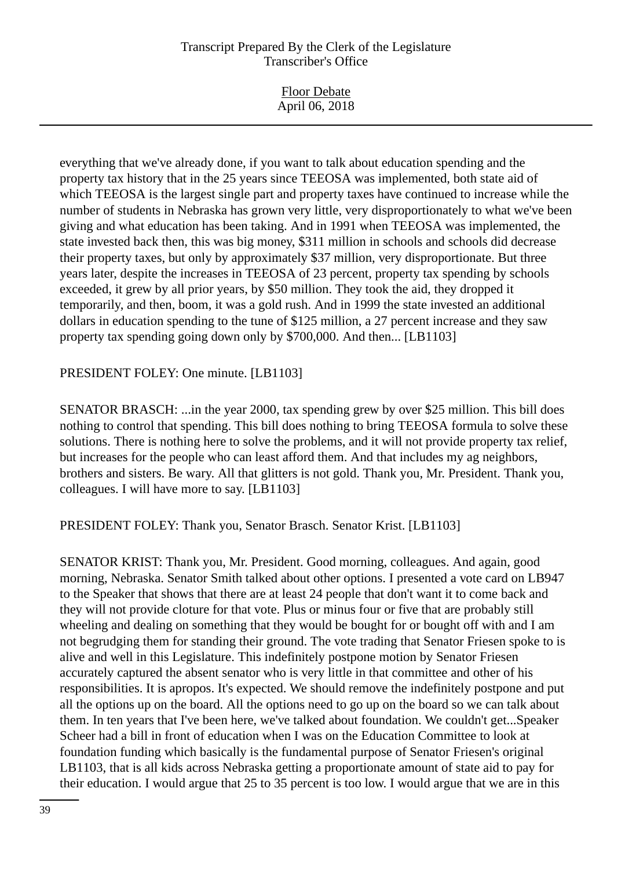| <b>Floor Debate</b><br>April 06, 2018 |
|---------------------------------------|
|---------------------------------------|

everything that we've already done, if you want to talk about education spending and the property tax history that in the 25 years since TEEOSA was implemented, both state aid of which TEEOSA is the largest single part and property taxes have continued to increase while the number of students in Nebraska has grown very little, very disproportionately to what we've been giving and what education has been taking. And in 1991 when TEEOSA was implemented, the state invested back then, this was big money, \$311 million in schools and schools did decrease their property taxes, but only by approximately \$37 million, very disproportionate. But three years later, despite the increases in TEEOSA of 23 percent, property tax spending by schools exceeded, it grew by all prior years, by \$50 million. They took the aid, they dropped it temporarily, and then, boom, it was a gold rush. And in 1999 the state invested an additional dollars in education spending to the tune of \$125 million, a 27 percent increase and they saw property tax spending going down only by \$700,000. And then... [LB1103]

#### PRESIDENT FOLEY: One minute. [LB1103]

SENATOR BRASCH: ...in the year 2000, tax spending grew by over \$25 million. This bill does nothing to control that spending. This bill does nothing to bring TEEOSA formula to solve these solutions. There is nothing here to solve the problems, and it will not provide property tax relief, but increases for the people who can least afford them. And that includes my ag neighbors, brothers and sisters. Be wary. All that glitters is not gold. Thank you, Mr. President. Thank you, colleagues. I will have more to say. [LB1103]

PRESIDENT FOLEY: Thank you, Senator Brasch. Senator Krist. [LB1103]

SENATOR KRIST: Thank you, Mr. President. Good morning, colleagues. And again, good morning, Nebraska. Senator Smith talked about other options. I presented a vote card on LB947 to the Speaker that shows that there are at least 24 people that don't want it to come back and they will not provide cloture for that vote. Plus or minus four or five that are probably still wheeling and dealing on something that they would be bought for or bought off with and I am not begrudging them for standing their ground. The vote trading that Senator Friesen spoke to is alive and well in this Legislature. This indefinitely postpone motion by Senator Friesen accurately captured the absent senator who is very little in that committee and other of his responsibilities. It is apropos. It's expected. We should remove the indefinitely postpone and put all the options up on the board. All the options need to go up on the board so we can talk about them. In ten years that I've been here, we've talked about foundation. We couldn't get...Speaker Scheer had a bill in front of education when I was on the Education Committee to look at foundation funding which basically is the fundamental purpose of Senator Friesen's original LB1103, that is all kids across Nebraska getting a proportionate amount of state aid to pay for their education. I would argue that 25 to 35 percent is too low. I would argue that we are in this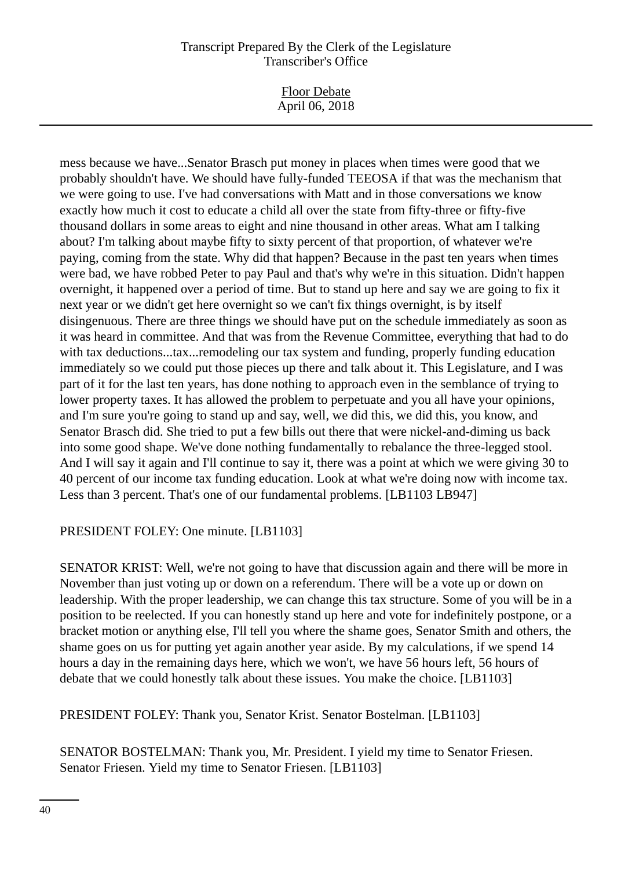| <b>Floor Debate</b> |  |  |
|---------------------|--|--|
| April 06, 2018      |  |  |

mess because we have...Senator Brasch put money in places when times were good that we probably shouldn't have. We should have fully-funded TEEOSA if that was the mechanism that we were going to use. I've had conversations with Matt and in those conversations we know exactly how much it cost to educate a child all over the state from fifty-three or fifty-five thousand dollars in some areas to eight and nine thousand in other areas. What am I talking about? I'm talking about maybe fifty to sixty percent of that proportion, of whatever we're paying, coming from the state. Why did that happen? Because in the past ten years when times were bad, we have robbed Peter to pay Paul and that's why we're in this situation. Didn't happen overnight, it happened over a period of time. But to stand up here and say we are going to fix it next year or we didn't get here overnight so we can't fix things overnight, is by itself disingenuous. There are three things we should have put on the schedule immediately as soon as it was heard in committee. And that was from the Revenue Committee, everything that had to do with tax deductions...tax...remodeling our tax system and funding, properly funding education immediately so we could put those pieces up there and talk about it. This Legislature, and I was part of it for the last ten years, has done nothing to approach even in the semblance of trying to lower property taxes. It has allowed the problem to perpetuate and you all have your opinions, and I'm sure you're going to stand up and say, well, we did this, we did this, you know, and Senator Brasch did. She tried to put a few bills out there that were nickel-and-diming us back into some good shape. We've done nothing fundamentally to rebalance the three-legged stool. And I will say it again and I'll continue to say it, there was a point at which we were giving 30 to 40 percent of our income tax funding education. Look at what we're doing now with income tax. Less than 3 percent. That's one of our fundamental problems. [LB1103 LB947]

# PRESIDENT FOLEY: One minute. [LB1103]

SENATOR KRIST: Well, we're not going to have that discussion again and there will be more in November than just voting up or down on a referendum. There will be a vote up or down on leadership. With the proper leadership, we can change this tax structure. Some of you will be in a position to be reelected. If you can honestly stand up here and vote for indefinitely postpone, or a bracket motion or anything else, I'll tell you where the shame goes, Senator Smith and others, the shame goes on us for putting yet again another year aside. By my calculations, if we spend 14 hours a day in the remaining days here, which we won't, we have 56 hours left, 56 hours of debate that we could honestly talk about these issues. You make the choice. [LB1103]

PRESIDENT FOLEY: Thank you, Senator Krist. Senator Bostelman. [LB1103]

SENATOR BOSTELMAN: Thank you, Mr. President. I yield my time to Senator Friesen. Senator Friesen. Yield my time to Senator Friesen. [LB1103]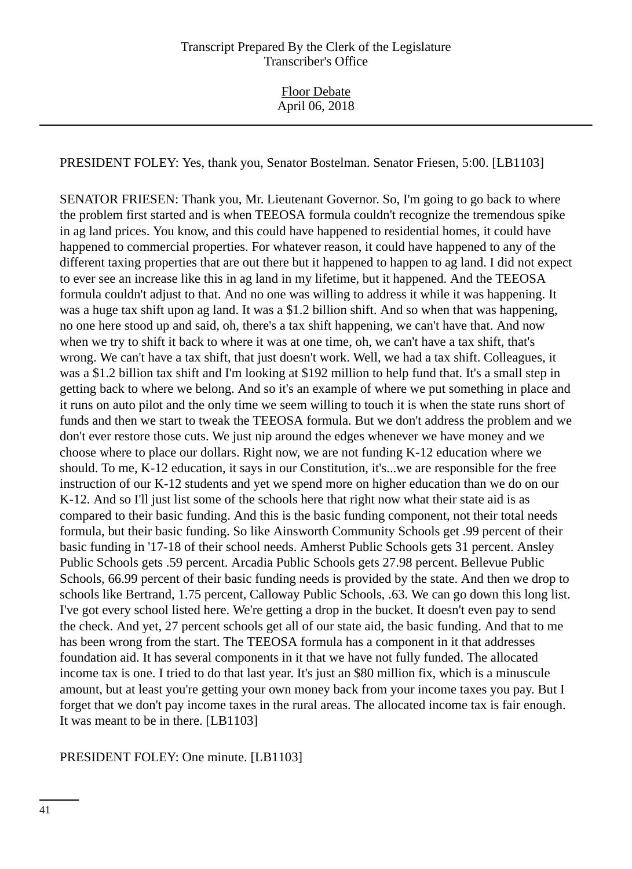PRESIDENT FOLEY: Yes, thank you, Senator Bostelman. Senator Friesen, 5:00. [LB1103]

SENATOR FRIESEN: Thank you, Mr. Lieutenant Governor. So, I'm going to go back to where the problem first started and is when TEEOSA formula couldn't recognize the tremendous spike in ag land prices. You know, and this could have happened to residential homes, it could have happened to commercial properties. For whatever reason, it could have happened to any of the different taxing properties that are out there but it happened to happen to ag land. I did not expect to ever see an increase like this in ag land in my lifetime, but it happened. And the TEEOSA formula couldn't adjust to that. And no one was willing to address it while it was happening. It was a huge tax shift upon ag land. It was a \$1.2 billion shift. And so when that was happening, no one here stood up and said, oh, there's a tax shift happening, we can't have that. And now when we try to shift it back to where it was at one time, oh, we can't have a tax shift, that's wrong. We can't have a tax shift, that just doesn't work. Well, we had a tax shift. Colleagues, it was a \$1.2 billion tax shift and I'm looking at \$192 million to help fund that. It's a small step in getting back to where we belong. And so it's an example of where we put something in place and it runs on auto pilot and the only time we seem willing to touch it is when the state runs short of funds and then we start to tweak the TEEOSA formula. But we don't address the problem and we don't ever restore those cuts. We just nip around the edges whenever we have money and we choose where to place our dollars. Right now, we are not funding K-12 education where we should. To me, K-12 education, it says in our Constitution, it's...we are responsible for the free instruction of our K-12 students and yet we spend more on higher education than we do on our K-12. And so I'll just list some of the schools here that right now what their state aid is as compared to their basic funding. And this is the basic funding component, not their total needs formula, but their basic funding. So like Ainsworth Community Schools get .99 percent of their basic funding in '17-18 of their school needs. Amherst Public Schools gets 31 percent. Ansley Public Schools gets .59 percent. Arcadia Public Schools gets 27.98 percent. Bellevue Public Schools, 66.99 percent of their basic funding needs is provided by the state. And then we drop to schools like Bertrand, 1.75 percent, Calloway Public Schools, .63. We can go down this long list. I've got every school listed here. We're getting a drop in the bucket. It doesn't even pay to send the check. And yet, 27 percent schools get all of our state aid, the basic funding. And that to me has been wrong from the start. The TEEOSA formula has a component in it that addresses foundation aid. It has several components in it that we have not fully funded. The allocated income tax is one. I tried to do that last year. It's just an \$80 million fix, which is a minuscule amount, but at least you're getting your own money back from your income taxes you pay. But I forget that we don't pay income taxes in the rural areas. The allocated income tax is fair enough. It was meant to be in there. [LB1103]

PRESIDENT FOLEY: One minute. [LB1103]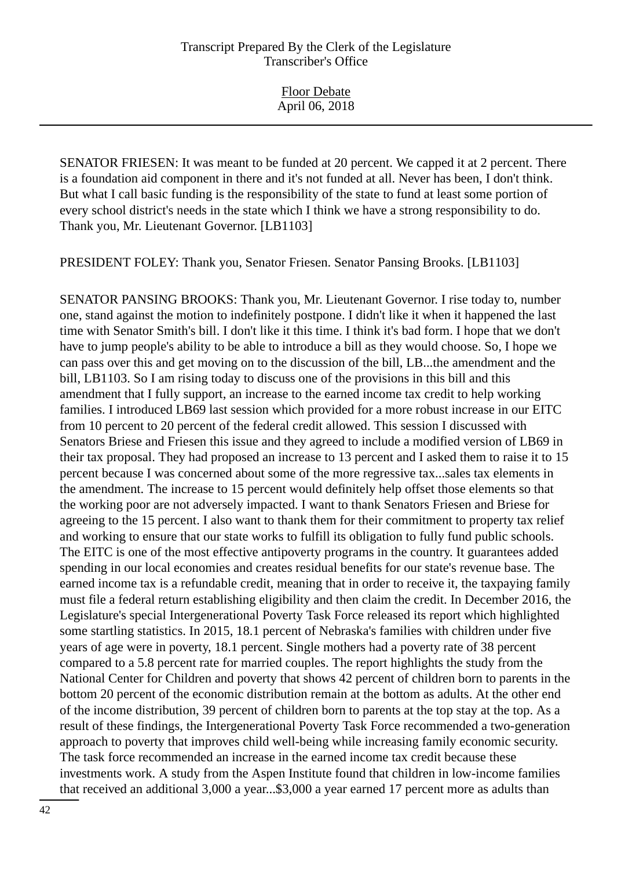Floor Debate April 06, 2018

SENATOR FRIESEN: It was meant to be funded at 20 percent. We capped it at 2 percent. There is a foundation aid component in there and it's not funded at all. Never has been, I don't think. But what I call basic funding is the responsibility of the state to fund at least some portion of every school district's needs in the state which I think we have a strong responsibility to do. Thank you, Mr. Lieutenant Governor. [LB1103]

PRESIDENT FOLEY: Thank you, Senator Friesen. Senator Pansing Brooks. [LB1103]

SENATOR PANSING BROOKS: Thank you, Mr. Lieutenant Governor. I rise today to, number one, stand against the motion to indefinitely postpone. I didn't like it when it happened the last time with Senator Smith's bill. I don't like it this time. I think it's bad form. I hope that we don't have to jump people's ability to be able to introduce a bill as they would choose. So, I hope we can pass over this and get moving on to the discussion of the bill, LB...the amendment and the bill, LB1103. So I am rising today to discuss one of the provisions in this bill and this amendment that I fully support, an increase to the earned income tax credit to help working families. I introduced LB69 last session which provided for a more robust increase in our EITC from 10 percent to 20 percent of the federal credit allowed. This session I discussed with Senators Briese and Friesen this issue and they agreed to include a modified version of LB69 in their tax proposal. They had proposed an increase to 13 percent and I asked them to raise it to 15 percent because I was concerned about some of the more regressive tax...sales tax elements in the amendment. The increase to 15 percent would definitely help offset those elements so that the working poor are not adversely impacted. I want to thank Senators Friesen and Briese for agreeing to the 15 percent. I also want to thank them for their commitment to property tax relief and working to ensure that our state works to fulfill its obligation to fully fund public schools. The EITC is one of the most effective antipoverty programs in the country. It guarantees added spending in our local economies and creates residual benefits for our state's revenue base. The earned income tax is a refundable credit, meaning that in order to receive it, the taxpaying family must file a federal return establishing eligibility and then claim the credit. In December 2016, the Legislature's special Intergenerational Poverty Task Force released its report which highlighted some startling statistics. In 2015, 18.1 percent of Nebraska's families with children under five years of age were in poverty, 18.1 percent. Single mothers had a poverty rate of 38 percent compared to a 5.8 percent rate for married couples. The report highlights the study from the National Center for Children and poverty that shows 42 percent of children born to parents in the bottom 20 percent of the economic distribution remain at the bottom as adults. At the other end of the income distribution, 39 percent of children born to parents at the top stay at the top. As a result of these findings, the Intergenerational Poverty Task Force recommended a two-generation approach to poverty that improves child well-being while increasing family economic security. The task force recommended an increase in the earned income tax credit because these investments work. A study from the Aspen Institute found that children in low-income families that received an additional 3,000 a year...\$3,000 a year earned 17 percent more as adults than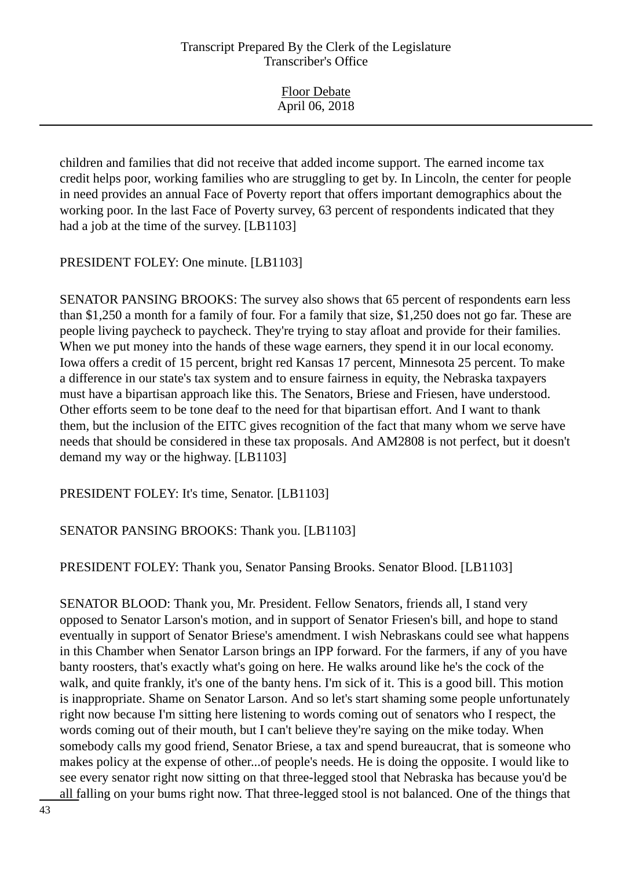Floor Debate April 06, 2018

children and families that did not receive that added income support. The earned income tax credit helps poor, working families who are struggling to get by. In Lincoln, the center for people in need provides an annual Face of Poverty report that offers important demographics about the working poor. In the last Face of Poverty survey, 63 percent of respondents indicated that they had a job at the time of the survey. [LB1103]

PRESIDENT FOLEY: One minute. [LB1103]

SENATOR PANSING BROOKS: The survey also shows that 65 percent of respondents earn less than \$1,250 a month for a family of four. For a family that size, \$1,250 does not go far. These are people living paycheck to paycheck. They're trying to stay afloat and provide for their families. When we put money into the hands of these wage earners, they spend it in our local economy. Iowa offers a credit of 15 percent, bright red Kansas 17 percent, Minnesota 25 percent. To make a difference in our state's tax system and to ensure fairness in equity, the Nebraska taxpayers must have a bipartisan approach like this. The Senators, Briese and Friesen, have understood. Other efforts seem to be tone deaf to the need for that bipartisan effort. And I want to thank them, but the inclusion of the EITC gives recognition of the fact that many whom we serve have needs that should be considered in these tax proposals. And AM2808 is not perfect, but it doesn't demand my way or the highway. [LB1103]

PRESIDENT FOLEY: It's time, Senator. [LB1103]

# SENATOR PANSING BROOKS: Thank you. [LB1103]

PRESIDENT FOLEY: Thank you, Senator Pansing Brooks. Senator Blood. [LB1103]

SENATOR BLOOD: Thank you, Mr. President. Fellow Senators, friends all, I stand very opposed to Senator Larson's motion, and in support of Senator Friesen's bill, and hope to stand eventually in support of Senator Briese's amendment. I wish Nebraskans could see what happens in this Chamber when Senator Larson brings an IPP forward. For the farmers, if any of you have banty roosters, that's exactly what's going on here. He walks around like he's the cock of the walk, and quite frankly, it's one of the banty hens. I'm sick of it. This is a good bill. This motion is inappropriate. Shame on Senator Larson. And so let's start shaming some people unfortunately right now because I'm sitting here listening to words coming out of senators who I respect, the words coming out of their mouth, but I can't believe they're saying on the mike today. When somebody calls my good friend, Senator Briese, a tax and spend bureaucrat, that is someone who makes policy at the expense of other...of people's needs. He is doing the opposite. I would like to see every senator right now sitting on that three-legged stool that Nebraska has because you'd be all falling on your bums right now. That three-legged stool is not balanced. One of the things that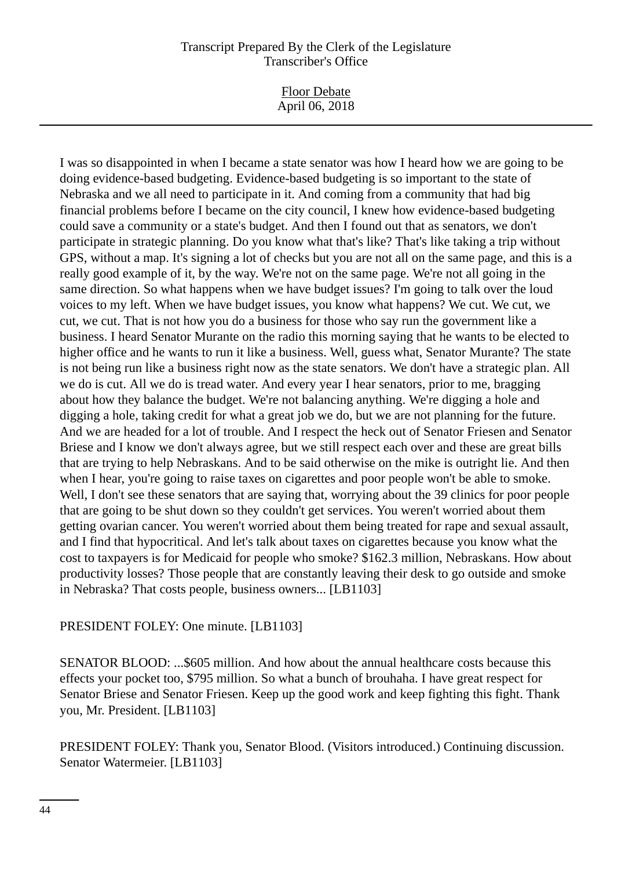Floor Debate April 06, 2018

I was so disappointed in when I became a state senator was how I heard how we are going to be doing evidence-based budgeting. Evidence-based budgeting is so important to the state of Nebraska and we all need to participate in it. And coming from a community that had big financial problems before I became on the city council, I knew how evidence-based budgeting could save a community or a state's budget. And then I found out that as senators, we don't participate in strategic planning. Do you know what that's like? That's like taking a trip without GPS, without a map. It's signing a lot of checks but you are not all on the same page, and this is a really good example of it, by the way. We're not on the same page. We're not all going in the same direction. So what happens when we have budget issues? I'm going to talk over the loud voices to my left. When we have budget issues, you know what happens? We cut. We cut, we cut, we cut. That is not how you do a business for those who say run the government like a business. I heard Senator Murante on the radio this morning saying that he wants to be elected to higher office and he wants to run it like a business. Well, guess what, Senator Murante? The state is not being run like a business right now as the state senators. We don't have a strategic plan. All we do is cut. All we do is tread water. And every year I hear senators, prior to me, bragging about how they balance the budget. We're not balancing anything. We're digging a hole and digging a hole, taking credit for what a great job we do, but we are not planning for the future. And we are headed for a lot of trouble. And I respect the heck out of Senator Friesen and Senator Briese and I know we don't always agree, but we still respect each over and these are great bills that are trying to help Nebraskans. And to be said otherwise on the mike is outright lie. And then when I hear, you're going to raise taxes on cigarettes and poor people won't be able to smoke. Well, I don't see these senators that are saying that, worrying about the 39 clinics for poor people that are going to be shut down so they couldn't get services. You weren't worried about them getting ovarian cancer. You weren't worried about them being treated for rape and sexual assault, and I find that hypocritical. And let's talk about taxes on cigarettes because you know what the cost to taxpayers is for Medicaid for people who smoke? \$162.3 million, Nebraskans. How about productivity losses? Those people that are constantly leaving their desk to go outside and smoke in Nebraska? That costs people, business owners... [LB1103]

# PRESIDENT FOLEY: One minute. [LB1103]

SENATOR BLOOD: ...\$605 million. And how about the annual healthcare costs because this effects your pocket too, \$795 million. So what a bunch of brouhaha. I have great respect for Senator Briese and Senator Friesen. Keep up the good work and keep fighting this fight. Thank you, Mr. President. [LB1103]

PRESIDENT FOLEY: Thank you, Senator Blood. (Visitors introduced.) Continuing discussion. Senator Watermeier. [LB1103]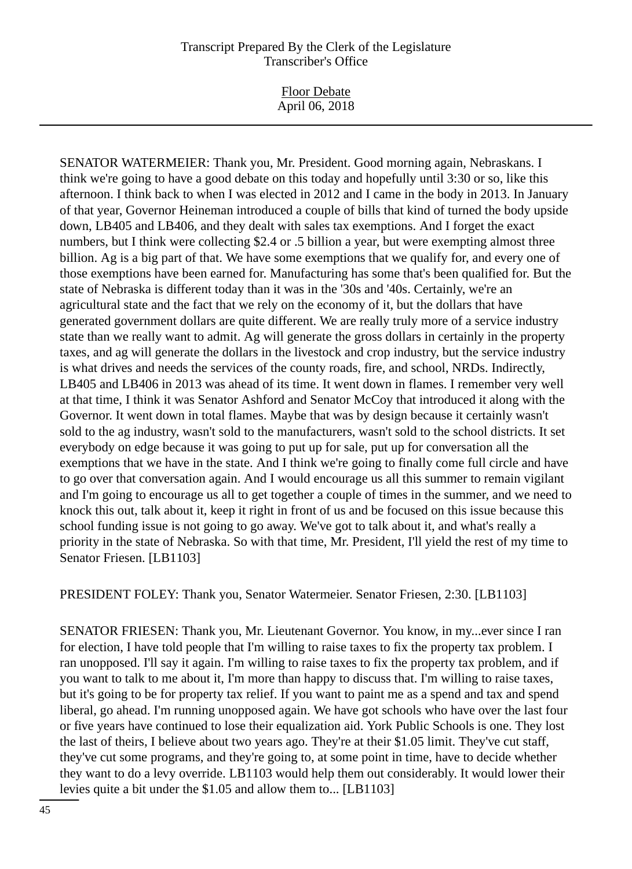Floor Debate April 06, 2018

SENATOR WATERMEIER: Thank you, Mr. President. Good morning again, Nebraskans. I think we're going to have a good debate on this today and hopefully until 3:30 or so, like this afternoon. I think back to when I was elected in 2012 and I came in the body in 2013. In January of that year, Governor Heineman introduced a couple of bills that kind of turned the body upside down, LB405 and LB406, and they dealt with sales tax exemptions. And I forget the exact numbers, but I think were collecting \$2.4 or .5 billion a year, but were exempting almost three billion. Ag is a big part of that. We have some exemptions that we qualify for, and every one of those exemptions have been earned for. Manufacturing has some that's been qualified for. But the state of Nebraska is different today than it was in the '30s and '40s. Certainly, we're an agricultural state and the fact that we rely on the economy of it, but the dollars that have generated government dollars are quite different. We are really truly more of a service industry state than we really want to admit. Ag will generate the gross dollars in certainly in the property taxes, and ag will generate the dollars in the livestock and crop industry, but the service industry is what drives and needs the services of the county roads, fire, and school, NRDs. Indirectly, LB405 and LB406 in 2013 was ahead of its time. It went down in flames. I remember very well at that time, I think it was Senator Ashford and Senator McCoy that introduced it along with the Governor. It went down in total flames. Maybe that was by design because it certainly wasn't sold to the ag industry, wasn't sold to the manufacturers, wasn't sold to the school districts. It set everybody on edge because it was going to put up for sale, put up for conversation all the exemptions that we have in the state. And I think we're going to finally come full circle and have to go over that conversation again. And I would encourage us all this summer to remain vigilant and I'm going to encourage us all to get together a couple of times in the summer, and we need to knock this out, talk about it, keep it right in front of us and be focused on this issue because this school funding issue is not going to go away. We've got to talk about it, and what's really a priority in the state of Nebraska. So with that time, Mr. President, I'll yield the rest of my time to Senator Friesen. [LB1103]

PRESIDENT FOLEY: Thank you, Senator Watermeier. Senator Friesen, 2:30. [LB1103]

SENATOR FRIESEN: Thank you, Mr. Lieutenant Governor. You know, in my...ever since I ran for election, I have told people that I'm willing to raise taxes to fix the property tax problem. I ran unopposed. I'll say it again. I'm willing to raise taxes to fix the property tax problem, and if you want to talk to me about it, I'm more than happy to discuss that. I'm willing to raise taxes, but it's going to be for property tax relief. If you want to paint me as a spend and tax and spend liberal, go ahead. I'm running unopposed again. We have got schools who have over the last four or five years have continued to lose their equalization aid. York Public Schools is one. They lost the last of theirs, I believe about two years ago. They're at their \$1.05 limit. They've cut staff, they've cut some programs, and they're going to, at some point in time, have to decide whether they want to do a levy override. LB1103 would help them out considerably. It would lower their levies quite a bit under the \$1.05 and allow them to... [LB1103]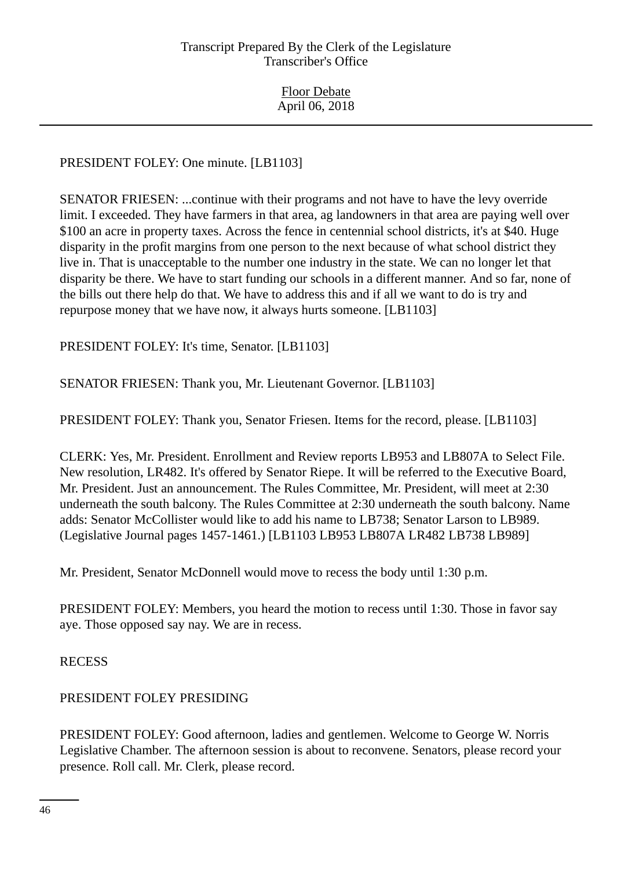# PRESIDENT FOLEY: One minute. [LB1103]

SENATOR FRIESEN: ...continue with their programs and not have to have the levy override limit. I exceeded. They have farmers in that area, ag landowners in that area are paying well over \$100 an acre in property taxes. Across the fence in centennial school districts, it's at \$40. Huge disparity in the profit margins from one person to the next because of what school district they live in. That is unacceptable to the number one industry in the state. We can no longer let that disparity be there. We have to start funding our schools in a different manner. And so far, none of the bills out there help do that. We have to address this and if all we want to do is try and repurpose money that we have now, it always hurts someone. [LB1103]

PRESIDENT FOLEY: It's time, Senator. [LB1103]

SENATOR FRIESEN: Thank you, Mr. Lieutenant Governor. [LB1103]

PRESIDENT FOLEY: Thank you, Senator Friesen. Items for the record, please. [LB1103]

CLERK: Yes, Mr. President. Enrollment and Review reports LB953 and LB807A to Select File. New resolution, LR482. It's offered by Senator Riepe. It will be referred to the Executive Board, Mr. President. Just an announcement. The Rules Committee, Mr. President, will meet at 2:30 underneath the south balcony. The Rules Committee at 2:30 underneath the south balcony. Name adds: Senator McCollister would like to add his name to LB738; Senator Larson to LB989. (Legislative Journal pages 1457-1461.) [LB1103 LB953 LB807A LR482 LB738 LB989]

Mr. President, Senator McDonnell would move to recess the body until 1:30 p.m.

PRESIDENT FOLEY: Members, you heard the motion to recess until 1:30. Those in favor say aye. Those opposed say nay. We are in recess.

RECESS

# PRESIDENT FOLEY PRESIDING

PRESIDENT FOLEY: Good afternoon, ladies and gentlemen. Welcome to George W. Norris Legislative Chamber. The afternoon session is about to reconvene. Senators, please record your presence. Roll call. Mr. Clerk, please record.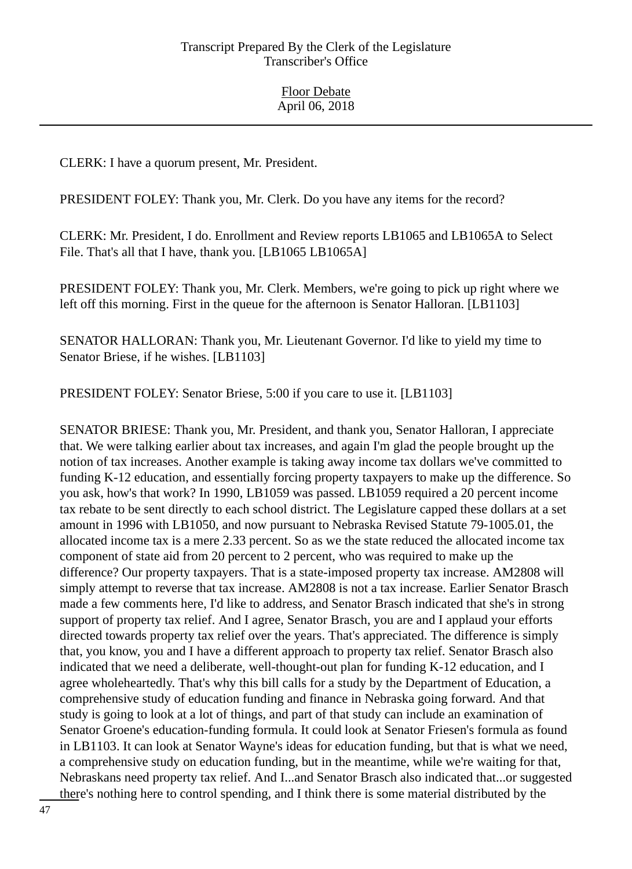CLERK: I have a quorum present, Mr. President.

PRESIDENT FOLEY: Thank you, Mr. Clerk. Do you have any items for the record?

CLERK: Mr. President, I do. Enrollment and Review reports LB1065 and LB1065A to Select File. That's all that I have, thank you. [LB1065 LB1065A]

PRESIDENT FOLEY: Thank you, Mr. Clerk. Members, we're going to pick up right where we left off this morning. First in the queue for the afternoon is Senator Halloran. [LB1103]

SENATOR HALLORAN: Thank you, Mr. Lieutenant Governor. I'd like to yield my time to Senator Briese, if he wishes. [LB1103]

PRESIDENT FOLEY: Senator Briese, 5:00 if you care to use it. [LB1103]

SENATOR BRIESE: Thank you, Mr. President, and thank you, Senator Halloran, I appreciate that. We were talking earlier about tax increases, and again I'm glad the people brought up the notion of tax increases. Another example is taking away income tax dollars we've committed to funding K-12 education, and essentially forcing property taxpayers to make up the difference. So you ask, how's that work? In 1990, LB1059 was passed. LB1059 required a 20 percent income tax rebate to be sent directly to each school district. The Legislature capped these dollars at a set amount in 1996 with LB1050, and now pursuant to Nebraska Revised Statute 79-1005.01, the allocated income tax is a mere 2.33 percent. So as we the state reduced the allocated income tax component of state aid from 20 percent to 2 percent, who was required to make up the difference? Our property taxpayers. That is a state-imposed property tax increase. AM2808 will simply attempt to reverse that tax increase. AM2808 is not a tax increase. Earlier Senator Brasch made a few comments here, I'd like to address, and Senator Brasch indicated that she's in strong support of property tax relief. And I agree, Senator Brasch, you are and I applaud your efforts directed towards property tax relief over the years. That's appreciated. The difference is simply that, you know, you and I have a different approach to property tax relief. Senator Brasch also indicated that we need a deliberate, well-thought-out plan for funding K-12 education, and I agree wholeheartedly. That's why this bill calls for a study by the Department of Education, a comprehensive study of education funding and finance in Nebraska going forward. And that study is going to look at a lot of things, and part of that study can include an examination of Senator Groene's education-funding formula. It could look at Senator Friesen's formula as found in LB1103. It can look at Senator Wayne's ideas for education funding, but that is what we need, a comprehensive study on education funding, but in the meantime, while we're waiting for that, Nebraskans need property tax relief. And I...and Senator Brasch also indicated that...or suggested there's nothing here to control spending, and I think there is some material distributed by the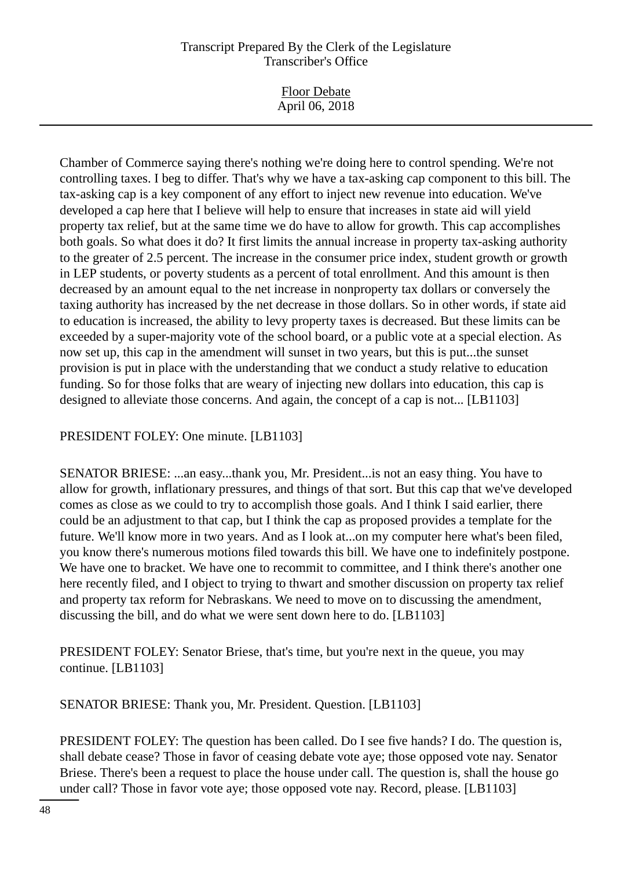Floor Debate April 06, 2018

Chamber of Commerce saying there's nothing we're doing here to control spending. We're not controlling taxes. I beg to differ. That's why we have a tax-asking cap component to this bill. The tax-asking cap is a key component of any effort to inject new revenue into education. We've developed a cap here that I believe will help to ensure that increases in state aid will yield property tax relief, but at the same time we do have to allow for growth. This cap accomplishes both goals. So what does it do? It first limits the annual increase in property tax-asking authority to the greater of 2.5 percent. The increase in the consumer price index, student growth or growth in LEP students, or poverty students as a percent of total enrollment. And this amount is then decreased by an amount equal to the net increase in nonproperty tax dollars or conversely the taxing authority has increased by the net decrease in those dollars. So in other words, if state aid to education is increased, the ability to levy property taxes is decreased. But these limits can be exceeded by a super-majority vote of the school board, or a public vote at a special election. As now set up, this cap in the amendment will sunset in two years, but this is put...the sunset provision is put in place with the understanding that we conduct a study relative to education funding. So for those folks that are weary of injecting new dollars into education, this cap is designed to alleviate those concerns. And again, the concept of a cap is not... [LB1103]

PRESIDENT FOLEY: One minute. [LB1103]

SENATOR BRIESE: ...an easy...thank you, Mr. President...is not an easy thing. You have to allow for growth, inflationary pressures, and things of that sort. But this cap that we've developed comes as close as we could to try to accomplish those goals. And I think I said earlier, there could be an adjustment to that cap, but I think the cap as proposed provides a template for the future. We'll know more in two years. And as I look at...on my computer here what's been filed, you know there's numerous motions filed towards this bill. We have one to indefinitely postpone. We have one to bracket. We have one to recommit to committee, and I think there's another one here recently filed, and I object to trying to thwart and smother discussion on property tax relief and property tax reform for Nebraskans. We need to move on to discussing the amendment, discussing the bill, and do what we were sent down here to do. [LB1103]

PRESIDENT FOLEY: Senator Briese, that's time, but you're next in the queue, you may continue. [LB1103]

SENATOR BRIESE: Thank you, Mr. President. Question. [LB1103]

PRESIDENT FOLEY: The question has been called. Do I see five hands? I do. The question is, shall debate cease? Those in favor of ceasing debate vote aye; those opposed vote nay. Senator Briese. There's been a request to place the house under call. The question is, shall the house go under call? Those in favor vote aye; those opposed vote nay. Record, please. [LB1103]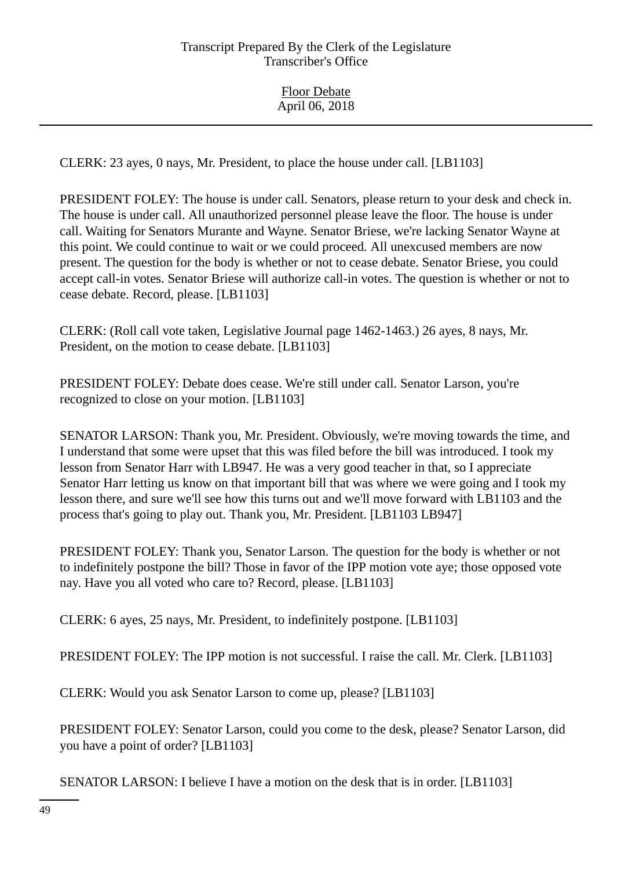CLERK: 23 ayes, 0 nays, Mr. President, to place the house under call. [LB1103]

PRESIDENT FOLEY: The house is under call. Senators, please return to your desk and check in. The house is under call. All unauthorized personnel please leave the floor. The house is under call. Waiting for Senators Murante and Wayne. Senator Briese, we're lacking Senator Wayne at this point. We could continue to wait or we could proceed. All unexcused members are now present. The question for the body is whether or not to cease debate. Senator Briese, you could accept call-in votes. Senator Briese will authorize call-in votes. The question is whether or not to cease debate. Record, please. [LB1103]

CLERK: (Roll call vote taken, Legislative Journal page 1462-1463.) 26 ayes, 8 nays, Mr. President, on the motion to cease debate. [LB1103]

PRESIDENT FOLEY: Debate does cease. We're still under call. Senator Larson, you're recognized to close on your motion. [LB1103]

SENATOR LARSON: Thank you, Mr. President. Obviously, we're moving towards the time, and I understand that some were upset that this was filed before the bill was introduced. I took my lesson from Senator Harr with LB947. He was a very good teacher in that, so I appreciate Senator Harr letting us know on that important bill that was where we were going and I took my lesson there, and sure we'll see how this turns out and we'll move forward with LB1103 and the process that's going to play out. Thank you, Mr. President. [LB1103 LB947]

PRESIDENT FOLEY: Thank you, Senator Larson. The question for the body is whether or not to indefinitely postpone the bill? Those in favor of the IPP motion vote aye; those opposed vote nay. Have you all voted who care to? Record, please. [LB1103]

CLERK: 6 ayes, 25 nays, Mr. President, to indefinitely postpone. [LB1103]

PRESIDENT FOLEY: The IPP motion is not successful. I raise the call. Mr. Clerk. [LB1103]

CLERK: Would you ask Senator Larson to come up, please? [LB1103]

PRESIDENT FOLEY: Senator Larson, could you come to the desk, please? Senator Larson, did you have a point of order? [LB1103]

SENATOR LARSON: I believe I have a motion on the desk that is in order. [LB1103]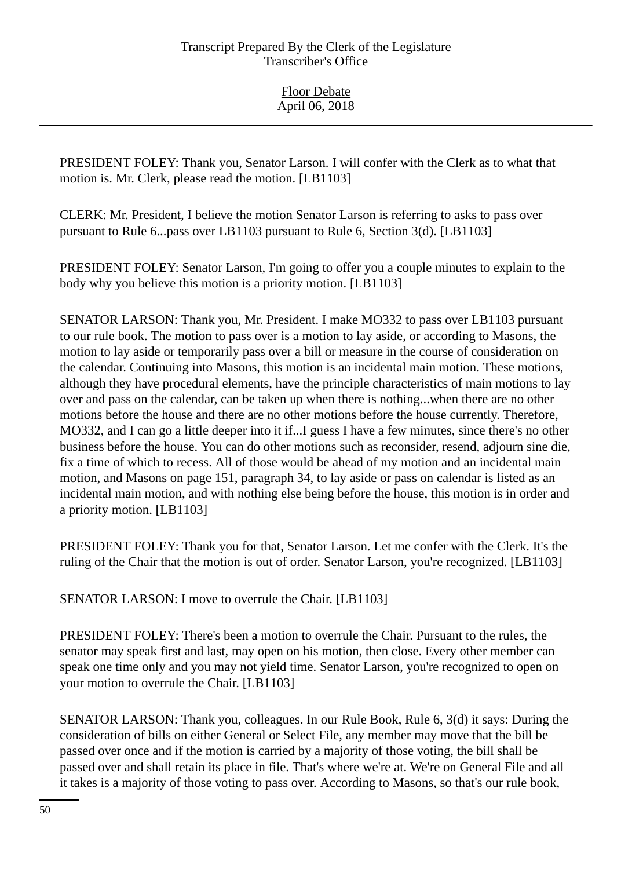Floor Debate April 06, 2018

PRESIDENT FOLEY: Thank you, Senator Larson. I will confer with the Clerk as to what that motion is. Mr. Clerk, please read the motion. [LB1103]

CLERK: Mr. President, I believe the motion Senator Larson is referring to asks to pass over pursuant to Rule 6...pass over LB1103 pursuant to Rule 6, Section 3(d). [LB1103]

PRESIDENT FOLEY: Senator Larson, I'm going to offer you a couple minutes to explain to the body why you believe this motion is a priority motion. [LB1103]

SENATOR LARSON: Thank you, Mr. President. I make MO332 to pass over LB1103 pursuant to our rule book. The motion to pass over is a motion to lay aside, or according to Masons, the motion to lay aside or temporarily pass over a bill or measure in the course of consideration on the calendar. Continuing into Masons, this motion is an incidental main motion. These motions, although they have procedural elements, have the principle characteristics of main motions to lay over and pass on the calendar, can be taken up when there is nothing...when there are no other motions before the house and there are no other motions before the house currently. Therefore, MO332, and I can go a little deeper into it if...I guess I have a few minutes, since there's no other business before the house. You can do other motions such as reconsider, resend, adjourn sine die, fix a time of which to recess. All of those would be ahead of my motion and an incidental main motion, and Masons on page 151, paragraph 34, to lay aside or pass on calendar is listed as an incidental main motion, and with nothing else being before the house, this motion is in order and a priority motion. [LB1103]

PRESIDENT FOLEY: Thank you for that, Senator Larson. Let me confer with the Clerk. It's the ruling of the Chair that the motion is out of order. Senator Larson, you're recognized. [LB1103]

SENATOR LARSON: I move to overrule the Chair. [LB1103]

PRESIDENT FOLEY: There's been a motion to overrule the Chair. Pursuant to the rules, the senator may speak first and last, may open on his motion, then close. Every other member can speak one time only and you may not yield time. Senator Larson, you're recognized to open on your motion to overrule the Chair. [LB1103]

SENATOR LARSON: Thank you, colleagues. In our Rule Book, Rule 6, 3(d) it says: During the consideration of bills on either General or Select File, any member may move that the bill be passed over once and if the motion is carried by a majority of those voting, the bill shall be passed over and shall retain its place in file. That's where we're at. We're on General File and all it takes is a majority of those voting to pass over. According to Masons, so that's our rule book,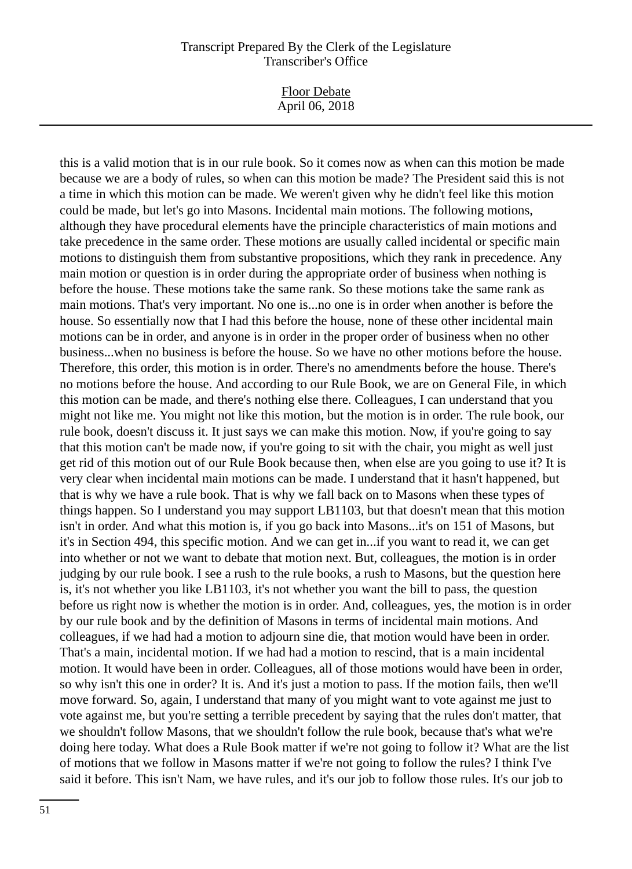Floor Debate April 06, 2018

this is a valid motion that is in our rule book. So it comes now as when can this motion be made because we are a body of rules, so when can this motion be made? The President said this is not a time in which this motion can be made. We weren't given why he didn't feel like this motion could be made, but let's go into Masons. Incidental main motions. The following motions, although they have procedural elements have the principle characteristics of main motions and take precedence in the same order. These motions are usually called incidental or specific main motions to distinguish them from substantive propositions, which they rank in precedence. Any main motion or question is in order during the appropriate order of business when nothing is before the house. These motions take the same rank. So these motions take the same rank as main motions. That's very important. No one is...no one is in order when another is before the house. So essentially now that I had this before the house, none of these other incidental main motions can be in order, and anyone is in order in the proper order of business when no other business...when no business is before the house. So we have no other motions before the house. Therefore, this order, this motion is in order. There's no amendments before the house. There's no motions before the house. And according to our Rule Book, we are on General File, in which this motion can be made, and there's nothing else there. Colleagues, I can understand that you might not like me. You might not like this motion, but the motion is in order. The rule book, our rule book, doesn't discuss it. It just says we can make this motion. Now, if you're going to say that this motion can't be made now, if you're going to sit with the chair, you might as well just get rid of this motion out of our Rule Book because then, when else are you going to use it? It is very clear when incidental main motions can be made. I understand that it hasn't happened, but that is why we have a rule book. That is why we fall back on to Masons when these types of things happen. So I understand you may support LB1103, but that doesn't mean that this motion isn't in order. And what this motion is, if you go back into Masons...it's on 151 of Masons, but it's in Section 494, this specific motion. And we can get in...if you want to read it, we can get into whether or not we want to debate that motion next. But, colleagues, the motion is in order judging by our rule book. I see a rush to the rule books, a rush to Masons, but the question here is, it's not whether you like LB1103, it's not whether you want the bill to pass, the question before us right now is whether the motion is in order. And, colleagues, yes, the motion is in order by our rule book and by the definition of Masons in terms of incidental main motions. And colleagues, if we had had a motion to adjourn sine die, that motion would have been in order. That's a main, incidental motion. If we had had a motion to rescind, that is a main incidental motion. It would have been in order. Colleagues, all of those motions would have been in order, so why isn't this one in order? It is. And it's just a motion to pass. If the motion fails, then we'll move forward. So, again, I understand that many of you might want to vote against me just to vote against me, but you're setting a terrible precedent by saying that the rules don't matter, that we shouldn't follow Masons, that we shouldn't follow the rule book, because that's what we're doing here today. What does a Rule Book matter if we're not going to follow it? What are the list of motions that we follow in Masons matter if we're not going to follow the rules? I think I've said it before. This isn't Nam, we have rules, and it's our job to follow those rules. It's our job to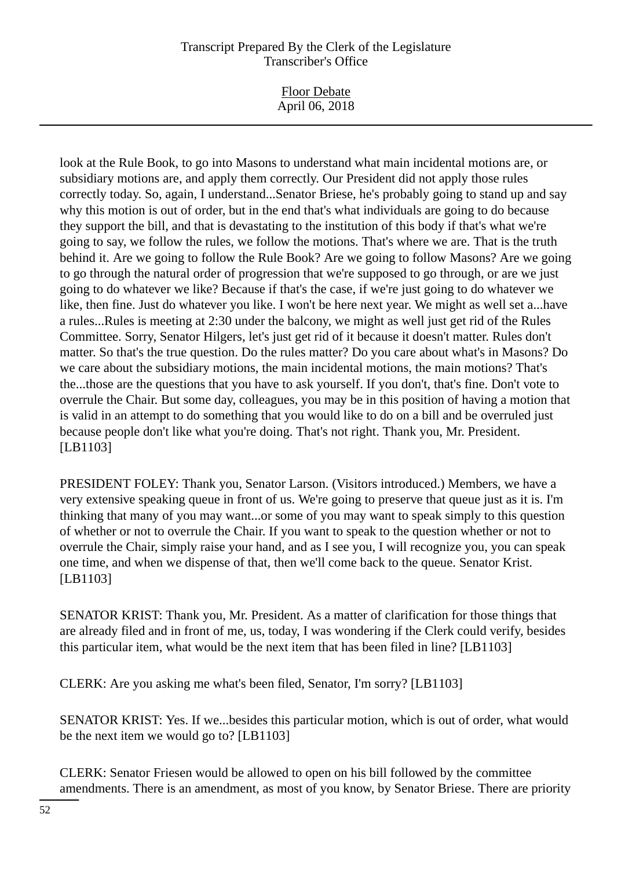Floor Debate April 06, 2018

look at the Rule Book, to go into Masons to understand what main incidental motions are, or subsidiary motions are, and apply them correctly. Our President did not apply those rules correctly today. So, again, I understand...Senator Briese, he's probably going to stand up and say why this motion is out of order, but in the end that's what individuals are going to do because they support the bill, and that is devastating to the institution of this body if that's what we're going to say, we follow the rules, we follow the motions. That's where we are. That is the truth behind it. Are we going to follow the Rule Book? Are we going to follow Masons? Are we going to go through the natural order of progression that we're supposed to go through, or are we just going to do whatever we like? Because if that's the case, if we're just going to do whatever we like, then fine. Just do whatever you like. I won't be here next year. We might as well set a...have a rules...Rules is meeting at 2:30 under the balcony, we might as well just get rid of the Rules Committee. Sorry, Senator Hilgers, let's just get rid of it because it doesn't matter. Rules don't matter. So that's the true question. Do the rules matter? Do you care about what's in Masons? Do we care about the subsidiary motions, the main incidental motions, the main motions? That's the...those are the questions that you have to ask yourself. If you don't, that's fine. Don't vote to overrule the Chair. But some day, colleagues, you may be in this position of having a motion that is valid in an attempt to do something that you would like to do on a bill and be overruled just because people don't like what you're doing. That's not right. Thank you, Mr. President. [LB1103]

PRESIDENT FOLEY: Thank you, Senator Larson. (Visitors introduced.) Members, we have a very extensive speaking queue in front of us. We're going to preserve that queue just as it is. I'm thinking that many of you may want...or some of you may want to speak simply to this question of whether or not to overrule the Chair. If you want to speak to the question whether or not to overrule the Chair, simply raise your hand, and as I see you, I will recognize you, you can speak one time, and when we dispense of that, then we'll come back to the queue. Senator Krist. [LB1103]

SENATOR KRIST: Thank you, Mr. President. As a matter of clarification for those things that are already filed and in front of me, us, today, I was wondering if the Clerk could verify, besides this particular item, what would be the next item that has been filed in line? [LB1103]

CLERK: Are you asking me what's been filed, Senator, I'm sorry? [LB1103]

SENATOR KRIST: Yes. If we...besides this particular motion, which is out of order, what would be the next item we would go to? [LB1103]

CLERK: Senator Friesen would be allowed to open on his bill followed by the committee amendments. There is an amendment, as most of you know, by Senator Briese. There are priority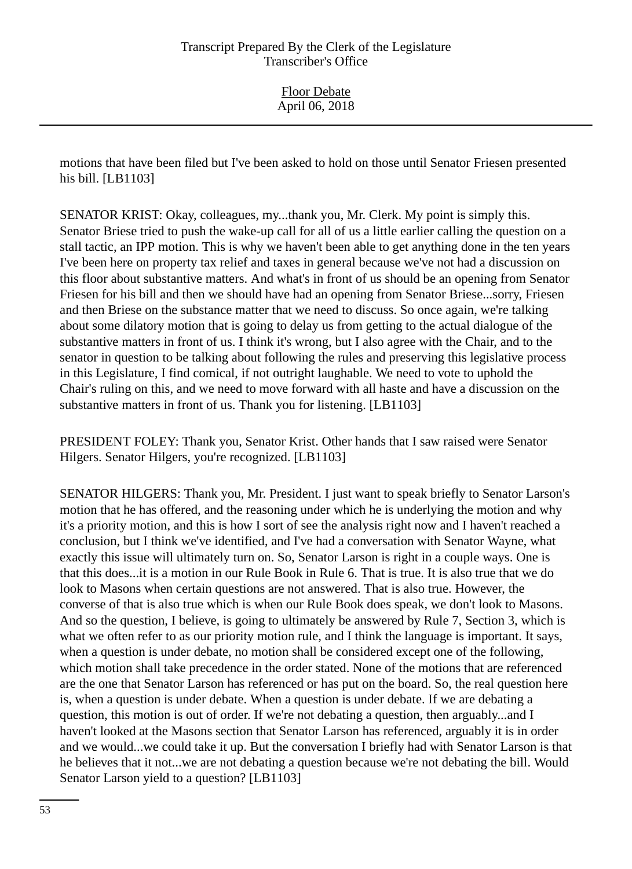motions that have been filed but I've been asked to hold on those until Senator Friesen presented his bill. [LB1103]

SENATOR KRIST: Okay, colleagues, my...thank you, Mr. Clerk. My point is simply this. Senator Briese tried to push the wake-up call for all of us a little earlier calling the question on a stall tactic, an IPP motion. This is why we haven't been able to get anything done in the ten years I've been here on property tax relief and taxes in general because we've not had a discussion on this floor about substantive matters. And what's in front of us should be an opening from Senator Friesen for his bill and then we should have had an opening from Senator Briese...sorry, Friesen and then Briese on the substance matter that we need to discuss. So once again, we're talking about some dilatory motion that is going to delay us from getting to the actual dialogue of the substantive matters in front of us. I think it's wrong, but I also agree with the Chair, and to the senator in question to be talking about following the rules and preserving this legislative process in this Legislature, I find comical, if not outright laughable. We need to vote to uphold the Chair's ruling on this, and we need to move forward with all haste and have a discussion on the substantive matters in front of us. Thank you for listening. [LB1103]

PRESIDENT FOLEY: Thank you, Senator Krist. Other hands that I saw raised were Senator Hilgers. Senator Hilgers, you're recognized. [LB1103]

SENATOR HILGERS: Thank you, Mr. President. I just want to speak briefly to Senator Larson's motion that he has offered, and the reasoning under which he is underlying the motion and why it's a priority motion, and this is how I sort of see the analysis right now and I haven't reached a conclusion, but I think we've identified, and I've had a conversation with Senator Wayne, what exactly this issue will ultimately turn on. So, Senator Larson is right in a couple ways. One is that this does...it is a motion in our Rule Book in Rule 6. That is true. It is also true that we do look to Masons when certain questions are not answered. That is also true. However, the converse of that is also true which is when our Rule Book does speak, we don't look to Masons. And so the question, I believe, is going to ultimately be answered by Rule 7, Section 3, which is what we often refer to as our priority motion rule, and I think the language is important. It says, when a question is under debate, no motion shall be considered except one of the following, which motion shall take precedence in the order stated. None of the motions that are referenced are the one that Senator Larson has referenced or has put on the board. So, the real question here is, when a question is under debate. When a question is under debate. If we are debating a question, this motion is out of order. If we're not debating a question, then arguably...and I haven't looked at the Masons section that Senator Larson has referenced, arguably it is in order and we would...we could take it up. But the conversation I briefly had with Senator Larson is that he believes that it not...we are not debating a question because we're not debating the bill. Would Senator Larson yield to a question? [LB1103]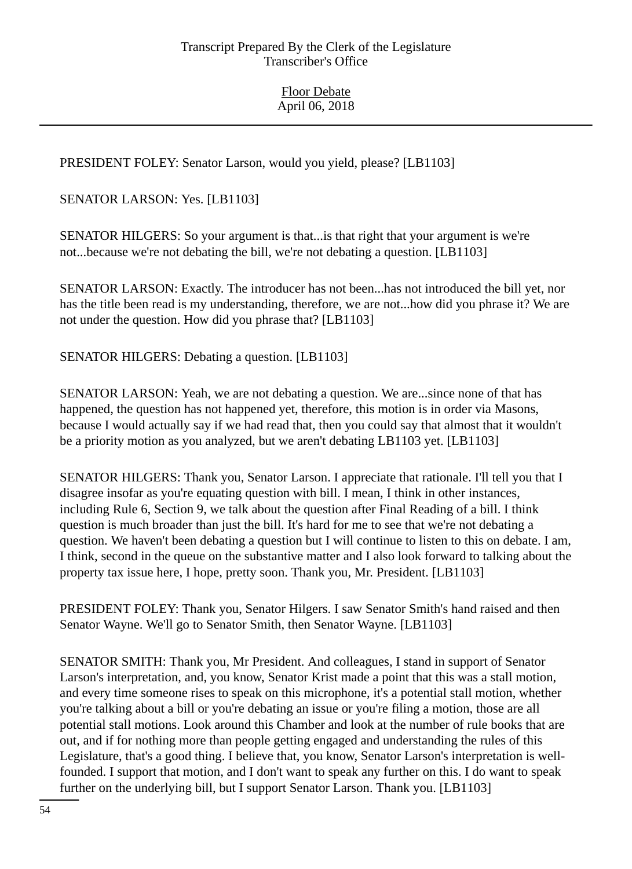PRESIDENT FOLEY: Senator Larson, would you yield, please? [LB1103]

SENATOR LARSON: Yes. [LB1103]

SENATOR HILGERS: So your argument is that...is that right that your argument is we're not...because we're not debating the bill, we're not debating a question. [LB1103]

SENATOR LARSON: Exactly. The introducer has not been...has not introduced the bill yet, nor has the title been read is my understanding, therefore, we are not...how did you phrase it? We are not under the question. How did you phrase that? [LB1103]

SENATOR HILGERS: Debating a question. [LB1103]

SENATOR LARSON: Yeah, we are not debating a question. We are...since none of that has happened, the question has not happened yet, therefore, this motion is in order via Masons, because I would actually say if we had read that, then you could say that almost that it wouldn't be a priority motion as you analyzed, but we aren't debating LB1103 yet. [LB1103]

SENATOR HILGERS: Thank you, Senator Larson. I appreciate that rationale. I'll tell you that I disagree insofar as you're equating question with bill. I mean, I think in other instances, including Rule 6, Section 9, we talk about the question after Final Reading of a bill. I think question is much broader than just the bill. It's hard for me to see that we're not debating a question. We haven't been debating a question but I will continue to listen to this on debate. I am, I think, second in the queue on the substantive matter and I also look forward to talking about the property tax issue here, I hope, pretty soon. Thank you, Mr. President. [LB1103]

PRESIDENT FOLEY: Thank you, Senator Hilgers. I saw Senator Smith's hand raised and then Senator Wayne. We'll go to Senator Smith, then Senator Wayne. [LB1103]

SENATOR SMITH: Thank you, Mr President. And colleagues, I stand in support of Senator Larson's interpretation, and, you know, Senator Krist made a point that this was a stall motion, and every time someone rises to speak on this microphone, it's a potential stall motion, whether you're talking about a bill or you're debating an issue or you're filing a motion, those are all potential stall motions. Look around this Chamber and look at the number of rule books that are out, and if for nothing more than people getting engaged and understanding the rules of this Legislature, that's a good thing. I believe that, you know, Senator Larson's interpretation is wellfounded. I support that motion, and I don't want to speak any further on this. I do want to speak further on the underlying bill, but I support Senator Larson. Thank you. [LB1103]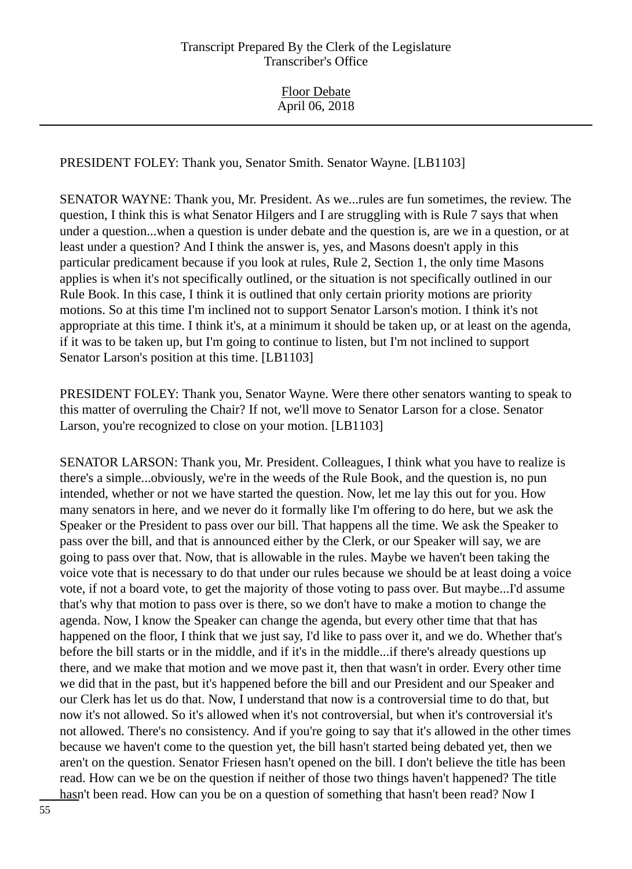PRESIDENT FOLEY: Thank you, Senator Smith. Senator Wayne. [LB1103]

SENATOR WAYNE: Thank you, Mr. President. As we...rules are fun sometimes, the review. The question, I think this is what Senator Hilgers and I are struggling with is Rule 7 says that when under a question...when a question is under debate and the question is, are we in a question, or at least under a question? And I think the answer is, yes, and Masons doesn't apply in this particular predicament because if you look at rules, Rule 2, Section 1, the only time Masons applies is when it's not specifically outlined, or the situation is not specifically outlined in our Rule Book. In this case, I think it is outlined that only certain priority motions are priority motions. So at this time I'm inclined not to support Senator Larson's motion. I think it's not appropriate at this time. I think it's, at a minimum it should be taken up, or at least on the agenda, if it was to be taken up, but I'm going to continue to listen, but I'm not inclined to support Senator Larson's position at this time. [LB1103]

PRESIDENT FOLEY: Thank you, Senator Wayne. Were there other senators wanting to speak to this matter of overruling the Chair? If not, we'll move to Senator Larson for a close. Senator Larson, you're recognized to close on your motion. [LB1103]

SENATOR LARSON: Thank you, Mr. President. Colleagues, I think what you have to realize is there's a simple...obviously, we're in the weeds of the Rule Book, and the question is, no pun intended, whether or not we have started the question. Now, let me lay this out for you. How many senators in here, and we never do it formally like I'm offering to do here, but we ask the Speaker or the President to pass over our bill. That happens all the time. We ask the Speaker to pass over the bill, and that is announced either by the Clerk, or our Speaker will say, we are going to pass over that. Now, that is allowable in the rules. Maybe we haven't been taking the voice vote that is necessary to do that under our rules because we should be at least doing a voice vote, if not a board vote, to get the majority of those voting to pass over. But maybe...I'd assume that's why that motion to pass over is there, so we don't have to make a motion to change the agenda. Now, I know the Speaker can change the agenda, but every other time that that has happened on the floor, I think that we just say, I'd like to pass over it, and we do. Whether that's before the bill starts or in the middle, and if it's in the middle...if there's already questions up there, and we make that motion and we move past it, then that wasn't in order. Every other time we did that in the past, but it's happened before the bill and our President and our Speaker and our Clerk has let us do that. Now, I understand that now is a controversial time to do that, but now it's not allowed. So it's allowed when it's not controversial, but when it's controversial it's not allowed. There's no consistency. And if you're going to say that it's allowed in the other times because we haven't come to the question yet, the bill hasn't started being debated yet, then we aren't on the question. Senator Friesen hasn't opened on the bill. I don't believe the title has been read. How can we be on the question if neither of those two things haven't happened? The title hasn't been read. How can you be on a question of something that hasn't been read? Now I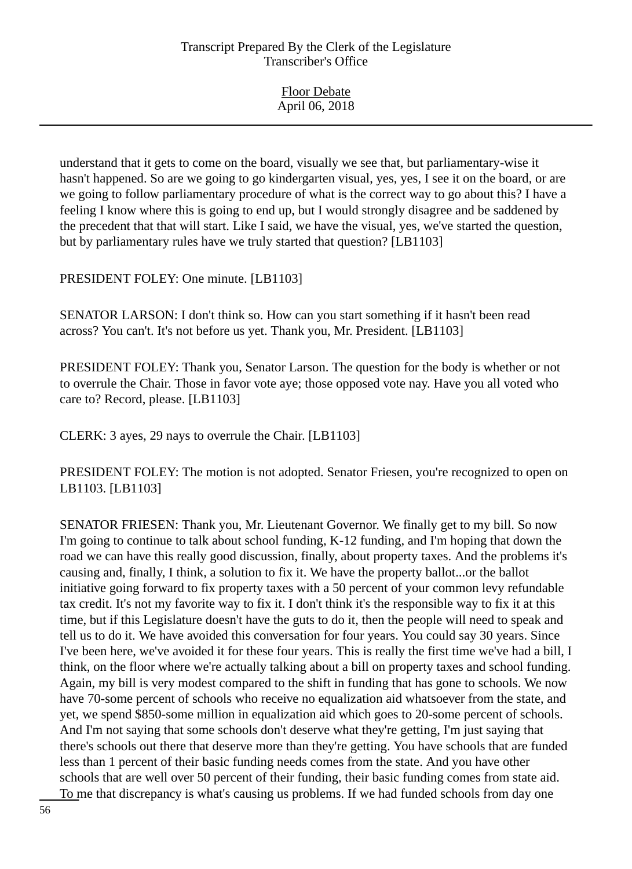| <b>Floor Debate</b> |
|---------------------|
|                     |
| April 06, 2018      |
|                     |

understand that it gets to come on the board, visually we see that, but parliamentary-wise it hasn't happened. So are we going to go kindergarten visual, yes, yes, I see it on the board, or are we going to follow parliamentary procedure of what is the correct way to go about this? I have a feeling I know where this is going to end up, but I would strongly disagree and be saddened by the precedent that that will start. Like I said, we have the visual, yes, we've started the question, but by parliamentary rules have we truly started that question? [LB1103]

PRESIDENT FOLEY: One minute. [LB1103]

SENATOR LARSON: I don't think so. How can you start something if it hasn't been read across? You can't. It's not before us yet. Thank you, Mr. President. [LB1103]

PRESIDENT FOLEY: Thank you, Senator Larson. The question for the body is whether or not to overrule the Chair. Those in favor vote aye; those opposed vote nay. Have you all voted who care to? Record, please. [LB1103]

CLERK: 3 ayes, 29 nays to overrule the Chair. [LB1103]

PRESIDENT FOLEY: The motion is not adopted. Senator Friesen, you're recognized to open on LB1103. [LB1103]

SENATOR FRIESEN: Thank you, Mr. Lieutenant Governor. We finally get to my bill. So now I'm going to continue to talk about school funding, K-12 funding, and I'm hoping that down the road we can have this really good discussion, finally, about property taxes. And the problems it's causing and, finally, I think, a solution to fix it. We have the property ballot...or the ballot initiative going forward to fix property taxes with a 50 percent of your common levy refundable tax credit. It's not my favorite way to fix it. I don't think it's the responsible way to fix it at this time, but if this Legislature doesn't have the guts to do it, then the people will need to speak and tell us to do it. We have avoided this conversation for four years. You could say 30 years. Since I've been here, we've avoided it for these four years. This is really the first time we've had a bill, I think, on the floor where we're actually talking about a bill on property taxes and school funding. Again, my bill is very modest compared to the shift in funding that has gone to schools. We now have 70-some percent of schools who receive no equalization aid whatsoever from the state, and yet, we spend \$850-some million in equalization aid which goes to 20-some percent of schools. And I'm not saying that some schools don't deserve what they're getting, I'm just saying that there's schools out there that deserve more than they're getting. You have schools that are funded less than 1 percent of their basic funding needs comes from the state. And you have other schools that are well over 50 percent of their funding, their basic funding comes from state aid. To me that discrepancy is what's causing us problems. If we had funded schools from day one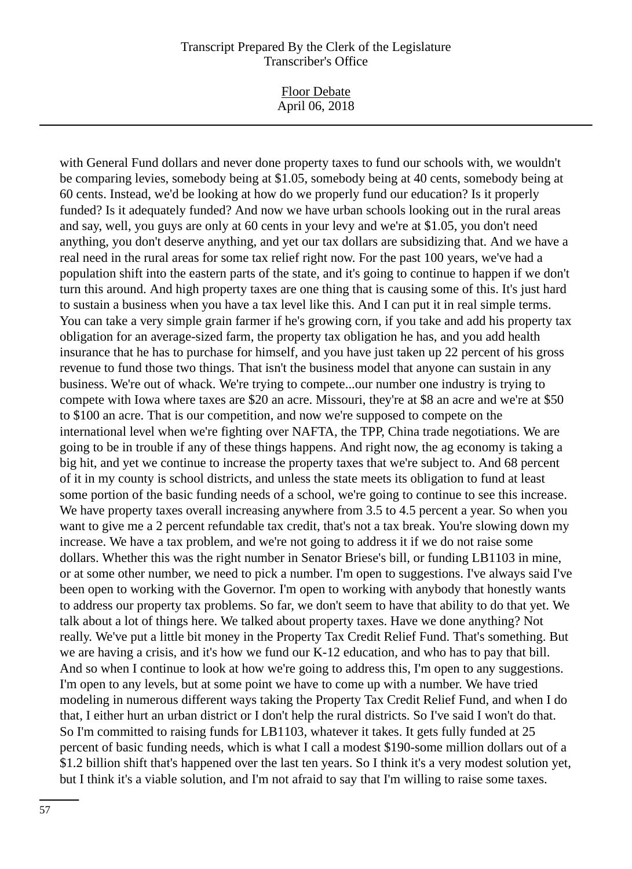Floor Debate April 06, 2018

with General Fund dollars and never done property taxes to fund our schools with, we wouldn't be comparing levies, somebody being at \$1.05, somebody being at 40 cents, somebody being at 60 cents. Instead, we'd be looking at how do we properly fund our education? Is it properly funded? Is it adequately funded? And now we have urban schools looking out in the rural areas and say, well, you guys are only at 60 cents in your levy and we're at \$1.05, you don't need anything, you don't deserve anything, and yet our tax dollars are subsidizing that. And we have a real need in the rural areas for some tax relief right now. For the past 100 years, we've had a population shift into the eastern parts of the state, and it's going to continue to happen if we don't turn this around. And high property taxes are one thing that is causing some of this. It's just hard to sustain a business when you have a tax level like this. And I can put it in real simple terms. You can take a very simple grain farmer if he's growing corn, if you take and add his property tax obligation for an average-sized farm, the property tax obligation he has, and you add health insurance that he has to purchase for himself, and you have just taken up 22 percent of his gross revenue to fund those two things. That isn't the business model that anyone can sustain in any business. We're out of whack. We're trying to compete...our number one industry is trying to compete with Iowa where taxes are \$20 an acre. Missouri, they're at \$8 an acre and we're at \$50 to \$100 an acre. That is our competition, and now we're supposed to compete on the international level when we're fighting over NAFTA, the TPP, China trade negotiations. We are going to be in trouble if any of these things happens. And right now, the ag economy is taking a big hit, and yet we continue to increase the property taxes that we're subject to. And 68 percent of it in my county is school districts, and unless the state meets its obligation to fund at least some portion of the basic funding needs of a school, we're going to continue to see this increase. We have property taxes overall increasing anywhere from 3.5 to 4.5 percent a year. So when you want to give me a 2 percent refundable tax credit, that's not a tax break. You're slowing down my increase. We have a tax problem, and we're not going to address it if we do not raise some dollars. Whether this was the right number in Senator Briese's bill, or funding LB1103 in mine, or at some other number, we need to pick a number. I'm open to suggestions. I've always said I've been open to working with the Governor. I'm open to working with anybody that honestly wants to address our property tax problems. So far, we don't seem to have that ability to do that yet. We talk about a lot of things here. We talked about property taxes. Have we done anything? Not really. We've put a little bit money in the Property Tax Credit Relief Fund. That's something. But we are having a crisis, and it's how we fund our K-12 education, and who has to pay that bill. And so when I continue to look at how we're going to address this, I'm open to any suggestions. I'm open to any levels, but at some point we have to come up with a number. We have tried modeling in numerous different ways taking the Property Tax Credit Relief Fund, and when I do that, I either hurt an urban district or I don't help the rural districts. So I've said I won't do that. So I'm committed to raising funds for LB1103, whatever it takes. It gets fully funded at 25 percent of basic funding needs, which is what I call a modest \$190-some million dollars out of a \$1.2 billion shift that's happened over the last ten years. So I think it's a very modest solution yet, but I think it's a viable solution, and I'm not afraid to say that I'm willing to raise some taxes.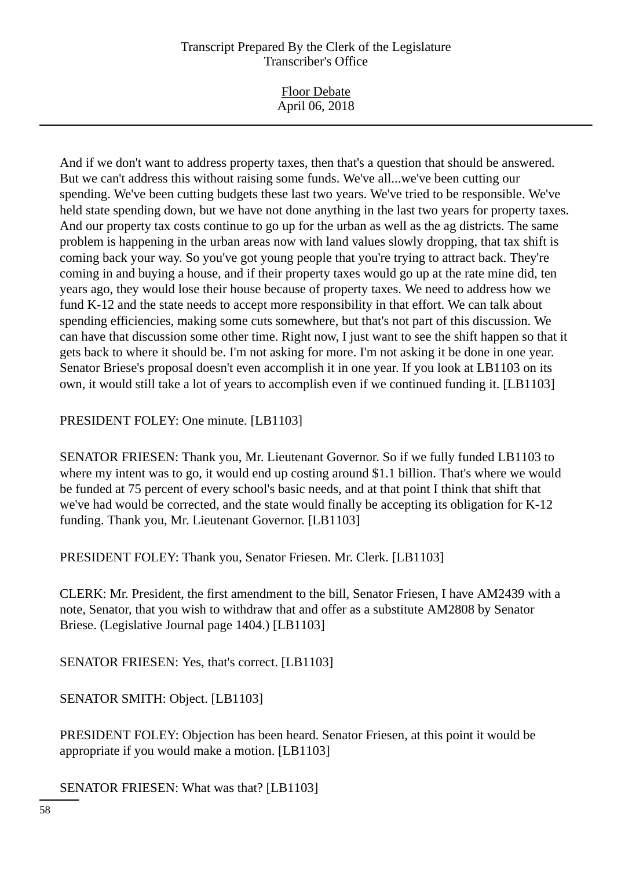And if we don't want to address property taxes, then that's a question that should be answered. But we can't address this without raising some funds. We've all...we've been cutting our spending. We've been cutting budgets these last two years. We've tried to be responsible. We've held state spending down, but we have not done anything in the last two years for property taxes. And our property tax costs continue to go up for the urban as well as the ag districts. The same problem is happening in the urban areas now with land values slowly dropping, that tax shift is coming back your way. So you've got young people that you're trying to attract back. They're coming in and buying a house, and if their property taxes would go up at the rate mine did, ten years ago, they would lose their house because of property taxes. We need to address how we fund K-12 and the state needs to accept more responsibility in that effort. We can talk about spending efficiencies, making some cuts somewhere, but that's not part of this discussion. We can have that discussion some other time. Right now, I just want to see the shift happen so that it gets back to where it should be. I'm not asking for more. I'm not asking it be done in one year. Senator Briese's proposal doesn't even accomplish it in one year. If you look at LB1103 on its own, it would still take a lot of years to accomplish even if we continued funding it. [LB1103]

PRESIDENT FOLEY: One minute. [LB1103]

SENATOR FRIESEN: Thank you, Mr. Lieutenant Governor. So if we fully funded LB1103 to where my intent was to go, it would end up costing around \$1.1 billion. That's where we would be funded at 75 percent of every school's basic needs, and at that point I think that shift that we've had would be corrected, and the state would finally be accepting its obligation for K-12 funding. Thank you, Mr. Lieutenant Governor. [LB1103]

PRESIDENT FOLEY: Thank you, Senator Friesen. Mr. Clerk. [LB1103]

CLERK: Mr. President, the first amendment to the bill, Senator Friesen, I have AM2439 with a note, Senator, that you wish to withdraw that and offer as a substitute AM2808 by Senator Briese. (Legislative Journal page 1404.) [LB1103]

SENATOR FRIESEN: Yes, that's correct. [LB1103]

SENATOR SMITH: Object. [LB1103]

PRESIDENT FOLEY: Objection has been heard. Senator Friesen, at this point it would be appropriate if you would make a motion. [LB1103]

SENATOR FRIESEN: What was that? [LB1103]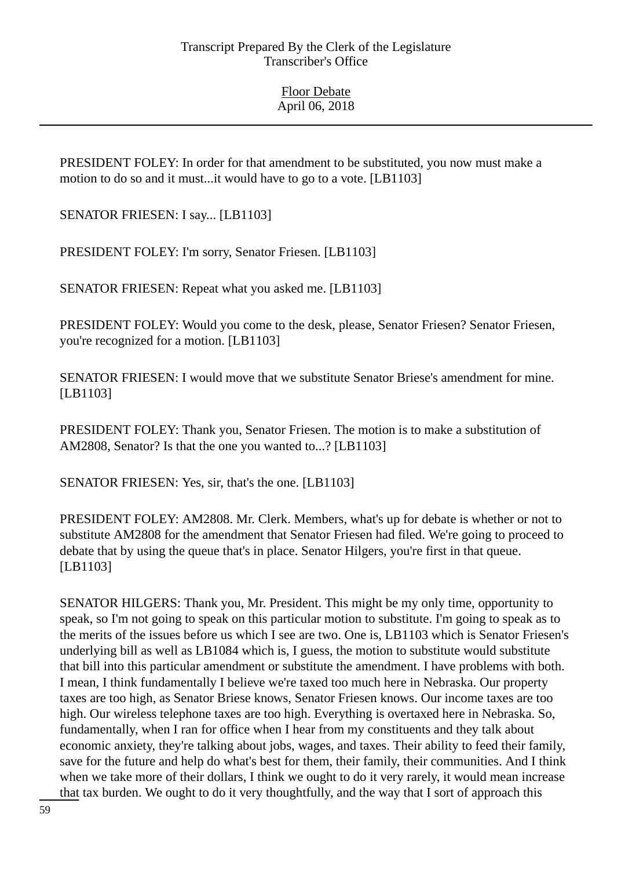PRESIDENT FOLEY: In order for that amendment to be substituted, you now must make a motion to do so and it must...it would have to go to a vote. [LB1103]

SENATOR FRIESEN: I say... [LB1103]

PRESIDENT FOLEY: I'm sorry, Senator Friesen. [LB1103]

SENATOR FRIESEN: Repeat what you asked me. [LB1103]

PRESIDENT FOLEY: Would you come to the desk, please, Senator Friesen? Senator Friesen, you're recognized for a motion. [LB1103]

SENATOR FRIESEN: I would move that we substitute Senator Briese's amendment for mine. [LB1103]

PRESIDENT FOLEY: Thank you, Senator Friesen. The motion is to make a substitution of AM2808, Senator? Is that the one you wanted to...? [LB1103]

SENATOR FRIESEN: Yes, sir, that's the one. [LB1103]

PRESIDENT FOLEY: AM2808. Mr. Clerk. Members, what's up for debate is whether or not to substitute AM2808 for the amendment that Senator Friesen had filed. We're going to proceed to debate that by using the queue that's in place. Senator Hilgers, you're first in that queue. [LB1103]

SENATOR HILGERS: Thank you, Mr. President. This might be my only time, opportunity to speak, so I'm not going to speak on this particular motion to substitute. I'm going to speak as to the merits of the issues before us which I see are two. One is, LB1103 which is Senator Friesen's underlying bill as well as LB1084 which is, I guess, the motion to substitute would substitute that bill into this particular amendment or substitute the amendment. I have problems with both. I mean, I think fundamentally I believe we're taxed too much here in Nebraska. Our property taxes are too high, as Senator Briese knows, Senator Friesen knows. Our income taxes are too high. Our wireless telephone taxes are too high. Everything is overtaxed here in Nebraska. So, fundamentally, when I ran for office when I hear from my constituents and they talk about economic anxiety, they're talking about jobs, wages, and taxes. Their ability to feed their family, save for the future and help do what's best for them, their family, their communities. And I think when we take more of their dollars, I think we ought to do it very rarely, it would mean increase that tax burden. We ought to do it very thoughtfully, and the way that I sort of approach this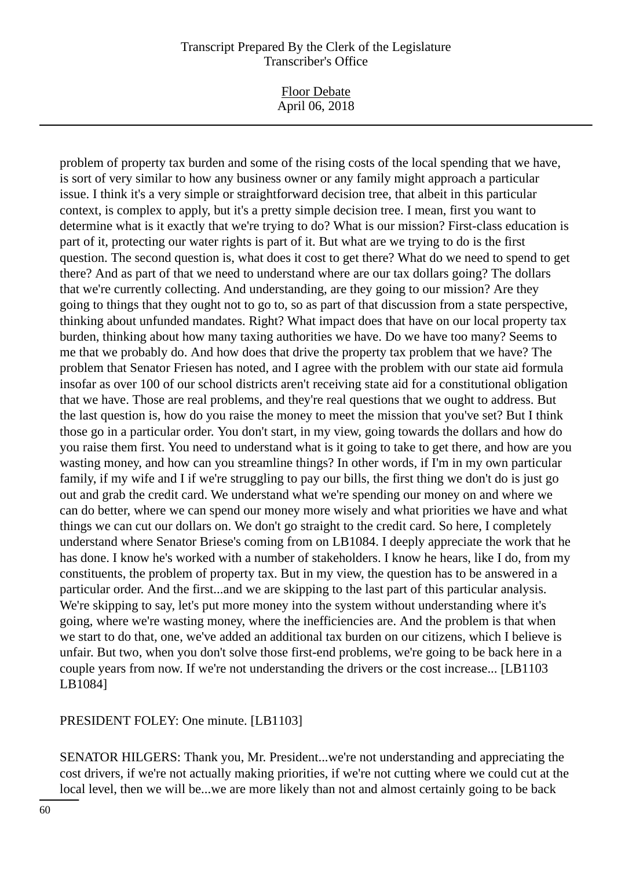Floor Debate April 06, 2018

problem of property tax burden and some of the rising costs of the local spending that we have, is sort of very similar to how any business owner or any family might approach a particular issue. I think it's a very simple or straightforward decision tree, that albeit in this particular context, is complex to apply, but it's a pretty simple decision tree. I mean, first you want to determine what is it exactly that we're trying to do? What is our mission? First-class education is part of it, protecting our water rights is part of it. But what are we trying to do is the first question. The second question is, what does it cost to get there? What do we need to spend to get there? And as part of that we need to understand where are our tax dollars going? The dollars that we're currently collecting. And understanding, are they going to our mission? Are they going to things that they ought not to go to, so as part of that discussion from a state perspective, thinking about unfunded mandates. Right? What impact does that have on our local property tax burden, thinking about how many taxing authorities we have. Do we have too many? Seems to me that we probably do. And how does that drive the property tax problem that we have? The problem that Senator Friesen has noted, and I agree with the problem with our state aid formula insofar as over 100 of our school districts aren't receiving state aid for a constitutional obligation that we have. Those are real problems, and they're real questions that we ought to address. But the last question is, how do you raise the money to meet the mission that you've set? But I think those go in a particular order. You don't start, in my view, going towards the dollars and how do you raise them first. You need to understand what is it going to take to get there, and how are you wasting money, and how can you streamline things? In other words, if I'm in my own particular family, if my wife and I if we're struggling to pay our bills, the first thing we don't do is just go out and grab the credit card. We understand what we're spending our money on and where we can do better, where we can spend our money more wisely and what priorities we have and what things we can cut our dollars on. We don't go straight to the credit card. So here, I completely understand where Senator Briese's coming from on LB1084. I deeply appreciate the work that he has done. I know he's worked with a number of stakeholders. I know he hears, like I do, from my constituents, the problem of property tax. But in my view, the question has to be answered in a particular order. And the first...and we are skipping to the last part of this particular analysis. We're skipping to say, let's put more money into the system without understanding where it's going, where we're wasting money, where the inefficiencies are. And the problem is that when we start to do that, one, we've added an additional tax burden on our citizens, which I believe is unfair. But two, when you don't solve those first-end problems, we're going to be back here in a couple years from now. If we're not understanding the drivers or the cost increase... [LB1103 LB1084]

PRESIDENT FOLEY: One minute. [LB1103]

SENATOR HILGERS: Thank you, Mr. President...we're not understanding and appreciating the cost drivers, if we're not actually making priorities, if we're not cutting where we could cut at the local level, then we will be...we are more likely than not and almost certainly going to be back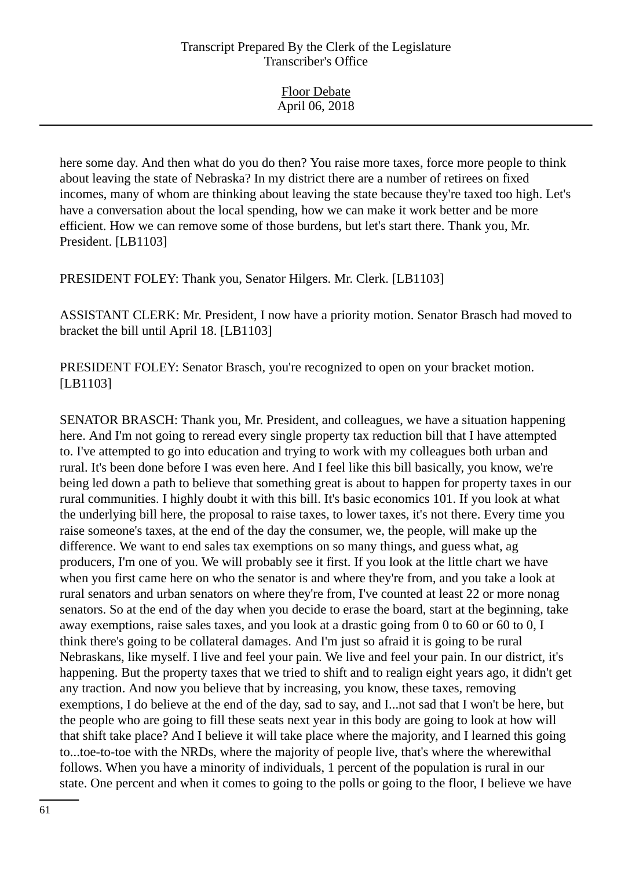| <b>Floor Debate</b><br>April 06, 2018 |
|---------------------------------------|
|                                       |

here some day. And then what do you do then? You raise more taxes, force more people to think about leaving the state of Nebraska? In my district there are a number of retirees on fixed incomes, many of whom are thinking about leaving the state because they're taxed too high. Let's have a conversation about the local spending, how we can make it work better and be more efficient. How we can remove some of those burdens, but let's start there. Thank you, Mr. President. [LB1103]

PRESIDENT FOLEY: Thank you, Senator Hilgers. Mr. Clerk. [LB1103]

ASSISTANT CLERK: Mr. President, I now have a priority motion. Senator Brasch had moved to bracket the bill until April 18. [LB1103]

PRESIDENT FOLEY: Senator Brasch, you're recognized to open on your bracket motion. [LB1103]

SENATOR BRASCH: Thank you, Mr. President, and colleagues, we have a situation happening here. And I'm not going to reread every single property tax reduction bill that I have attempted to. I've attempted to go into education and trying to work with my colleagues both urban and rural. It's been done before I was even here. And I feel like this bill basically, you know, we're being led down a path to believe that something great is about to happen for property taxes in our rural communities. I highly doubt it with this bill. It's basic economics 101. If you look at what the underlying bill here, the proposal to raise taxes, to lower taxes, it's not there. Every time you raise someone's taxes, at the end of the day the consumer, we, the people, will make up the difference. We want to end sales tax exemptions on so many things, and guess what, ag producers, I'm one of you. We will probably see it first. If you look at the little chart we have when you first came here on who the senator is and where they're from, and you take a look at rural senators and urban senators on where they're from, I've counted at least 22 or more nonag senators. So at the end of the day when you decide to erase the board, start at the beginning, take away exemptions, raise sales taxes, and you look at a drastic going from 0 to 60 or 60 to 0, I think there's going to be collateral damages. And I'm just so afraid it is going to be rural Nebraskans, like myself. I live and feel your pain. We live and feel your pain. In our district, it's happening. But the property taxes that we tried to shift and to realign eight years ago, it didn't get any traction. And now you believe that by increasing, you know, these taxes, removing exemptions, I do believe at the end of the day, sad to say, and I...not sad that I won't be here, but the people who are going to fill these seats next year in this body are going to look at how will that shift take place? And I believe it will take place where the majority, and I learned this going to...toe-to-toe with the NRDs, where the majority of people live, that's where the wherewithal follows. When you have a minority of individuals, 1 percent of the population is rural in our state. One percent and when it comes to going to the polls or going to the floor, I believe we have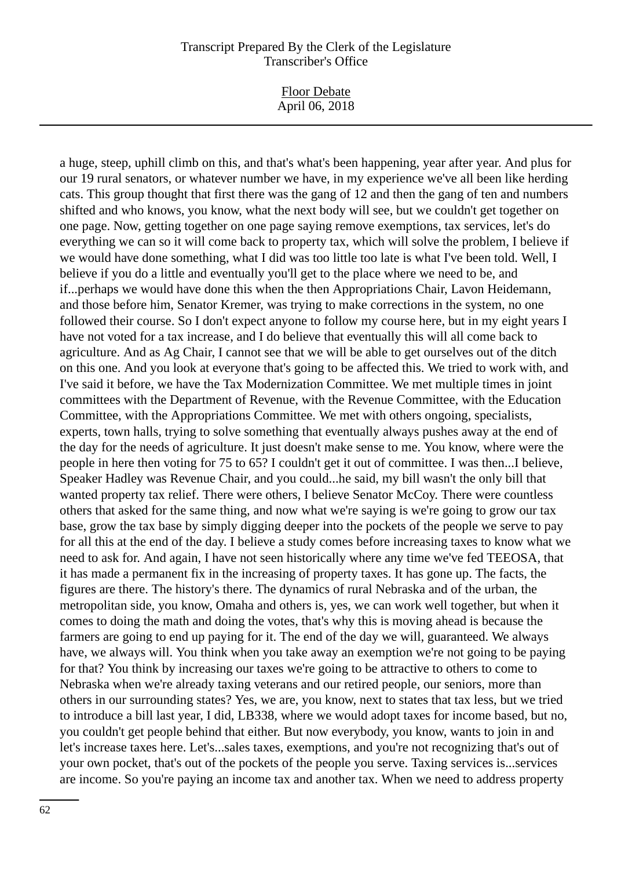Floor Debate April 06, 2018

a huge, steep, uphill climb on this, and that's what's been happening, year after year. And plus for our 19 rural senators, or whatever number we have, in my experience we've all been like herding cats. This group thought that first there was the gang of 12 and then the gang of ten and numbers shifted and who knows, you know, what the next body will see, but we couldn't get together on one page. Now, getting together on one page saying remove exemptions, tax services, let's do everything we can so it will come back to property tax, which will solve the problem, I believe if we would have done something, what I did was too little too late is what I've been told. Well, I believe if you do a little and eventually you'll get to the place where we need to be, and if...perhaps we would have done this when the then Appropriations Chair, Lavon Heidemann, and those before him, Senator Kremer, was trying to make corrections in the system, no one followed their course. So I don't expect anyone to follow my course here, but in my eight years I have not voted for a tax increase, and I do believe that eventually this will all come back to agriculture. And as Ag Chair, I cannot see that we will be able to get ourselves out of the ditch on this one. And you look at everyone that's going to be affected this. We tried to work with, and I've said it before, we have the Tax Modernization Committee. We met multiple times in joint committees with the Department of Revenue, with the Revenue Committee, with the Education Committee, with the Appropriations Committee. We met with others ongoing, specialists, experts, town halls, trying to solve something that eventually always pushes away at the end of the day for the needs of agriculture. It just doesn't make sense to me. You know, where were the people in here then voting for 75 to 65? I couldn't get it out of committee. I was then...I believe, Speaker Hadley was Revenue Chair, and you could...he said, my bill wasn't the only bill that wanted property tax relief. There were others, I believe Senator McCoy. There were countless others that asked for the same thing, and now what we're saying is we're going to grow our tax base, grow the tax base by simply digging deeper into the pockets of the people we serve to pay for all this at the end of the day. I believe a study comes before increasing taxes to know what we need to ask for. And again, I have not seen historically where any time we've fed TEEOSA, that it has made a permanent fix in the increasing of property taxes. It has gone up. The facts, the figures are there. The history's there. The dynamics of rural Nebraska and of the urban, the metropolitan side, you know, Omaha and others is, yes, we can work well together, but when it comes to doing the math and doing the votes, that's why this is moving ahead is because the farmers are going to end up paying for it. The end of the day we will, guaranteed. We always have, we always will. You think when you take away an exemption we're not going to be paying for that? You think by increasing our taxes we're going to be attractive to others to come to Nebraska when we're already taxing veterans and our retired people, our seniors, more than others in our surrounding states? Yes, we are, you know, next to states that tax less, but we tried to introduce a bill last year, I did, LB338, where we would adopt taxes for income based, but no, you couldn't get people behind that either. But now everybody, you know, wants to join in and let's increase taxes here. Let's...sales taxes, exemptions, and you're not recognizing that's out of your own pocket, that's out of the pockets of the people you serve. Taxing services is...services are income. So you're paying an income tax and another tax. When we need to address property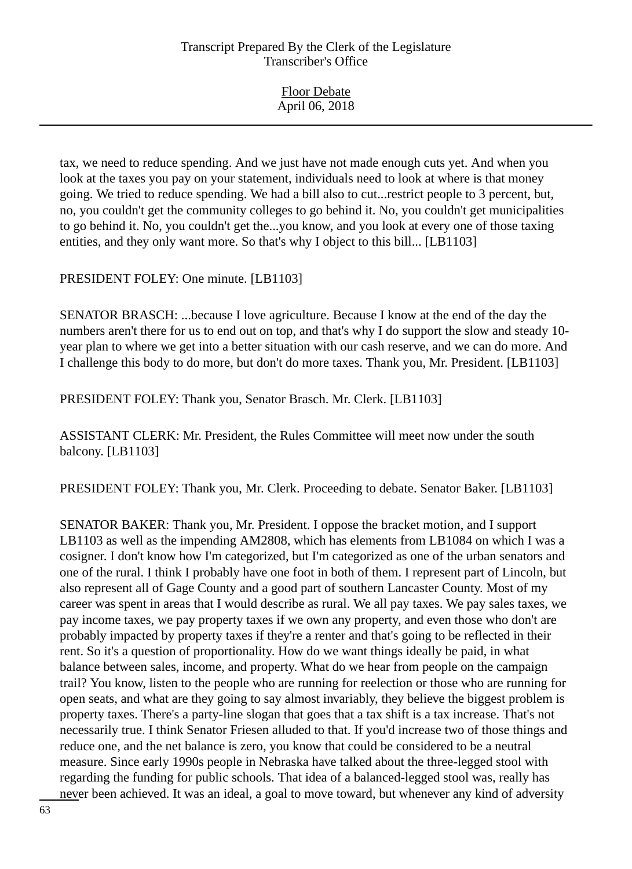| <b>Floor Debate</b> |  |
|---------------------|--|
| April 06, 2018      |  |

tax, we need to reduce spending. And we just have not made enough cuts yet. And when you look at the taxes you pay on your statement, individuals need to look at where is that money going. We tried to reduce spending. We had a bill also to cut...restrict people to 3 percent, but, no, you couldn't get the community colleges to go behind it. No, you couldn't get municipalities to go behind it. No, you couldn't get the...you know, and you look at every one of those taxing entities, and they only want more. So that's why I object to this bill... [LB1103]

PRESIDENT FOLEY: One minute. [LB1103]

SENATOR BRASCH: ...because I love agriculture. Because I know at the end of the day the numbers aren't there for us to end out on top, and that's why I do support the slow and steady 10 year plan to where we get into a better situation with our cash reserve, and we can do more. And I challenge this body to do more, but don't do more taxes. Thank you, Mr. President. [LB1103]

PRESIDENT FOLEY: Thank you, Senator Brasch. Mr. Clerk. [LB1103]

ASSISTANT CLERK: Mr. President, the Rules Committee will meet now under the south balcony. [LB1103]

PRESIDENT FOLEY: Thank you, Mr. Clerk. Proceeding to debate. Senator Baker. [LB1103]

SENATOR BAKER: Thank you, Mr. President. I oppose the bracket motion, and I support LB1103 as well as the impending AM2808, which has elements from LB1084 on which I was a cosigner. I don't know how I'm categorized, but I'm categorized as one of the urban senators and one of the rural. I think I probably have one foot in both of them. I represent part of Lincoln, but also represent all of Gage County and a good part of southern Lancaster County. Most of my career was spent in areas that I would describe as rural. We all pay taxes. We pay sales taxes, we pay income taxes, we pay property taxes if we own any property, and even those who don't are probably impacted by property taxes if they're a renter and that's going to be reflected in their rent. So it's a question of proportionality. How do we want things ideally be paid, in what balance between sales, income, and property. What do we hear from people on the campaign trail? You know, listen to the people who are running for reelection or those who are running for open seats, and what are they going to say almost invariably, they believe the biggest problem is property taxes. There's a party-line slogan that goes that a tax shift is a tax increase. That's not necessarily true. I think Senator Friesen alluded to that. If you'd increase two of those things and reduce one, and the net balance is zero, you know that could be considered to be a neutral measure. Since early 1990s people in Nebraska have talked about the three-legged stool with regarding the funding for public schools. That idea of a balanced-legged stool was, really has never been achieved. It was an ideal, a goal to move toward, but whenever any kind of adversity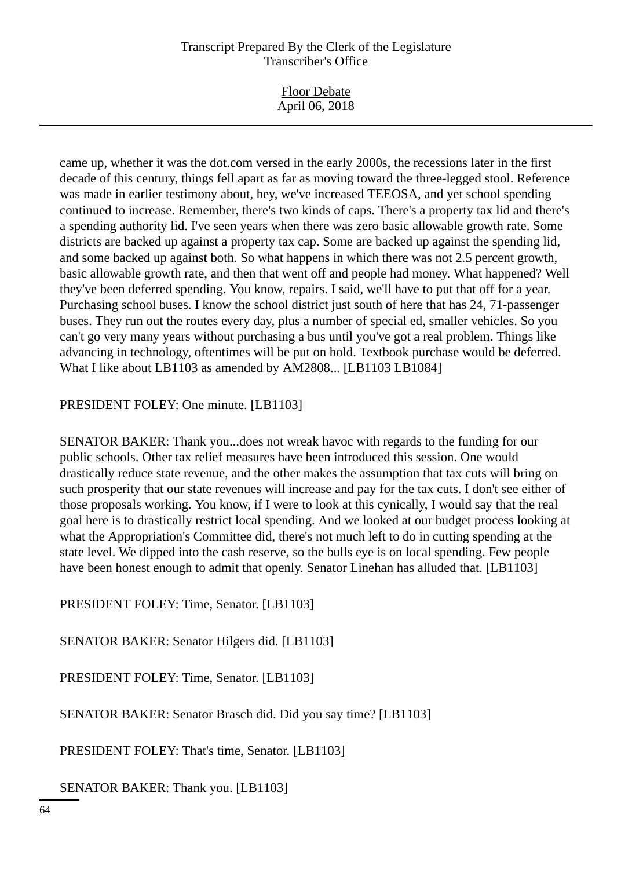came up, whether it was the dot.com versed in the early 2000s, the recessions later in the first decade of this century, things fell apart as far as moving toward the three-legged stool. Reference was made in earlier testimony about, hey, we've increased TEEOSA, and yet school spending continued to increase. Remember, there's two kinds of caps. There's a property tax lid and there's a spending authority lid. I've seen years when there was zero basic allowable growth rate. Some districts are backed up against a property tax cap. Some are backed up against the spending lid, and some backed up against both. So what happens in which there was not 2.5 percent growth, basic allowable growth rate, and then that went off and people had money. What happened? Well they've been deferred spending. You know, repairs. I said, we'll have to put that off for a year. Purchasing school buses. I know the school district just south of here that has 24, 71-passenger buses. They run out the routes every day, plus a number of special ed, smaller vehicles. So you can't go very many years without purchasing a bus until you've got a real problem. Things like advancing in technology, oftentimes will be put on hold. Textbook purchase would be deferred. What I like about LB1103 as amended by AM2808... [LB1103 LB1084]

PRESIDENT FOLEY: One minute. [LB1103]

SENATOR BAKER: Thank you...does not wreak havoc with regards to the funding for our public schools. Other tax relief measures have been introduced this session. One would drastically reduce state revenue, and the other makes the assumption that tax cuts will bring on such prosperity that our state revenues will increase and pay for the tax cuts. I don't see either of those proposals working. You know, if I were to look at this cynically, I would say that the real goal here is to drastically restrict local spending. And we looked at our budget process looking at what the Appropriation's Committee did, there's not much left to do in cutting spending at the state level. We dipped into the cash reserve, so the bulls eye is on local spending. Few people have been honest enough to admit that openly. Senator Linehan has alluded that. [LB1103]

PRESIDENT FOLEY: Time, Senator. [LB1103]

SENATOR BAKER: Senator Hilgers did. [LB1103]

PRESIDENT FOLEY: Time, Senator. [LB1103]

SENATOR BAKER: Senator Brasch did. Did you say time? [LB1103]

PRESIDENT FOLEY: That's time, Senator. [LB1103]

SENATOR BAKER: Thank you. [LB1103]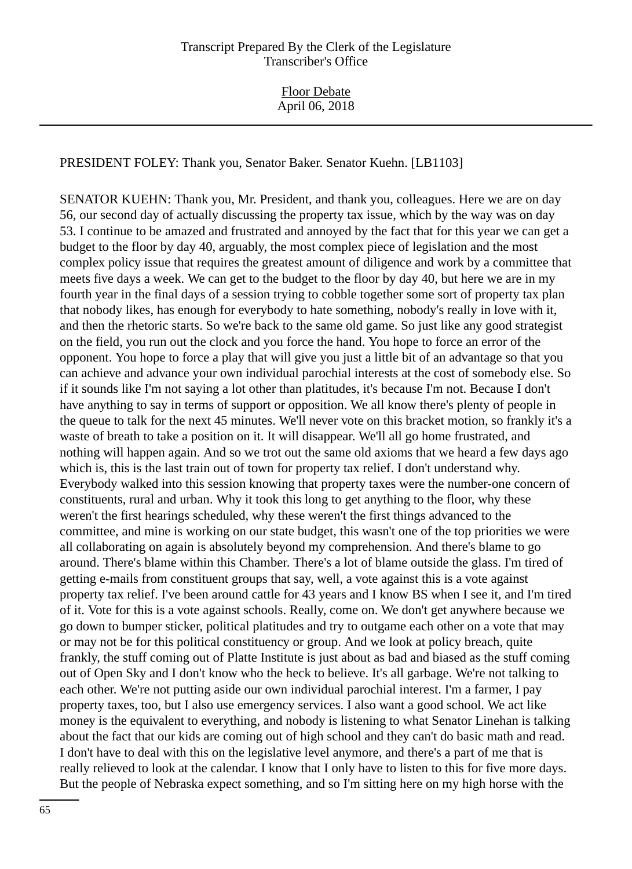PRESIDENT FOLEY: Thank you, Senator Baker. Senator Kuehn. [LB1103]

SENATOR KUEHN: Thank you, Mr. President, and thank you, colleagues. Here we are on day 56, our second day of actually discussing the property tax issue, which by the way was on day 53. I continue to be amazed and frustrated and annoyed by the fact that for this year we can get a budget to the floor by day 40, arguably, the most complex piece of legislation and the most complex policy issue that requires the greatest amount of diligence and work by a committee that meets five days a week. We can get to the budget to the floor by day 40, but here we are in my fourth year in the final days of a session trying to cobble together some sort of property tax plan that nobody likes, has enough for everybody to hate something, nobody's really in love with it, and then the rhetoric starts. So we're back to the same old game. So just like any good strategist on the field, you run out the clock and you force the hand. You hope to force an error of the opponent. You hope to force a play that will give you just a little bit of an advantage so that you can achieve and advance your own individual parochial interests at the cost of somebody else. So if it sounds like I'm not saying a lot other than platitudes, it's because I'm not. Because I don't have anything to say in terms of support or opposition. We all know there's plenty of people in the queue to talk for the next 45 minutes. We'll never vote on this bracket motion, so frankly it's a waste of breath to take a position on it. It will disappear. We'll all go home frustrated, and nothing will happen again. And so we trot out the same old axioms that we heard a few days ago which is, this is the last train out of town for property tax relief. I don't understand why. Everybody walked into this session knowing that property taxes were the number-one concern of constituents, rural and urban. Why it took this long to get anything to the floor, why these weren't the first hearings scheduled, why these weren't the first things advanced to the committee, and mine is working on our state budget, this wasn't one of the top priorities we were all collaborating on again is absolutely beyond my comprehension. And there's blame to go around. There's blame within this Chamber. There's a lot of blame outside the glass. I'm tired of getting e-mails from constituent groups that say, well, a vote against this is a vote against property tax relief. I've been around cattle for 43 years and I know BS when I see it, and I'm tired of it. Vote for this is a vote against schools. Really, come on. We don't get anywhere because we go down to bumper sticker, political platitudes and try to outgame each other on a vote that may or may not be for this political constituency or group. And we look at policy breach, quite frankly, the stuff coming out of Platte Institute is just about as bad and biased as the stuff coming out of Open Sky and I don't know who the heck to believe. It's all garbage. We're not talking to each other. We're not putting aside our own individual parochial interest. I'm a farmer, I pay property taxes, too, but I also use emergency services. I also want a good school. We act like money is the equivalent to everything, and nobody is listening to what Senator Linehan is talking about the fact that our kids are coming out of high school and they can't do basic math and read. I don't have to deal with this on the legislative level anymore, and there's a part of me that is really relieved to look at the calendar. I know that I only have to listen to this for five more days. But the people of Nebraska expect something, and so I'm sitting here on my high horse with the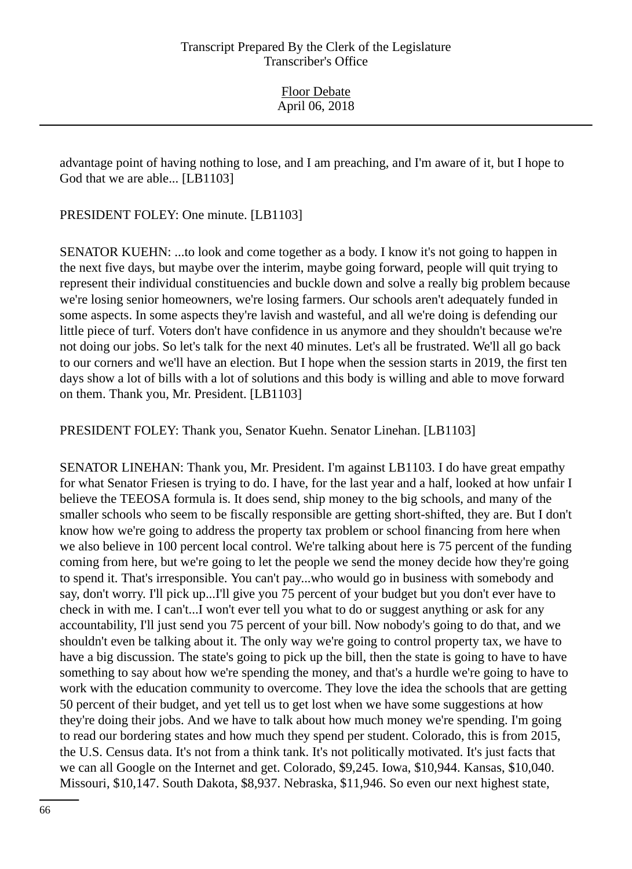advantage point of having nothing to lose, and I am preaching, and I'm aware of it, but I hope to God that we are able... [LB1103]

PRESIDENT FOLEY: One minute. [LB1103]

SENATOR KUEHN: ...to look and come together as a body. I know it's not going to happen in the next five days, but maybe over the interim, maybe going forward, people will quit trying to represent their individual constituencies and buckle down and solve a really big problem because we're losing senior homeowners, we're losing farmers. Our schools aren't adequately funded in some aspects. In some aspects they're lavish and wasteful, and all we're doing is defending our little piece of turf. Voters don't have confidence in us anymore and they shouldn't because we're not doing our jobs. So let's talk for the next 40 minutes. Let's all be frustrated. We'll all go back to our corners and we'll have an election. But I hope when the session starts in 2019, the first ten days show a lot of bills with a lot of solutions and this body is willing and able to move forward on them. Thank you, Mr. President. [LB1103]

PRESIDENT FOLEY: Thank you, Senator Kuehn. Senator Linehan. [LB1103]

SENATOR LINEHAN: Thank you, Mr. President. I'm against LB1103. I do have great empathy for what Senator Friesen is trying to do. I have, for the last year and a half, looked at how unfair I believe the TEEOSA formula is. It does send, ship money to the big schools, and many of the smaller schools who seem to be fiscally responsible are getting short-shifted, they are. But I don't know how we're going to address the property tax problem or school financing from here when we also believe in 100 percent local control. We're talking about here is 75 percent of the funding coming from here, but we're going to let the people we send the money decide how they're going to spend it. That's irresponsible. You can't pay...who would go in business with somebody and say, don't worry. I'll pick up...I'll give you 75 percent of your budget but you don't ever have to check in with me. I can't...I won't ever tell you what to do or suggest anything or ask for any accountability, I'll just send you 75 percent of your bill. Now nobody's going to do that, and we shouldn't even be talking about it. The only way we're going to control property tax, we have to have a big discussion. The state's going to pick up the bill, then the state is going to have to have something to say about how we're spending the money, and that's a hurdle we're going to have to work with the education community to overcome. They love the idea the schools that are getting 50 percent of their budget, and yet tell us to get lost when we have some suggestions at how they're doing their jobs. And we have to talk about how much money we're spending. I'm going to read our bordering states and how much they spend per student. Colorado, this is from 2015, the U.S. Census data. It's not from a think tank. It's not politically motivated. It's just facts that we can all Google on the Internet and get. Colorado, \$9,245. Iowa, \$10,944. Kansas, \$10,040. Missouri, \$10,147. South Dakota, \$8,937. Nebraska, \$11,946. So even our next highest state,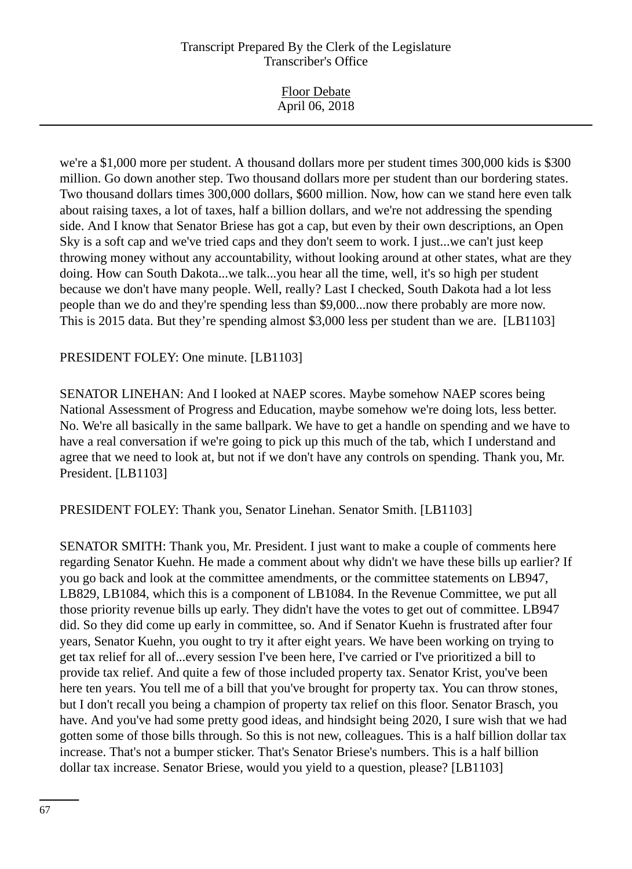we're a \$1,000 more per student. A thousand dollars more per student times 300,000 kids is \$300 million. Go down another step. Two thousand dollars more per student than our bordering states. Two thousand dollars times 300,000 dollars, \$600 million. Now, how can we stand here even talk about raising taxes, a lot of taxes, half a billion dollars, and we're not addressing the spending side. And I know that Senator Briese has got a cap, but even by their own descriptions, an Open Sky is a soft cap and we've tried caps and they don't seem to work. I just...we can't just keep throwing money without any accountability, without looking around at other states, what are they doing. How can South Dakota...we talk...you hear all the time, well, it's so high per student because we don't have many people. Well, really? Last I checked, South Dakota had a lot less people than we do and they're spending less than \$9,000...now there probably are more now. This is 2015 data. But they're spending almost \$3,000 less per student than we are. [LB1103]

#### PRESIDENT FOLEY: One minute. [LB1103]

SENATOR LINEHAN: And I looked at NAEP scores. Maybe somehow NAEP scores being National Assessment of Progress and Education, maybe somehow we're doing lots, less better. No. We're all basically in the same ballpark. We have to get a handle on spending and we have to have a real conversation if we're going to pick up this much of the tab, which I understand and agree that we need to look at, but not if we don't have any controls on spending. Thank you, Mr. President. [LB1103]

PRESIDENT FOLEY: Thank you, Senator Linehan. Senator Smith. [LB1103]

SENATOR SMITH: Thank you, Mr. President. I just want to make a couple of comments here regarding Senator Kuehn. He made a comment about why didn't we have these bills up earlier? If you go back and look at the committee amendments, or the committee statements on LB947, LB829, LB1084, which this is a component of LB1084. In the Revenue Committee, we put all those priority revenue bills up early. They didn't have the votes to get out of committee. LB947 did. So they did come up early in committee, so. And if Senator Kuehn is frustrated after four years, Senator Kuehn, you ought to try it after eight years. We have been working on trying to get tax relief for all of...every session I've been here, I've carried or I've prioritized a bill to provide tax relief. And quite a few of those included property tax. Senator Krist, you've been here ten years. You tell me of a bill that you've brought for property tax. You can throw stones, but I don't recall you being a champion of property tax relief on this floor. Senator Brasch, you have. And you've had some pretty good ideas, and hindsight being 2020, I sure wish that we had gotten some of those bills through. So this is not new, colleagues. This is a half billion dollar tax increase. That's not a bumper sticker. That's Senator Briese's numbers. This is a half billion dollar tax increase. Senator Briese, would you yield to a question, please? [LB1103]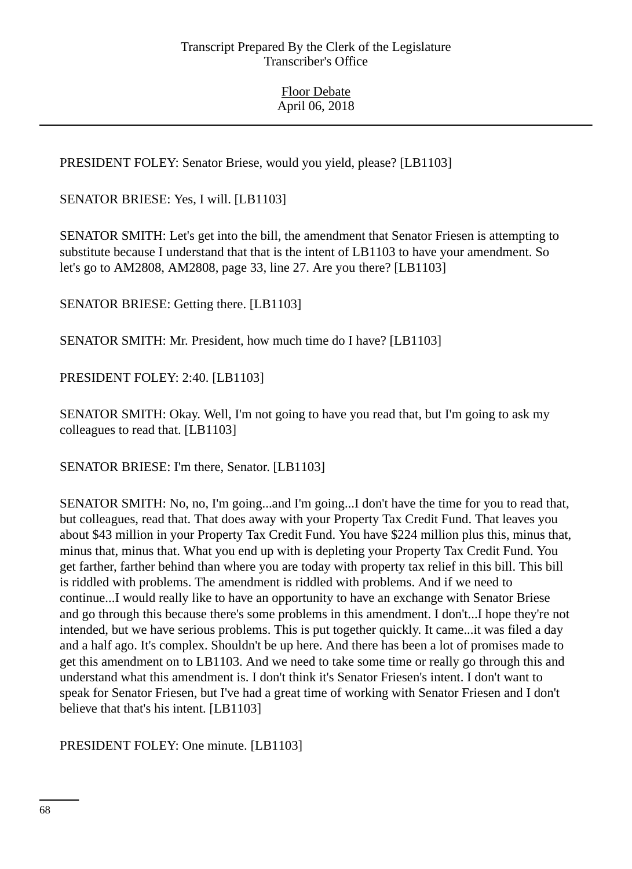PRESIDENT FOLEY: Senator Briese, would you yield, please? [LB1103]

SENATOR BRIESE: Yes, I will. [LB1103]

SENATOR SMITH: Let's get into the bill, the amendment that Senator Friesen is attempting to substitute because I understand that that is the intent of LB1103 to have your amendment. So let's go to AM2808, AM2808, page 33, line 27. Are you there? [LB1103]

SENATOR BRIESE: Getting there. [LB1103]

SENATOR SMITH: Mr. President, how much time do I have? [LB1103]

PRESIDENT FOLEY: 2:40. [LB1103]

SENATOR SMITH: Okay. Well, I'm not going to have you read that, but I'm going to ask my colleagues to read that. [LB1103]

SENATOR BRIESE: I'm there, Senator. [LB1103]

SENATOR SMITH: No, no, I'm going...and I'm going...I don't have the time for you to read that, but colleagues, read that. That does away with your Property Tax Credit Fund. That leaves you about \$43 million in your Property Tax Credit Fund. You have \$224 million plus this, minus that, minus that, minus that. What you end up with is depleting your Property Tax Credit Fund. You get farther, farther behind than where you are today with property tax relief in this bill. This bill is riddled with problems. The amendment is riddled with problems. And if we need to continue...I would really like to have an opportunity to have an exchange with Senator Briese and go through this because there's some problems in this amendment. I don't...I hope they're not intended, but we have serious problems. This is put together quickly. It came...it was filed a day and a half ago. It's complex. Shouldn't be up here. And there has been a lot of promises made to get this amendment on to LB1103. And we need to take some time or really go through this and understand what this amendment is. I don't think it's Senator Friesen's intent. I don't want to speak for Senator Friesen, but I've had a great time of working with Senator Friesen and I don't believe that that's his intent. [LB1103]

PRESIDENT FOLEY: One minute. [LB1103]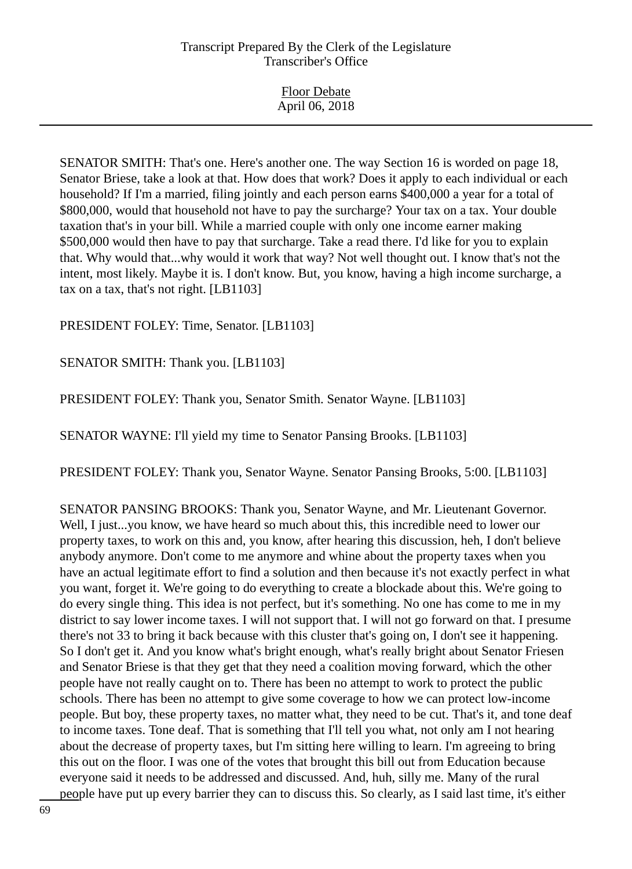| <b>Floor Debate</b> |
|---------------------|
| April 06, 2018      |

SENATOR SMITH: That's one. Here's another one. The way Section 16 is worded on page 18, Senator Briese, take a look at that. How does that work? Does it apply to each individual or each household? If I'm a married, filing jointly and each person earns \$400,000 a year for a total of \$800,000, would that household not have to pay the surcharge? Your tax on a tax. Your double taxation that's in your bill. While a married couple with only one income earner making \$500,000 would then have to pay that surcharge. Take a read there. I'd like for you to explain that. Why would that...why would it work that way? Not well thought out. I know that's not the intent, most likely. Maybe it is. I don't know. But, you know, having a high income surcharge, a tax on a tax, that's not right. [LB1103]

PRESIDENT FOLEY: Time, Senator. [LB1103]

SENATOR SMITH: Thank you. [LB1103]

PRESIDENT FOLEY: Thank you, Senator Smith. Senator Wayne. [LB1103]

SENATOR WAYNE: I'll yield my time to Senator Pansing Brooks. [LB1103]

PRESIDENT FOLEY: Thank you, Senator Wayne. Senator Pansing Brooks, 5:00. [LB1103]

SENATOR PANSING BROOKS: Thank you, Senator Wayne, and Mr. Lieutenant Governor. Well, I just...you know, we have heard so much about this, this incredible need to lower our property taxes, to work on this and, you know, after hearing this discussion, heh, I don't believe anybody anymore. Don't come to me anymore and whine about the property taxes when you have an actual legitimate effort to find a solution and then because it's not exactly perfect in what you want, forget it. We're going to do everything to create a blockade about this. We're going to do every single thing. This idea is not perfect, but it's something. No one has come to me in my district to say lower income taxes. I will not support that. I will not go forward on that. I presume there's not 33 to bring it back because with this cluster that's going on, I don't see it happening. So I don't get it. And you know what's bright enough, what's really bright about Senator Friesen and Senator Briese is that they get that they need a coalition moving forward, which the other people have not really caught on to. There has been no attempt to work to protect the public schools. There has been no attempt to give some coverage to how we can protect low-income people. But boy, these property taxes, no matter what, they need to be cut. That's it, and tone deaf to income taxes. Tone deaf. That is something that I'll tell you what, not only am I not hearing about the decrease of property taxes, but I'm sitting here willing to learn. I'm agreeing to bring this out on the floor. I was one of the votes that brought this bill out from Education because everyone said it needs to be addressed and discussed. And, huh, silly me. Many of the rural people have put up every barrier they can to discuss this. So clearly, as I said last time, it's either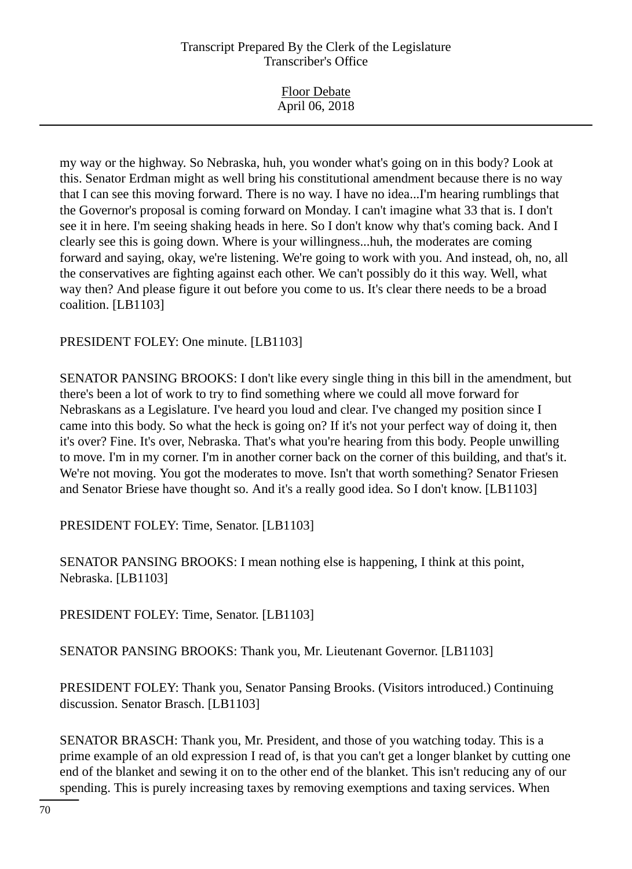| <b>Floor Debate</b><br>April 06, 2018 |  |
|---------------------------------------|--|
|                                       |  |

my way or the highway. So Nebraska, huh, you wonder what's going on in this body? Look at this. Senator Erdman might as well bring his constitutional amendment because there is no way that I can see this moving forward. There is no way. I have no idea...I'm hearing rumblings that the Governor's proposal is coming forward on Monday. I can't imagine what 33 that is. I don't see it in here. I'm seeing shaking heads in here. So I don't know why that's coming back. And I clearly see this is going down. Where is your willingness...huh, the moderates are coming forward and saying, okay, we're listening. We're going to work with you. And instead, oh, no, all the conservatives are fighting against each other. We can't possibly do it this way. Well, what way then? And please figure it out before you come to us. It's clear there needs to be a broad coalition. [LB1103]

#### PRESIDENT FOLEY: One minute. [LB1103]

SENATOR PANSING BROOKS: I don't like every single thing in this bill in the amendment, but there's been a lot of work to try to find something where we could all move forward for Nebraskans as a Legislature. I've heard you loud and clear. I've changed my position since I came into this body. So what the heck is going on? If it's not your perfect way of doing it, then it's over? Fine. It's over, Nebraska. That's what you're hearing from this body. People unwilling to move. I'm in my corner. I'm in another corner back on the corner of this building, and that's it. We're not moving. You got the moderates to move. Isn't that worth something? Senator Friesen and Senator Briese have thought so. And it's a really good idea. So I don't know. [LB1103]

PRESIDENT FOLEY: Time, Senator. [LB1103]

SENATOR PANSING BROOKS: I mean nothing else is happening, I think at this point, Nebraska. [LB1103]

PRESIDENT FOLEY: Time, Senator. [LB1103]

SENATOR PANSING BROOKS: Thank you, Mr. Lieutenant Governor. [LB1103]

PRESIDENT FOLEY: Thank you, Senator Pansing Brooks. (Visitors introduced.) Continuing discussion. Senator Brasch. [LB1103]

SENATOR BRASCH: Thank you, Mr. President, and those of you watching today. This is a prime example of an old expression I read of, is that you can't get a longer blanket by cutting one end of the blanket and sewing it on to the other end of the blanket. This isn't reducing any of our spending. This is purely increasing taxes by removing exemptions and taxing services. When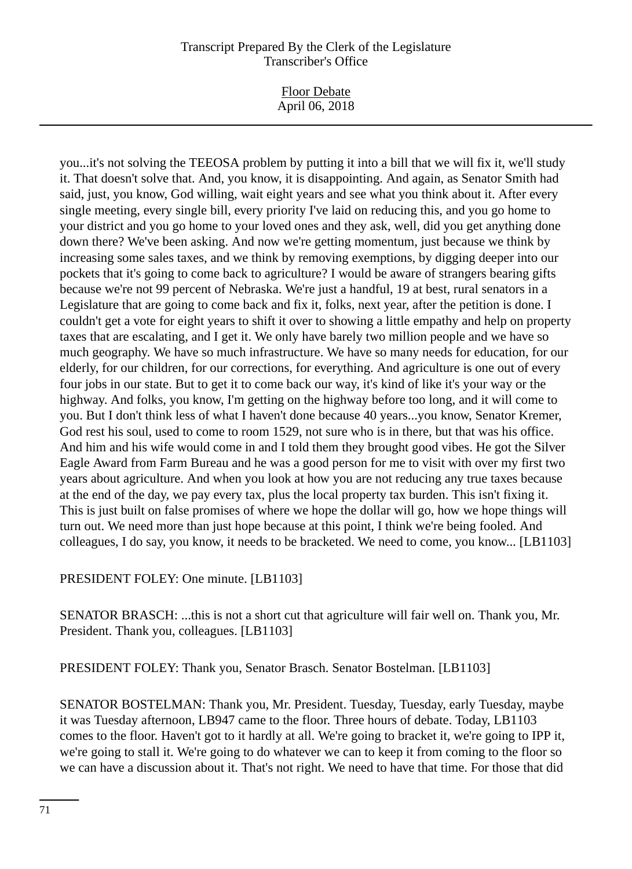Floor Debate April 06, 2018

you...it's not solving the TEEOSA problem by putting it into a bill that we will fix it, we'll study it. That doesn't solve that. And, you know, it is disappointing. And again, as Senator Smith had said, just, you know, God willing, wait eight years and see what you think about it. After every single meeting, every single bill, every priority I've laid on reducing this, and you go home to your district and you go home to your loved ones and they ask, well, did you get anything done down there? We've been asking. And now we're getting momentum, just because we think by increasing some sales taxes, and we think by removing exemptions, by digging deeper into our pockets that it's going to come back to agriculture? I would be aware of strangers bearing gifts because we're not 99 percent of Nebraska. We're just a handful, 19 at best, rural senators in a Legislature that are going to come back and fix it, folks, next year, after the petition is done. I couldn't get a vote for eight years to shift it over to showing a little empathy and help on property taxes that are escalating, and I get it. We only have barely two million people and we have so much geography. We have so much infrastructure. We have so many needs for education, for our elderly, for our children, for our corrections, for everything. And agriculture is one out of every four jobs in our state. But to get it to come back our way, it's kind of like it's your way or the highway. And folks, you know, I'm getting on the highway before too long, and it will come to you. But I don't think less of what I haven't done because 40 years...you know, Senator Kremer, God rest his soul, used to come to room 1529, not sure who is in there, but that was his office. And him and his wife would come in and I told them they brought good vibes. He got the Silver Eagle Award from Farm Bureau and he was a good person for me to visit with over my first two years about agriculture. And when you look at how you are not reducing any true taxes because at the end of the day, we pay every tax, plus the local property tax burden. This isn't fixing it. This is just built on false promises of where we hope the dollar will go, how we hope things will turn out. We need more than just hope because at this point, I think we're being fooled. And colleagues, I do say, you know, it needs to be bracketed. We need to come, you know... [LB1103]

# PRESIDENT FOLEY: One minute. [LB1103]

SENATOR BRASCH: ...this is not a short cut that agriculture will fair well on. Thank you, Mr. President. Thank you, colleagues. [LB1103]

PRESIDENT FOLEY: Thank you, Senator Brasch. Senator Bostelman. [LB1103]

SENATOR BOSTELMAN: Thank you, Mr. President. Tuesday, Tuesday, early Tuesday, maybe it was Tuesday afternoon, LB947 came to the floor. Three hours of debate. Today, LB1103 comes to the floor. Haven't got to it hardly at all. We're going to bracket it, we're going to IPP it, we're going to stall it. We're going to do whatever we can to keep it from coming to the floor so we can have a discussion about it. That's not right. We need to have that time. For those that did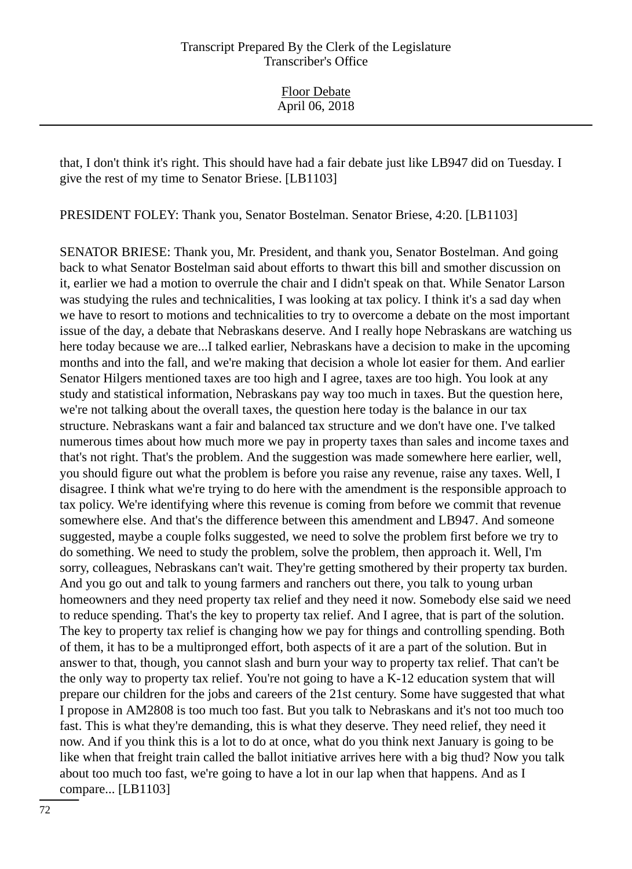that, I don't think it's right. This should have had a fair debate just like LB947 did on Tuesday. I give the rest of my time to Senator Briese. [LB1103]

PRESIDENT FOLEY: Thank you, Senator Bostelman. Senator Briese, 4:20. [LB1103]

SENATOR BRIESE: Thank you, Mr. President, and thank you, Senator Bostelman. And going back to what Senator Bostelman said about efforts to thwart this bill and smother discussion on it, earlier we had a motion to overrule the chair and I didn't speak on that. While Senator Larson was studying the rules and technicalities, I was looking at tax policy. I think it's a sad day when we have to resort to motions and technicalities to try to overcome a debate on the most important issue of the day, a debate that Nebraskans deserve. And I really hope Nebraskans are watching us here today because we are...I talked earlier, Nebraskans have a decision to make in the upcoming months and into the fall, and we're making that decision a whole lot easier for them. And earlier Senator Hilgers mentioned taxes are too high and I agree, taxes are too high. You look at any study and statistical information, Nebraskans pay way too much in taxes. But the question here, we're not talking about the overall taxes, the question here today is the balance in our tax structure. Nebraskans want a fair and balanced tax structure and we don't have one. I've talked numerous times about how much more we pay in property taxes than sales and income taxes and that's not right. That's the problem. And the suggestion was made somewhere here earlier, well, you should figure out what the problem is before you raise any revenue, raise any taxes. Well, I disagree. I think what we're trying to do here with the amendment is the responsible approach to tax policy. We're identifying where this revenue is coming from before we commit that revenue somewhere else. And that's the difference between this amendment and LB947. And someone suggested, maybe a couple folks suggested, we need to solve the problem first before we try to do something. We need to study the problem, solve the problem, then approach it. Well, I'm sorry, colleagues, Nebraskans can't wait. They're getting smothered by their property tax burden. And you go out and talk to young farmers and ranchers out there, you talk to young urban homeowners and they need property tax relief and they need it now. Somebody else said we need to reduce spending. That's the key to property tax relief. And I agree, that is part of the solution. The key to property tax relief is changing how we pay for things and controlling spending. Both of them, it has to be a multipronged effort, both aspects of it are a part of the solution. But in answer to that, though, you cannot slash and burn your way to property tax relief. That can't be the only way to property tax relief. You're not going to have a K-12 education system that will prepare our children for the jobs and careers of the 21st century. Some have suggested that what I propose in AM2808 is too much too fast. But you talk to Nebraskans and it's not too much too fast. This is what they're demanding, this is what they deserve. They need relief, they need it now. And if you think this is a lot to do at once, what do you think next January is going to be like when that freight train called the ballot initiative arrives here with a big thud? Now you talk about too much too fast, we're going to have a lot in our lap when that happens. And as I compare... [LB1103]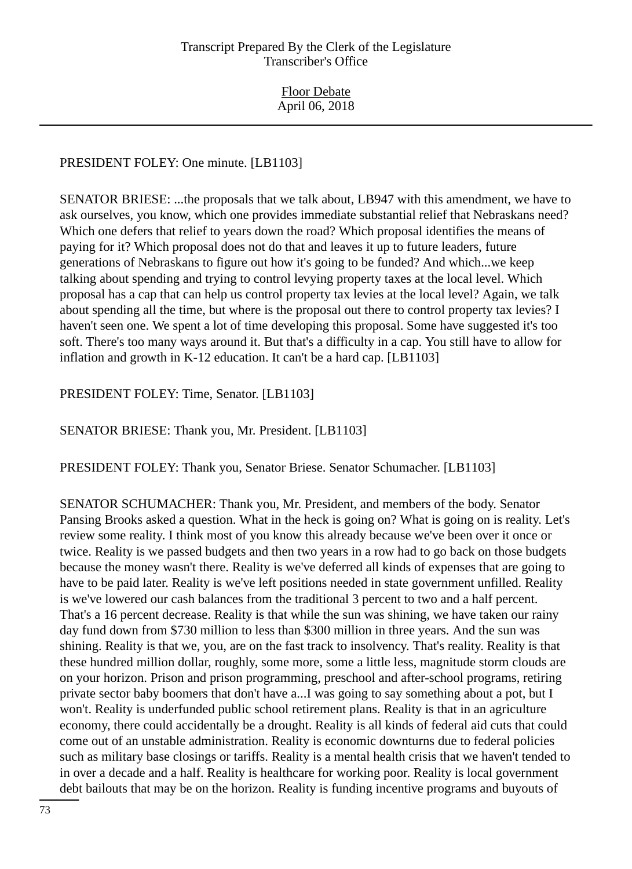# PRESIDENT FOLEY: One minute. [LB1103]

SENATOR BRIESE: ...the proposals that we talk about, LB947 with this amendment, we have to ask ourselves, you know, which one provides immediate substantial relief that Nebraskans need? Which one defers that relief to years down the road? Which proposal identifies the means of paying for it? Which proposal does not do that and leaves it up to future leaders, future generations of Nebraskans to figure out how it's going to be funded? And which...we keep talking about spending and trying to control levying property taxes at the local level. Which proposal has a cap that can help us control property tax levies at the local level? Again, we talk about spending all the time, but where is the proposal out there to control property tax levies? I haven't seen one. We spent a lot of time developing this proposal. Some have suggested it's too soft. There's too many ways around it. But that's a difficulty in a cap. You still have to allow for inflation and growth in K-12 education. It can't be a hard cap. [LB1103]

PRESIDENT FOLEY: Time, Senator. [LB1103]

SENATOR BRIESE: Thank you, Mr. President. [LB1103]

PRESIDENT FOLEY: Thank you, Senator Briese. Senator Schumacher. [LB1103]

SENATOR SCHUMACHER: Thank you, Mr. President, and members of the body. Senator Pansing Brooks asked a question. What in the heck is going on? What is going on is reality. Let's review some reality. I think most of you know this already because we've been over it once or twice. Reality is we passed budgets and then two years in a row had to go back on those budgets because the money wasn't there. Reality is we've deferred all kinds of expenses that are going to have to be paid later. Reality is we've left positions needed in state government unfilled. Reality is we've lowered our cash balances from the traditional 3 percent to two and a half percent. That's a 16 percent decrease. Reality is that while the sun was shining, we have taken our rainy day fund down from \$730 million to less than \$300 million in three years. And the sun was shining. Reality is that we, you, are on the fast track to insolvency. That's reality. Reality is that these hundred million dollar, roughly, some more, some a little less, magnitude storm clouds are on your horizon. Prison and prison programming, preschool and after-school programs, retiring private sector baby boomers that don't have a...I was going to say something about a pot, but I won't. Reality is underfunded public school retirement plans. Reality is that in an agriculture economy, there could accidentally be a drought. Reality is all kinds of federal aid cuts that could come out of an unstable administration. Reality is economic downturns due to federal policies such as military base closings or tariffs. Reality is a mental health crisis that we haven't tended to in over a decade and a half. Reality is healthcare for working poor. Reality is local government debt bailouts that may be on the horizon. Reality is funding incentive programs and buyouts of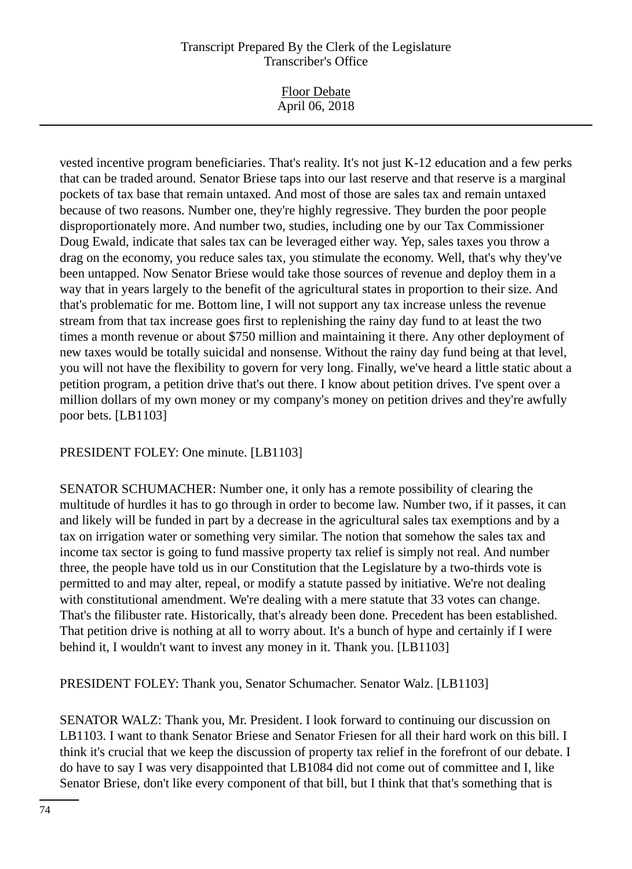vested incentive program beneficiaries. That's reality. It's not just K-12 education and a few perks that can be traded around. Senator Briese taps into our last reserve and that reserve is a marginal pockets of tax base that remain untaxed. And most of those are sales tax and remain untaxed because of two reasons. Number one, they're highly regressive. They burden the poor people disproportionately more. And number two, studies, including one by our Tax Commissioner Doug Ewald, indicate that sales tax can be leveraged either way. Yep, sales taxes you throw a drag on the economy, you reduce sales tax, you stimulate the economy. Well, that's why they've been untapped. Now Senator Briese would take those sources of revenue and deploy them in a way that in years largely to the benefit of the agricultural states in proportion to their size. And that's problematic for me. Bottom line, I will not support any tax increase unless the revenue stream from that tax increase goes first to replenishing the rainy day fund to at least the two times a month revenue or about \$750 million and maintaining it there. Any other deployment of new taxes would be totally suicidal and nonsense. Without the rainy day fund being at that level, you will not have the flexibility to govern for very long. Finally, we've heard a little static about a petition program, a petition drive that's out there. I know about petition drives. I've spent over a million dollars of my own money or my company's money on petition drives and they're awfully poor bets. [LB1103]

PRESIDENT FOLEY: One minute. [LB1103]

SENATOR SCHUMACHER: Number one, it only has a remote possibility of clearing the multitude of hurdles it has to go through in order to become law. Number two, if it passes, it can and likely will be funded in part by a decrease in the agricultural sales tax exemptions and by a tax on irrigation water or something very similar. The notion that somehow the sales tax and income tax sector is going to fund massive property tax relief is simply not real. And number three, the people have told us in our Constitution that the Legislature by a two-thirds vote is permitted to and may alter, repeal, or modify a statute passed by initiative. We're not dealing with constitutional amendment. We're dealing with a mere statute that 33 votes can change. That's the filibuster rate. Historically, that's already been done. Precedent has been established. That petition drive is nothing at all to worry about. It's a bunch of hype and certainly if I were behind it, I wouldn't want to invest any money in it. Thank you. [LB1103]

PRESIDENT FOLEY: Thank you, Senator Schumacher. Senator Walz. [LB1103]

SENATOR WALZ: Thank you, Mr. President. I look forward to continuing our discussion on LB1103. I want to thank Senator Briese and Senator Friesen for all their hard work on this bill. I think it's crucial that we keep the discussion of property tax relief in the forefront of our debate. I do have to say I was very disappointed that LB1084 did not come out of committee and I, like Senator Briese, don't like every component of that bill, but I think that that's something that is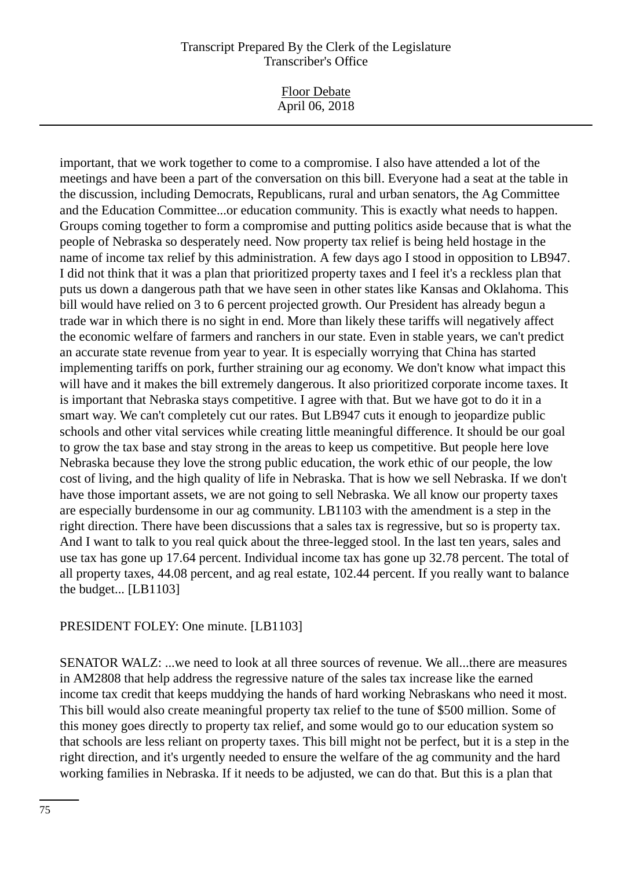| <b>Floor Debate</b> |
|---------------------|
| April 06, 2018      |

important, that we work together to come to a compromise. I also have attended a lot of the meetings and have been a part of the conversation on this bill. Everyone had a seat at the table in the discussion, including Democrats, Republicans, rural and urban senators, the Ag Committee and the Education Committee...or education community. This is exactly what needs to happen. Groups coming together to form a compromise and putting politics aside because that is what the people of Nebraska so desperately need. Now property tax relief is being held hostage in the name of income tax relief by this administration. A few days ago I stood in opposition to LB947. I did not think that it was a plan that prioritized property taxes and I feel it's a reckless plan that puts us down a dangerous path that we have seen in other states like Kansas and Oklahoma. This bill would have relied on 3 to 6 percent projected growth. Our President has already begun a trade war in which there is no sight in end. More than likely these tariffs will negatively affect the economic welfare of farmers and ranchers in our state. Even in stable years, we can't predict an accurate state revenue from year to year. It is especially worrying that China has started implementing tariffs on pork, further straining our ag economy. We don't know what impact this will have and it makes the bill extremely dangerous. It also prioritized corporate income taxes. It is important that Nebraska stays competitive. I agree with that. But we have got to do it in a smart way. We can't completely cut our rates. But LB947 cuts it enough to jeopardize public schools and other vital services while creating little meaningful difference. It should be our goal to grow the tax base and stay strong in the areas to keep us competitive. But people here love Nebraska because they love the strong public education, the work ethic of our people, the low cost of living, and the high quality of life in Nebraska. That is how we sell Nebraska. If we don't have those important assets, we are not going to sell Nebraska. We all know our property taxes are especially burdensome in our ag community. LB1103 with the amendment is a step in the right direction. There have been discussions that a sales tax is regressive, but so is property tax. And I want to talk to you real quick about the three-legged stool. In the last ten years, sales and use tax has gone up 17.64 percent. Individual income tax has gone up 32.78 percent. The total of all property taxes, 44.08 percent, and ag real estate, 102.44 percent. If you really want to balance the budget... [LB1103]

#### PRESIDENT FOLEY: One minute. [LB1103]

SENATOR WALZ: ...we need to look at all three sources of revenue. We all...there are measures in AM2808 that help address the regressive nature of the sales tax increase like the earned income tax credit that keeps muddying the hands of hard working Nebraskans who need it most. This bill would also create meaningful property tax relief to the tune of \$500 million. Some of this money goes directly to property tax relief, and some would go to our education system so that schools are less reliant on property taxes. This bill might not be perfect, but it is a step in the right direction, and it's urgently needed to ensure the welfare of the ag community and the hard working families in Nebraska. If it needs to be adjusted, we can do that. But this is a plan that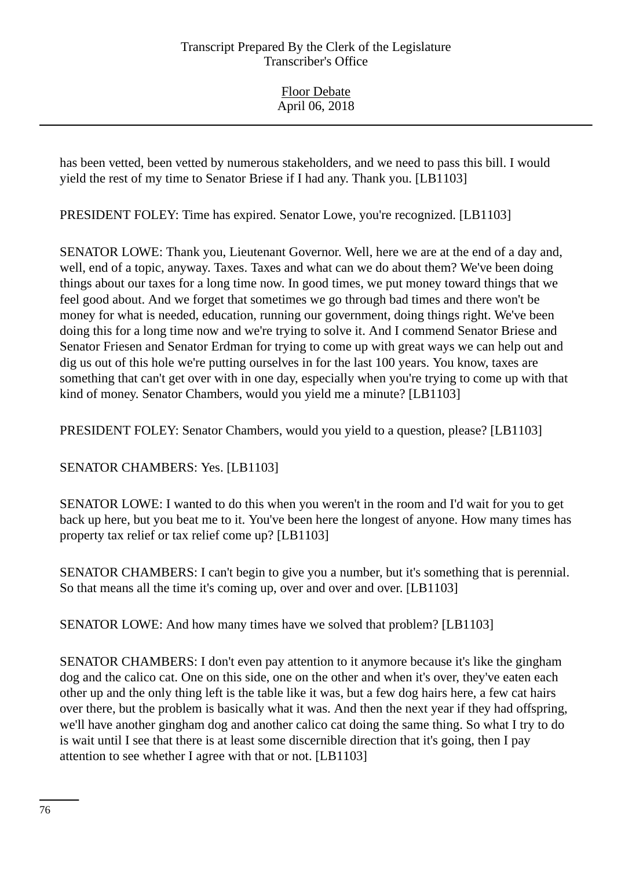Floor Debate April 06, 2018

has been vetted, been vetted by numerous stakeholders, and we need to pass this bill. I would yield the rest of my time to Senator Briese if I had any. Thank you. [LB1103]

PRESIDENT FOLEY: Time has expired. Senator Lowe, you're recognized. [LB1103]

SENATOR LOWE: Thank you, Lieutenant Governor. Well, here we are at the end of a day and, well, end of a topic, anyway. Taxes. Taxes and what can we do about them? We've been doing things about our taxes for a long time now. In good times, we put money toward things that we feel good about. And we forget that sometimes we go through bad times and there won't be money for what is needed, education, running our government, doing things right. We've been doing this for a long time now and we're trying to solve it. And I commend Senator Briese and Senator Friesen and Senator Erdman for trying to come up with great ways we can help out and dig us out of this hole we're putting ourselves in for the last 100 years. You know, taxes are something that can't get over with in one day, especially when you're trying to come up with that kind of money. Senator Chambers, would you yield me a minute? [LB1103]

PRESIDENT FOLEY: Senator Chambers, would you yield to a question, please? [LB1103]

SENATOR CHAMBERS: Yes. [LB1103]

SENATOR LOWE: I wanted to do this when you weren't in the room and I'd wait for you to get back up here, but you beat me to it. You've been here the longest of anyone. How many times has property tax relief or tax relief come up? [LB1103]

SENATOR CHAMBERS: I can't begin to give you a number, but it's something that is perennial. So that means all the time it's coming up, over and over and over. [LB1103]

SENATOR LOWE: And how many times have we solved that problem? [LB1103]

SENATOR CHAMBERS: I don't even pay attention to it anymore because it's like the gingham dog and the calico cat. One on this side, one on the other and when it's over, they've eaten each other up and the only thing left is the table like it was, but a few dog hairs here, a few cat hairs over there, but the problem is basically what it was. And then the next year if they had offspring, we'll have another gingham dog and another calico cat doing the same thing. So what I try to do is wait until I see that there is at least some discernible direction that it's going, then I pay attention to see whether I agree with that or not. [LB1103]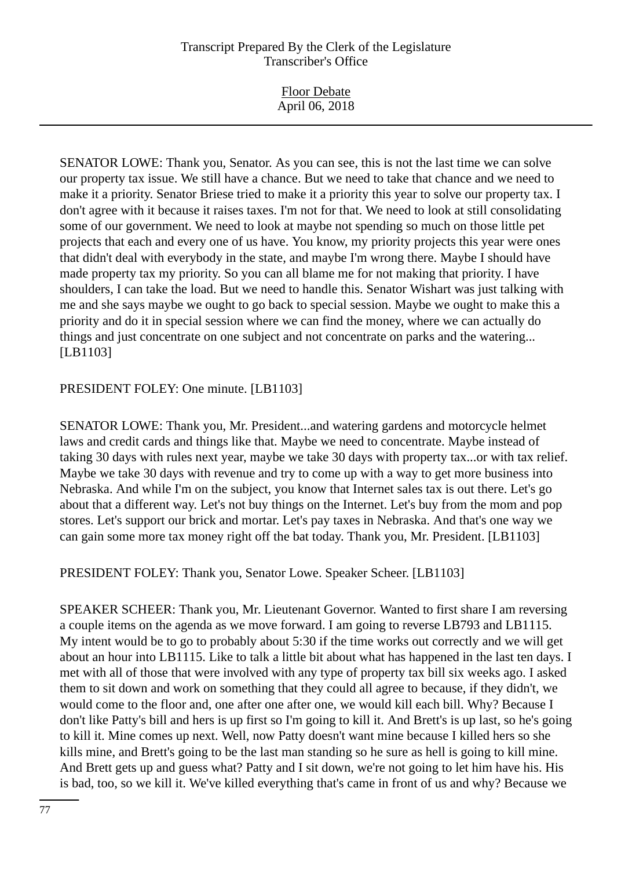| <b>Floor Debate</b><br>April 06, 2018 |
|---------------------------------------|
|---------------------------------------|

SENATOR LOWE: Thank you, Senator. As you can see, this is not the last time we can solve our property tax issue. We still have a chance. But we need to take that chance and we need to make it a priority. Senator Briese tried to make it a priority this year to solve our property tax. I don't agree with it because it raises taxes. I'm not for that. We need to look at still consolidating some of our government. We need to look at maybe not spending so much on those little pet projects that each and every one of us have. You know, my priority projects this year were ones that didn't deal with everybody in the state, and maybe I'm wrong there. Maybe I should have made property tax my priority. So you can all blame me for not making that priority. I have shoulders, I can take the load. But we need to handle this. Senator Wishart was just talking with me and she says maybe we ought to go back to special session. Maybe we ought to make this a priority and do it in special session where we can find the money, where we can actually do things and just concentrate on one subject and not concentrate on parks and the watering... [LB1103]

PRESIDENT FOLEY: One minute. [LB1103]

SENATOR LOWE: Thank you, Mr. President...and watering gardens and motorcycle helmet laws and credit cards and things like that. Maybe we need to concentrate. Maybe instead of taking 30 days with rules next year, maybe we take 30 days with property tax...or with tax relief. Maybe we take 30 days with revenue and try to come up with a way to get more business into Nebraska. And while I'm on the subject, you know that Internet sales tax is out there. Let's go about that a different way. Let's not buy things on the Internet. Let's buy from the mom and pop stores. Let's support our brick and mortar. Let's pay taxes in Nebraska. And that's one way we can gain some more tax money right off the bat today. Thank you, Mr. President. [LB1103]

PRESIDENT FOLEY: Thank you, Senator Lowe. Speaker Scheer. [LB1103]

SPEAKER SCHEER: Thank you, Mr. Lieutenant Governor. Wanted to first share I am reversing a couple items on the agenda as we move forward. I am going to reverse LB793 and LB1115. My intent would be to go to probably about 5:30 if the time works out correctly and we will get about an hour into LB1115. Like to talk a little bit about what has happened in the last ten days. I met with all of those that were involved with any type of property tax bill six weeks ago. I asked them to sit down and work on something that they could all agree to because, if they didn't, we would come to the floor and, one after one after one, we would kill each bill. Why? Because I don't like Patty's bill and hers is up first so I'm going to kill it. And Brett's is up last, so he's going to kill it. Mine comes up next. Well, now Patty doesn't want mine because I killed hers so she kills mine, and Brett's going to be the last man standing so he sure as hell is going to kill mine. And Brett gets up and guess what? Patty and I sit down, we're not going to let him have his. His is bad, too, so we kill it. We've killed everything that's came in front of us and why? Because we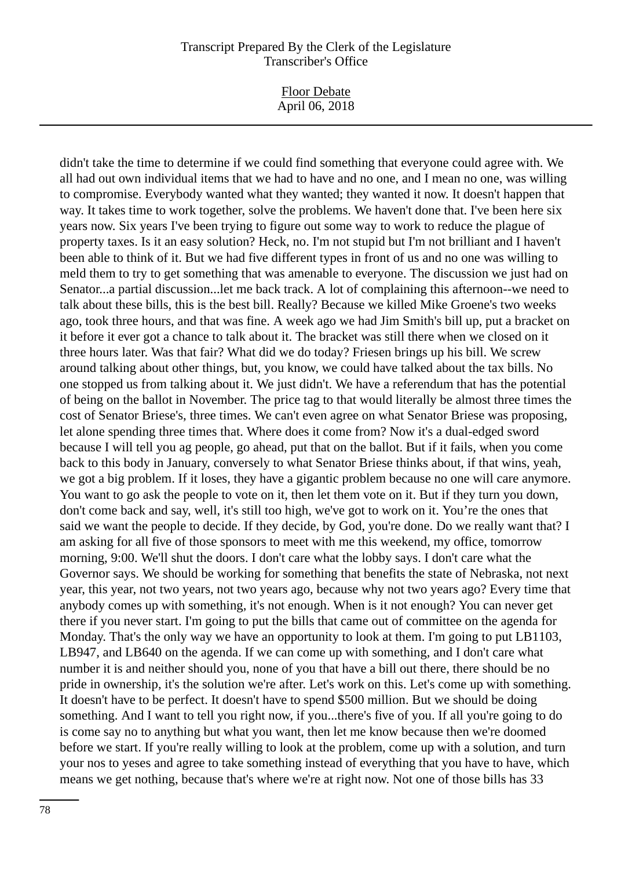Floor Debate April 06, 2018

didn't take the time to determine if we could find something that everyone could agree with. We all had out own individual items that we had to have and no one, and I mean no one, was willing to compromise. Everybody wanted what they wanted; they wanted it now. It doesn't happen that way. It takes time to work together, solve the problems. We haven't done that. I've been here six years now. Six years I've been trying to figure out some way to work to reduce the plague of property taxes. Is it an easy solution? Heck, no. I'm not stupid but I'm not brilliant and I haven't been able to think of it. But we had five different types in front of us and no one was willing to meld them to try to get something that was amenable to everyone. The discussion we just had on Senator...a partial discussion...let me back track. A lot of complaining this afternoon--we need to talk about these bills, this is the best bill. Really? Because we killed Mike Groene's two weeks ago, took three hours, and that was fine. A week ago we had Jim Smith's bill up, put a bracket on it before it ever got a chance to talk about it. The bracket was still there when we closed on it three hours later. Was that fair? What did we do today? Friesen brings up his bill. We screw around talking about other things, but, you know, we could have talked about the tax bills. No one stopped us from talking about it. We just didn't. We have a referendum that has the potential of being on the ballot in November. The price tag to that would literally be almost three times the cost of Senator Briese's, three times. We can't even agree on what Senator Briese was proposing, let alone spending three times that. Where does it come from? Now it's a dual-edged sword because I will tell you ag people, go ahead, put that on the ballot. But if it fails, when you come back to this body in January, conversely to what Senator Briese thinks about, if that wins, yeah, we got a big problem. If it loses, they have a gigantic problem because no one will care anymore. You want to go ask the people to vote on it, then let them vote on it. But if they turn you down, don't come back and say, well, it's still too high, we've got to work on it. You're the ones that said we want the people to decide. If they decide, by God, you're done. Do we really want that? I am asking for all five of those sponsors to meet with me this weekend, my office, tomorrow morning, 9:00. We'll shut the doors. I don't care what the lobby says. I don't care what the Governor says. We should be working for something that benefits the state of Nebraska, not next year, this year, not two years, not two years ago, because why not two years ago? Every time that anybody comes up with something, it's not enough. When is it not enough? You can never get there if you never start. I'm going to put the bills that came out of committee on the agenda for Monday. That's the only way we have an opportunity to look at them. I'm going to put LB1103, LB947, and LB640 on the agenda. If we can come up with something, and I don't care what number it is and neither should you, none of you that have a bill out there, there should be no pride in ownership, it's the solution we're after. Let's work on this. Let's come up with something. It doesn't have to be perfect. It doesn't have to spend \$500 million. But we should be doing something. And I want to tell you right now, if you...there's five of you. If all you're going to do is come say no to anything but what you want, then let me know because then we're doomed before we start. If you're really willing to look at the problem, come up with a solution, and turn your nos to yeses and agree to take something instead of everything that you have to have, which means we get nothing, because that's where we're at right now. Not one of those bills has 33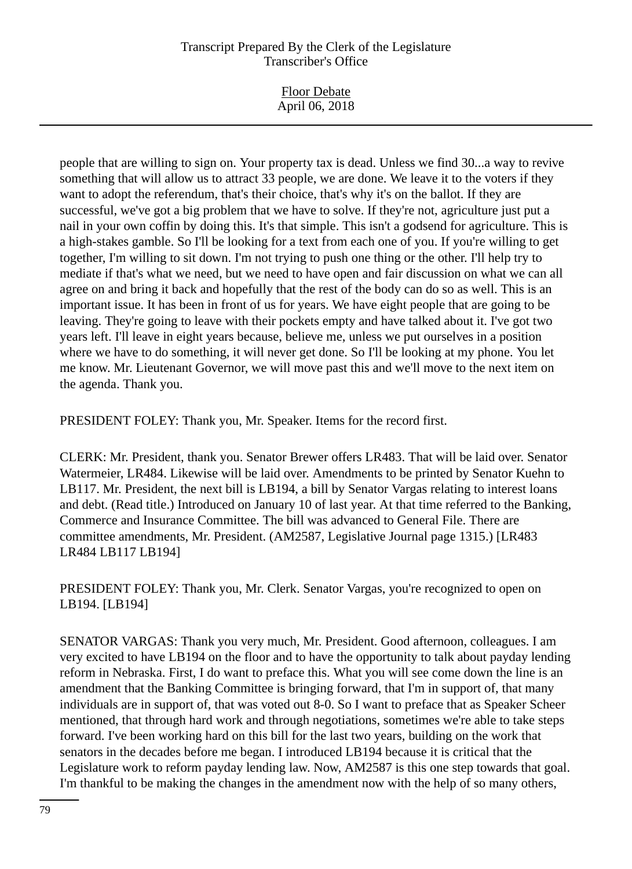| <b>Floor Debate</b><br>April 06, 2018 |  |
|---------------------------------------|--|
|                                       |  |

people that are willing to sign on. Your property tax is dead. Unless we find 30...a way to revive something that will allow us to attract 33 people, we are done. We leave it to the voters if they want to adopt the referendum, that's their choice, that's why it's on the ballot. If they are successful, we've got a big problem that we have to solve. If they're not, agriculture just put a nail in your own coffin by doing this. It's that simple. This isn't a godsend for agriculture. This is a high-stakes gamble. So I'll be looking for a text from each one of you. If you're willing to get together, I'm willing to sit down. I'm not trying to push one thing or the other. I'll help try to mediate if that's what we need, but we need to have open and fair discussion on what we can all agree on and bring it back and hopefully that the rest of the body can do so as well. This is an important issue. It has been in front of us for years. We have eight people that are going to be leaving. They're going to leave with their pockets empty and have talked about it. I've got two years left. I'll leave in eight years because, believe me, unless we put ourselves in a position where we have to do something, it will never get done. So I'll be looking at my phone. You let me know. Mr. Lieutenant Governor, we will move past this and we'll move to the next item on the agenda. Thank you.

PRESIDENT FOLEY: Thank you, Mr. Speaker. Items for the record first.

CLERK: Mr. President, thank you. Senator Brewer offers LR483. That will be laid over. Senator Watermeier, LR484. Likewise will be laid over. Amendments to be printed by Senator Kuehn to LB117. Mr. President, the next bill is LB194, a bill by Senator Vargas relating to interest loans and debt. (Read title.) Introduced on January 10 of last year. At that time referred to the Banking, Commerce and Insurance Committee. The bill was advanced to General File. There are committee amendments, Mr. President. (AM2587, Legislative Journal page 1315.) [LR483 LR484 LB117 LB194]

PRESIDENT FOLEY: Thank you, Mr. Clerk. Senator Vargas, you're recognized to open on LB194. [LB194]

SENATOR VARGAS: Thank you very much, Mr. President. Good afternoon, colleagues. I am very excited to have LB194 on the floor and to have the opportunity to talk about payday lending reform in Nebraska. First, I do want to preface this. What you will see come down the line is an amendment that the Banking Committee is bringing forward, that I'm in support of, that many individuals are in support of, that was voted out 8-0. So I want to preface that as Speaker Scheer mentioned, that through hard work and through negotiations, sometimes we're able to take steps forward. I've been working hard on this bill for the last two years, building on the work that senators in the decades before me began. I introduced LB194 because it is critical that the Legislature work to reform payday lending law. Now, AM2587 is this one step towards that goal. I'm thankful to be making the changes in the amendment now with the help of so many others,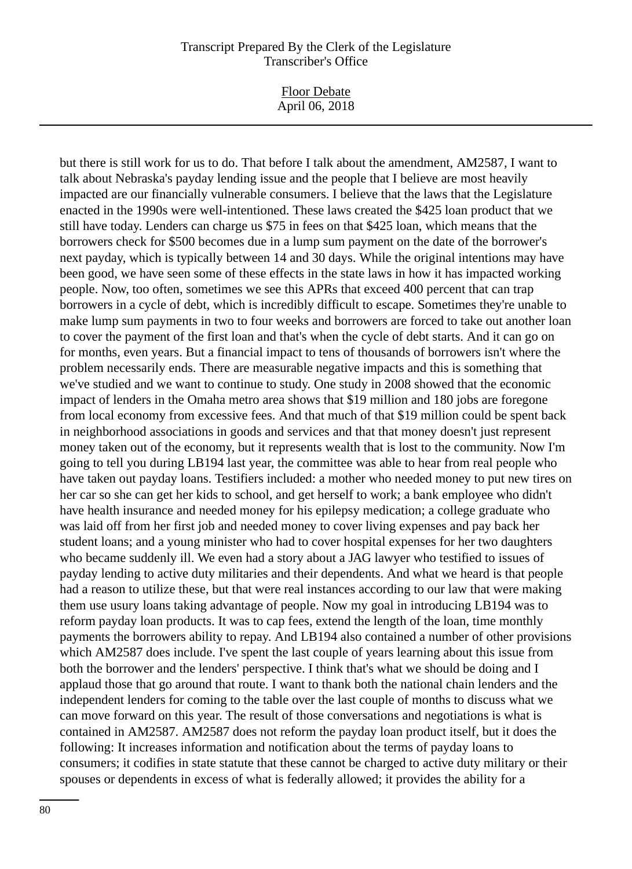Floor Debate April 06, 2018

but there is still work for us to do. That before I talk about the amendment, AM2587, I want to talk about Nebraska's payday lending issue and the people that I believe are most heavily impacted are our financially vulnerable consumers. I believe that the laws that the Legislature enacted in the 1990s were well-intentioned. These laws created the \$425 loan product that we still have today. Lenders can charge us \$75 in fees on that \$425 loan, which means that the borrowers check for \$500 becomes due in a lump sum payment on the date of the borrower's next payday, which is typically between 14 and 30 days. While the original intentions may have been good, we have seen some of these effects in the state laws in how it has impacted working people. Now, too often, sometimes we see this APRs that exceed 400 percent that can trap borrowers in a cycle of debt, which is incredibly difficult to escape. Sometimes they're unable to make lump sum payments in two to four weeks and borrowers are forced to take out another loan to cover the payment of the first loan and that's when the cycle of debt starts. And it can go on for months, even years. But a financial impact to tens of thousands of borrowers isn't where the problem necessarily ends. There are measurable negative impacts and this is something that we've studied and we want to continue to study. One study in 2008 showed that the economic impact of lenders in the Omaha metro area shows that \$19 million and 180 jobs are foregone from local economy from excessive fees. And that much of that \$19 million could be spent back in neighborhood associations in goods and services and that that money doesn't just represent money taken out of the economy, but it represents wealth that is lost to the community. Now I'm going to tell you during LB194 last year, the committee was able to hear from real people who have taken out payday loans. Testifiers included: a mother who needed money to put new tires on her car so she can get her kids to school, and get herself to work; a bank employee who didn't have health insurance and needed money for his epilepsy medication; a college graduate who was laid off from her first job and needed money to cover living expenses and pay back her student loans; and a young minister who had to cover hospital expenses for her two daughters who became suddenly ill. We even had a story about a JAG lawyer who testified to issues of payday lending to active duty militaries and their dependents. And what we heard is that people had a reason to utilize these, but that were real instances according to our law that were making them use usury loans taking advantage of people. Now my goal in introducing LB194 was to reform payday loan products. It was to cap fees, extend the length of the loan, time monthly payments the borrowers ability to repay. And LB194 also contained a number of other provisions which AM2587 does include. I've spent the last couple of years learning about this issue from both the borrower and the lenders' perspective. I think that's what we should be doing and I applaud those that go around that route. I want to thank both the national chain lenders and the independent lenders for coming to the table over the last couple of months to discuss what we can move forward on this year. The result of those conversations and negotiations is what is contained in AM2587. AM2587 does not reform the payday loan product itself, but it does the following: It increases information and notification about the terms of payday loans to consumers; it codifies in state statute that these cannot be charged to active duty military or their spouses or dependents in excess of what is federally allowed; it provides the ability for a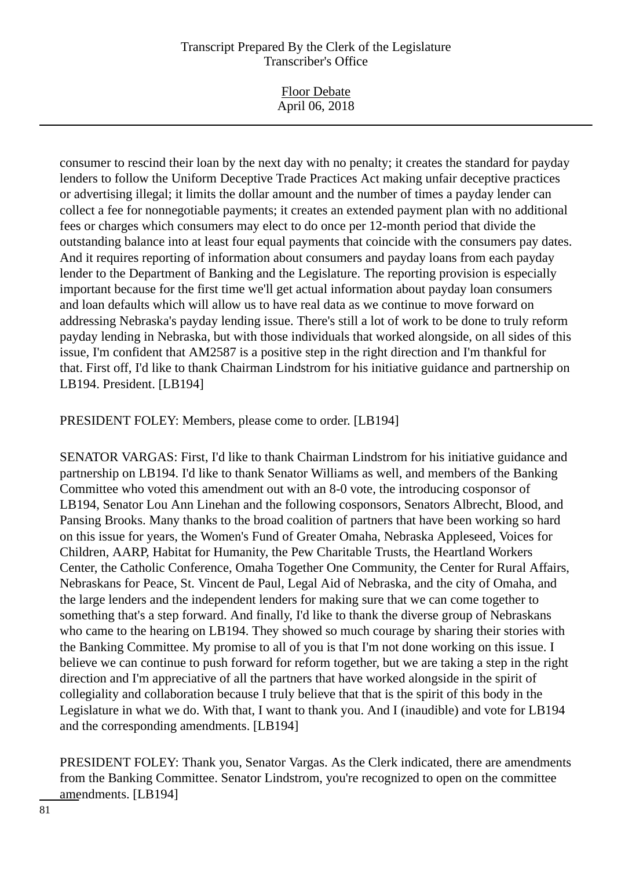| <b>Floor Debate</b><br>April 06, 2018 |  |
|---------------------------------------|--|
|                                       |  |

consumer to rescind their loan by the next day with no penalty; it creates the standard for payday lenders to follow the Uniform Deceptive Trade Practices Act making unfair deceptive practices or advertising illegal; it limits the dollar amount and the number of times a payday lender can collect a fee for nonnegotiable payments; it creates an extended payment plan with no additional fees or charges which consumers may elect to do once per 12-month period that divide the outstanding balance into at least four equal payments that coincide with the consumers pay dates. And it requires reporting of information about consumers and payday loans from each payday lender to the Department of Banking and the Legislature. The reporting provision is especially important because for the first time we'll get actual information about payday loan consumers and loan defaults which will allow us to have real data as we continue to move forward on addressing Nebraska's payday lending issue. There's still a lot of work to be done to truly reform payday lending in Nebraska, but with those individuals that worked alongside, on all sides of this issue, I'm confident that AM2587 is a positive step in the right direction and I'm thankful for that. First off, I'd like to thank Chairman Lindstrom for his initiative guidance and partnership on LB194. President. [LB194]

PRESIDENT FOLEY: Members, please come to order. [LB194]

SENATOR VARGAS: First, I'd like to thank Chairman Lindstrom for his initiative guidance and partnership on LB194. I'd like to thank Senator Williams as well, and members of the Banking Committee who voted this amendment out with an 8-0 vote, the introducing cosponsor of LB194, Senator Lou Ann Linehan and the following cosponsors, Senators Albrecht, Blood, and Pansing Brooks. Many thanks to the broad coalition of partners that have been working so hard on this issue for years, the Women's Fund of Greater Omaha, Nebraska Appleseed, Voices for Children, AARP, Habitat for Humanity, the Pew Charitable Trusts, the Heartland Workers Center, the Catholic Conference, Omaha Together One Community, the Center for Rural Affairs, Nebraskans for Peace, St. Vincent de Paul, Legal Aid of Nebraska, and the city of Omaha, and the large lenders and the independent lenders for making sure that we can come together to something that's a step forward. And finally, I'd like to thank the diverse group of Nebraskans who came to the hearing on LB194. They showed so much courage by sharing their stories with the Banking Committee. My promise to all of you is that I'm not done working on this issue. I believe we can continue to push forward for reform together, but we are taking a step in the right direction and I'm appreciative of all the partners that have worked alongside in the spirit of collegiality and collaboration because I truly believe that that is the spirit of this body in the Legislature in what we do. With that, I want to thank you. And I (inaudible) and vote for LB194 and the corresponding amendments. [LB194]

PRESIDENT FOLEY: Thank you, Senator Vargas. As the Clerk indicated, there are amendments from the Banking Committee. Senator Lindstrom, you're recognized to open on the committee amendments. [LB194]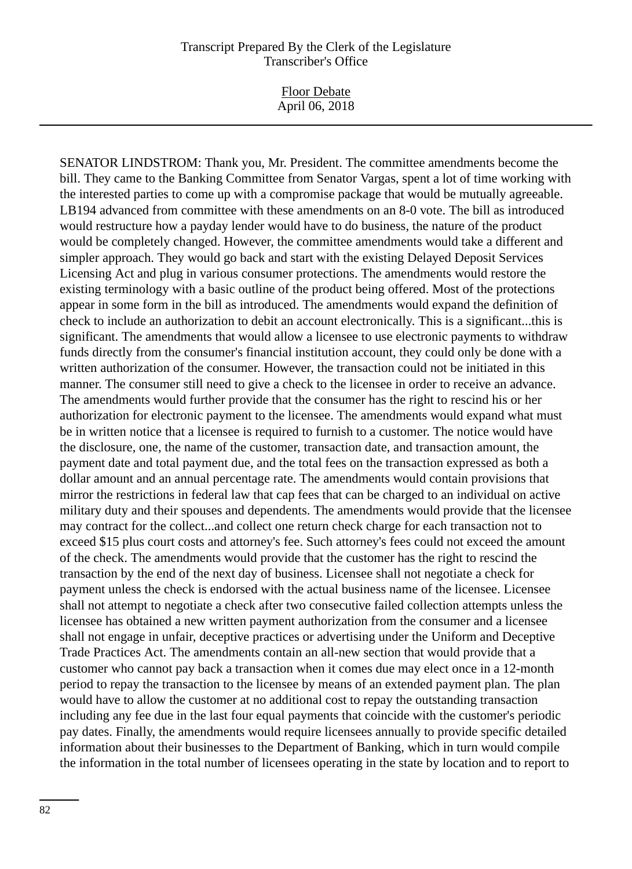Floor Debate April 06, 2018

SENATOR LINDSTROM: Thank you, Mr. President. The committee amendments become the bill. They came to the Banking Committee from Senator Vargas, spent a lot of time working with the interested parties to come up with a compromise package that would be mutually agreeable. LB194 advanced from committee with these amendments on an 8-0 vote. The bill as introduced would restructure how a payday lender would have to do business, the nature of the product would be completely changed. However, the committee amendments would take a different and simpler approach. They would go back and start with the existing Delayed Deposit Services Licensing Act and plug in various consumer protections. The amendments would restore the existing terminology with a basic outline of the product being offered. Most of the protections appear in some form in the bill as introduced. The amendments would expand the definition of check to include an authorization to debit an account electronically. This is a significant...this is significant. The amendments that would allow a licensee to use electronic payments to withdraw funds directly from the consumer's financial institution account, they could only be done with a written authorization of the consumer. However, the transaction could not be initiated in this manner. The consumer still need to give a check to the licensee in order to receive an advance. The amendments would further provide that the consumer has the right to rescind his or her authorization for electronic payment to the licensee. The amendments would expand what must be in written notice that a licensee is required to furnish to a customer. The notice would have the disclosure, one, the name of the customer, transaction date, and transaction amount, the payment date and total payment due, and the total fees on the transaction expressed as both a dollar amount and an annual percentage rate. The amendments would contain provisions that mirror the restrictions in federal law that cap fees that can be charged to an individual on active military duty and their spouses and dependents. The amendments would provide that the licensee may contract for the collect...and collect one return check charge for each transaction not to exceed \$15 plus court costs and attorney's fee. Such attorney's fees could not exceed the amount of the check. The amendments would provide that the customer has the right to rescind the transaction by the end of the next day of business. Licensee shall not negotiate a check for payment unless the check is endorsed with the actual business name of the licensee. Licensee shall not attempt to negotiate a check after two consecutive failed collection attempts unless the licensee has obtained a new written payment authorization from the consumer and a licensee shall not engage in unfair, deceptive practices or advertising under the Uniform and Deceptive Trade Practices Act. The amendments contain an all-new section that would provide that a customer who cannot pay back a transaction when it comes due may elect once in a 12-month period to repay the transaction to the licensee by means of an extended payment plan. The plan would have to allow the customer at no additional cost to repay the outstanding transaction including any fee due in the last four equal payments that coincide with the customer's periodic pay dates. Finally, the amendments would require licensees annually to provide specific detailed information about their businesses to the Department of Banking, which in turn would compile the information in the total number of licensees operating in the state by location and to report to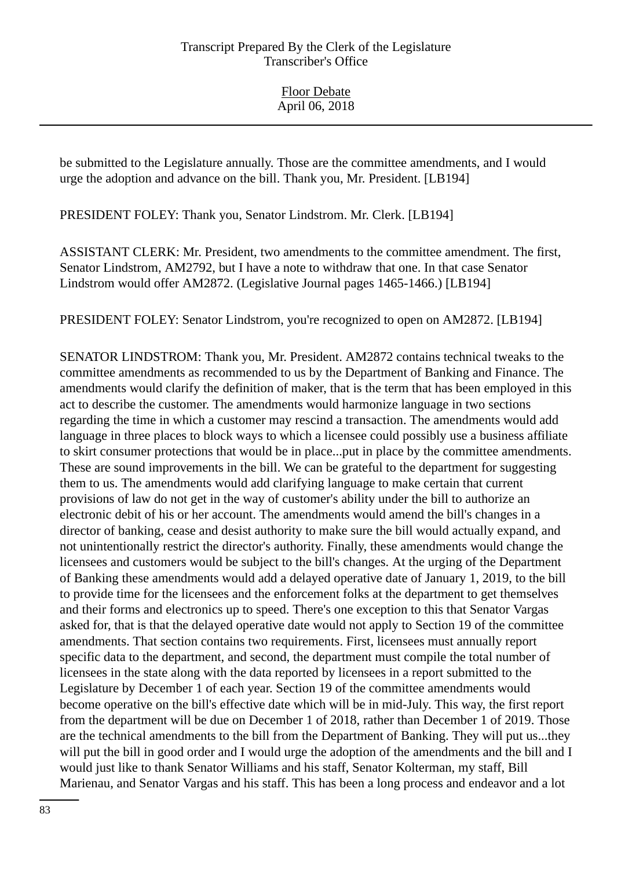be submitted to the Legislature annually. Those are the committee amendments, and I would urge the adoption and advance on the bill. Thank you, Mr. President. [LB194]

PRESIDENT FOLEY: Thank you, Senator Lindstrom. Mr. Clerk. [LB194]

ASSISTANT CLERK: Mr. President, two amendments to the committee amendment. The first, Senator Lindstrom, AM2792, but I have a note to withdraw that one. In that case Senator Lindstrom would offer AM2872. (Legislative Journal pages 1465-1466.) [LB194]

PRESIDENT FOLEY: Senator Lindstrom, you're recognized to open on AM2872. [LB194]

SENATOR LINDSTROM: Thank you, Mr. President. AM2872 contains technical tweaks to the committee amendments as recommended to us by the Department of Banking and Finance. The amendments would clarify the definition of maker, that is the term that has been employed in this act to describe the customer. The amendments would harmonize language in two sections regarding the time in which a customer may rescind a transaction. The amendments would add language in three places to block ways to which a licensee could possibly use a business affiliate to skirt consumer protections that would be in place...put in place by the committee amendments. These are sound improvements in the bill. We can be grateful to the department for suggesting them to us. The amendments would add clarifying language to make certain that current provisions of law do not get in the way of customer's ability under the bill to authorize an electronic debit of his or her account. The amendments would amend the bill's changes in a director of banking, cease and desist authority to make sure the bill would actually expand, and not unintentionally restrict the director's authority. Finally, these amendments would change the licensees and customers would be subject to the bill's changes. At the urging of the Department of Banking these amendments would add a delayed operative date of January 1, 2019, to the bill to provide time for the licensees and the enforcement folks at the department to get themselves and their forms and electronics up to speed. There's one exception to this that Senator Vargas asked for, that is that the delayed operative date would not apply to Section 19 of the committee amendments. That section contains two requirements. First, licensees must annually report specific data to the department, and second, the department must compile the total number of licensees in the state along with the data reported by licensees in a report submitted to the Legislature by December 1 of each year. Section 19 of the committee amendments would become operative on the bill's effective date which will be in mid-July. This way, the first report from the department will be due on December 1 of 2018, rather than December 1 of 2019. Those are the technical amendments to the bill from the Department of Banking. They will put us...they will put the bill in good order and I would urge the adoption of the amendments and the bill and I would just like to thank Senator Williams and his staff, Senator Kolterman, my staff, Bill Marienau, and Senator Vargas and his staff. This has been a long process and endeavor and a lot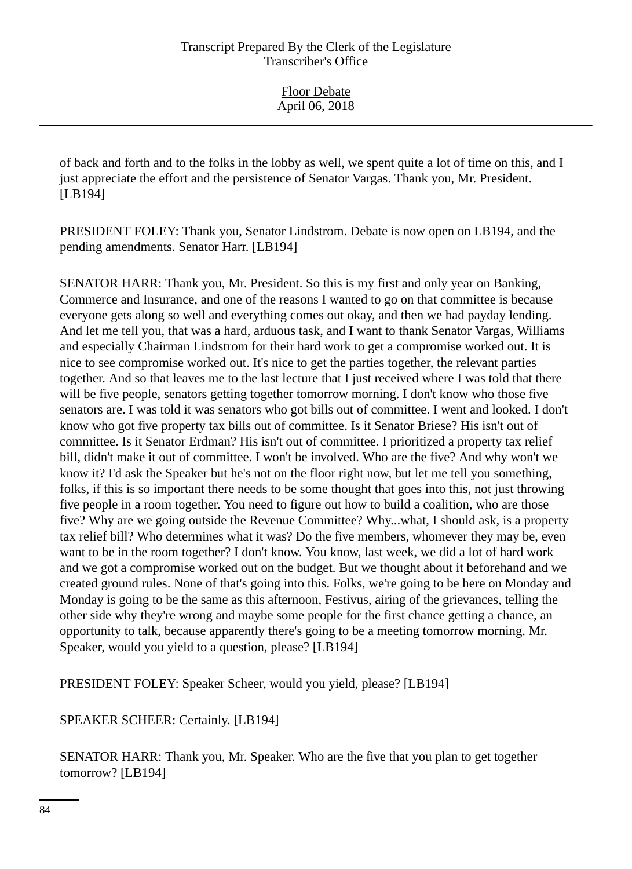of back and forth and to the folks in the lobby as well, we spent quite a lot of time on this, and I just appreciate the effort and the persistence of Senator Vargas. Thank you, Mr. President. [LB194]

PRESIDENT FOLEY: Thank you, Senator Lindstrom. Debate is now open on LB194, and the pending amendments. Senator Harr. [LB194]

SENATOR HARR: Thank you, Mr. President. So this is my first and only year on Banking, Commerce and Insurance, and one of the reasons I wanted to go on that committee is because everyone gets along so well and everything comes out okay, and then we had payday lending. And let me tell you, that was a hard, arduous task, and I want to thank Senator Vargas, Williams and especially Chairman Lindstrom for their hard work to get a compromise worked out. It is nice to see compromise worked out. It's nice to get the parties together, the relevant parties together. And so that leaves me to the last lecture that I just received where I was told that there will be five people, senators getting together tomorrow morning. I don't know who those five senators are. I was told it was senators who got bills out of committee. I went and looked. I don't know who got five property tax bills out of committee. Is it Senator Briese? His isn't out of committee. Is it Senator Erdman? His isn't out of committee. I prioritized a property tax relief bill, didn't make it out of committee. I won't be involved. Who are the five? And why won't we know it? I'd ask the Speaker but he's not on the floor right now, but let me tell you something, folks, if this is so important there needs to be some thought that goes into this, not just throwing five people in a room together. You need to figure out how to build a coalition, who are those five? Why are we going outside the Revenue Committee? Why...what, I should ask, is a property tax relief bill? Who determines what it was? Do the five members, whomever they may be, even want to be in the room together? I don't know. You know, last week, we did a lot of hard work and we got a compromise worked out on the budget. But we thought about it beforehand and we created ground rules. None of that's going into this. Folks, we're going to be here on Monday and Monday is going to be the same as this afternoon, Festivus, airing of the grievances, telling the other side why they're wrong and maybe some people for the first chance getting a chance, an opportunity to talk, because apparently there's going to be a meeting tomorrow morning. Mr. Speaker, would you yield to a question, please? [LB194]

PRESIDENT FOLEY: Speaker Scheer, would you yield, please? [LB194]

SPEAKER SCHEER: Certainly. [LB194]

SENATOR HARR: Thank you, Mr. Speaker. Who are the five that you plan to get together tomorrow? [LB194]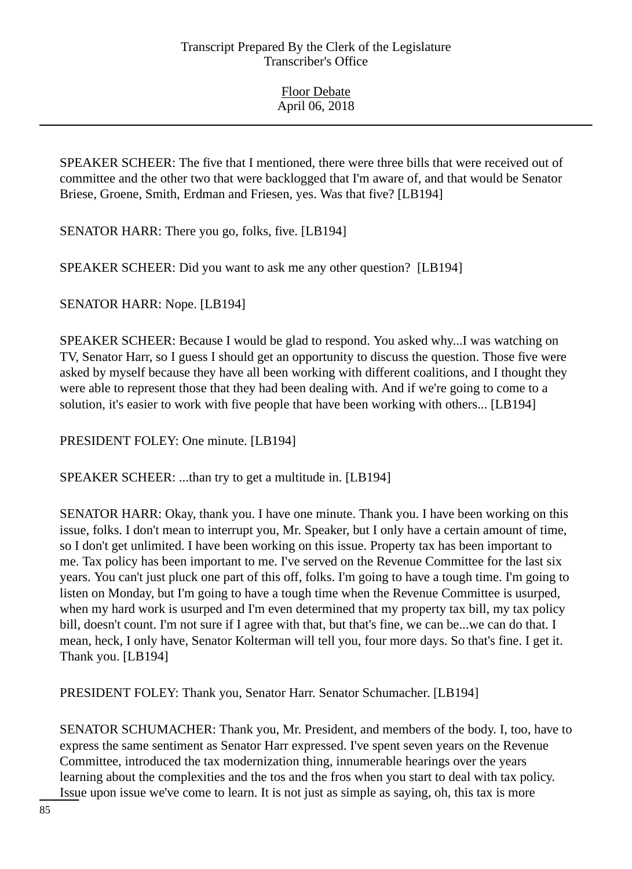SPEAKER SCHEER: The five that I mentioned, there were three bills that were received out of committee and the other two that were backlogged that I'm aware of, and that would be Senator Briese, Groene, Smith, Erdman and Friesen, yes. Was that five? [LB194]

SENATOR HARR: There you go, folks, five. [LB194]

SPEAKER SCHEER: Did you want to ask me any other question? [LB194]

SENATOR HARR: Nope. [LB194]

SPEAKER SCHEER: Because I would be glad to respond. You asked why...I was watching on TV, Senator Harr, so I guess I should get an opportunity to discuss the question. Those five were asked by myself because they have all been working with different coalitions, and I thought they were able to represent those that they had been dealing with. And if we're going to come to a solution, it's easier to work with five people that have been working with others... [LB194]

PRESIDENT FOLEY: One minute. [LB194]

SPEAKER SCHEER: ...than try to get a multitude in. [LB194]

SENATOR HARR: Okay, thank you. I have one minute. Thank you. I have been working on this issue, folks. I don't mean to interrupt you, Mr. Speaker, but I only have a certain amount of time, so I don't get unlimited. I have been working on this issue. Property tax has been important to me. Tax policy has been important to me. I've served on the Revenue Committee for the last six years. You can't just pluck one part of this off, folks. I'm going to have a tough time. I'm going to listen on Monday, but I'm going to have a tough time when the Revenue Committee is usurped, when my hard work is usurped and I'm even determined that my property tax bill, my tax policy bill, doesn't count. I'm not sure if I agree with that, but that's fine, we can be...we can do that. I mean, heck, I only have, Senator Kolterman will tell you, four more days. So that's fine. I get it. Thank you. [LB194]

PRESIDENT FOLEY: Thank you, Senator Harr. Senator Schumacher. [LB194]

SENATOR SCHUMACHER: Thank you, Mr. President, and members of the body. I, too, have to express the same sentiment as Senator Harr expressed. I've spent seven years on the Revenue Committee, introduced the tax modernization thing, innumerable hearings over the years learning about the complexities and the tos and the fros when you start to deal with tax policy. Issue upon issue we've come to learn. It is not just as simple as saying, oh, this tax is more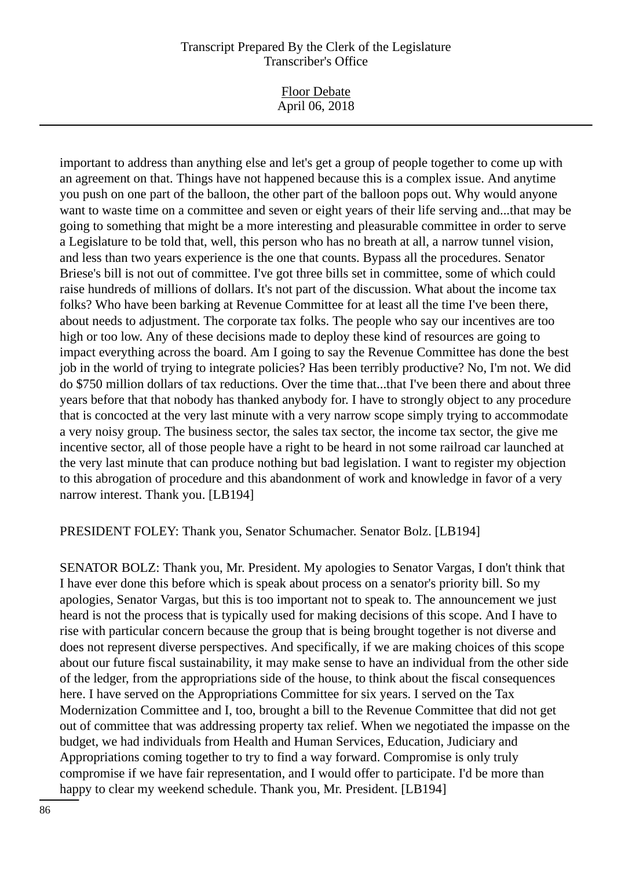| <b>Floor Debate</b> |  |
|---------------------|--|
| April 06, 2018      |  |

important to address than anything else and let's get a group of people together to come up with an agreement on that. Things have not happened because this is a complex issue. And anytime you push on one part of the balloon, the other part of the balloon pops out. Why would anyone want to waste time on a committee and seven or eight years of their life serving and...that may be going to something that might be a more interesting and pleasurable committee in order to serve a Legislature to be told that, well, this person who has no breath at all, a narrow tunnel vision, and less than two years experience is the one that counts. Bypass all the procedures. Senator Briese's bill is not out of committee. I've got three bills set in committee, some of which could raise hundreds of millions of dollars. It's not part of the discussion. What about the income tax folks? Who have been barking at Revenue Committee for at least all the time I've been there, about needs to adjustment. The corporate tax folks. The people who say our incentives are too high or too low. Any of these decisions made to deploy these kind of resources are going to impact everything across the board. Am I going to say the Revenue Committee has done the best job in the world of trying to integrate policies? Has been terribly productive? No, I'm not. We did do \$750 million dollars of tax reductions. Over the time that...that I've been there and about three years before that that nobody has thanked anybody for. I have to strongly object to any procedure that is concocted at the very last minute with a very narrow scope simply trying to accommodate a very noisy group. The business sector, the sales tax sector, the income tax sector, the give me incentive sector, all of those people have a right to be heard in not some railroad car launched at the very last minute that can produce nothing but bad legislation. I want to register my objection to this abrogation of procedure and this abandonment of work and knowledge in favor of a very narrow interest. Thank you. [LB194]

#### PRESIDENT FOLEY: Thank you, Senator Schumacher. Senator Bolz. [LB194]

SENATOR BOLZ: Thank you, Mr. President. My apologies to Senator Vargas, I don't think that I have ever done this before which is speak about process on a senator's priority bill. So my apologies, Senator Vargas, but this is too important not to speak to. The announcement we just heard is not the process that is typically used for making decisions of this scope. And I have to rise with particular concern because the group that is being brought together is not diverse and does not represent diverse perspectives. And specifically, if we are making choices of this scope about our future fiscal sustainability, it may make sense to have an individual from the other side of the ledger, from the appropriations side of the house, to think about the fiscal consequences here. I have served on the Appropriations Committee for six years. I served on the Tax Modernization Committee and I, too, brought a bill to the Revenue Committee that did not get out of committee that was addressing property tax relief. When we negotiated the impasse on the budget, we had individuals from Health and Human Services, Education, Judiciary and Appropriations coming together to try to find a way forward. Compromise is only truly compromise if we have fair representation, and I would offer to participate. I'd be more than happy to clear my weekend schedule. Thank you, Mr. President. [LB194]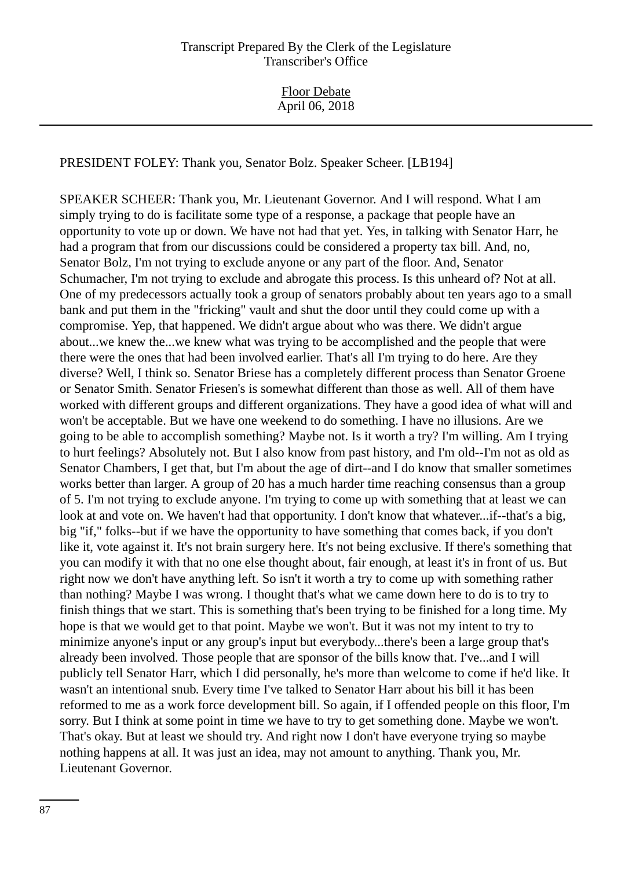PRESIDENT FOLEY: Thank you, Senator Bolz. Speaker Scheer. [LB194]

SPEAKER SCHEER: Thank you, Mr. Lieutenant Governor. And I will respond. What I am simply trying to do is facilitate some type of a response, a package that people have an opportunity to vote up or down. We have not had that yet. Yes, in talking with Senator Harr, he had a program that from our discussions could be considered a property tax bill. And, no, Senator Bolz, I'm not trying to exclude anyone or any part of the floor. And, Senator Schumacher, I'm not trying to exclude and abrogate this process. Is this unheard of? Not at all. One of my predecessors actually took a group of senators probably about ten years ago to a small bank and put them in the "fricking" vault and shut the door until they could come up with a compromise. Yep, that happened. We didn't argue about who was there. We didn't argue about...we knew the...we knew what was trying to be accomplished and the people that were there were the ones that had been involved earlier. That's all I'm trying to do here. Are they diverse? Well, I think so. Senator Briese has a completely different process than Senator Groene or Senator Smith. Senator Friesen's is somewhat different than those as well. All of them have worked with different groups and different organizations. They have a good idea of what will and won't be acceptable. But we have one weekend to do something. I have no illusions. Are we going to be able to accomplish something? Maybe not. Is it worth a try? I'm willing. Am I trying to hurt feelings? Absolutely not. But I also know from past history, and I'm old--I'm not as old as Senator Chambers, I get that, but I'm about the age of dirt--and I do know that smaller sometimes works better than larger. A group of 20 has a much harder time reaching consensus than a group of 5. I'm not trying to exclude anyone. I'm trying to come up with something that at least we can look at and vote on. We haven't had that opportunity. I don't know that whatever...if--that's a big, big "if," folks--but if we have the opportunity to have something that comes back, if you don't like it, vote against it. It's not brain surgery here. It's not being exclusive. If there's something that you can modify it with that no one else thought about, fair enough, at least it's in front of us. But right now we don't have anything left. So isn't it worth a try to come up with something rather than nothing? Maybe I was wrong. I thought that's what we came down here to do is to try to finish things that we start. This is something that's been trying to be finished for a long time. My hope is that we would get to that point. Maybe we won't. But it was not my intent to try to minimize anyone's input or any group's input but everybody...there's been a large group that's already been involved. Those people that are sponsor of the bills know that. I've...and I will publicly tell Senator Harr, which I did personally, he's more than welcome to come if he'd like. It wasn't an intentional snub. Every time I've talked to Senator Harr about his bill it has been reformed to me as a work force development bill. So again, if I offended people on this floor, I'm sorry. But I think at some point in time we have to try to get something done. Maybe we won't. That's okay. But at least we should try. And right now I don't have everyone trying so maybe nothing happens at all. It was just an idea, may not amount to anything. Thank you, Mr. Lieutenant Governor.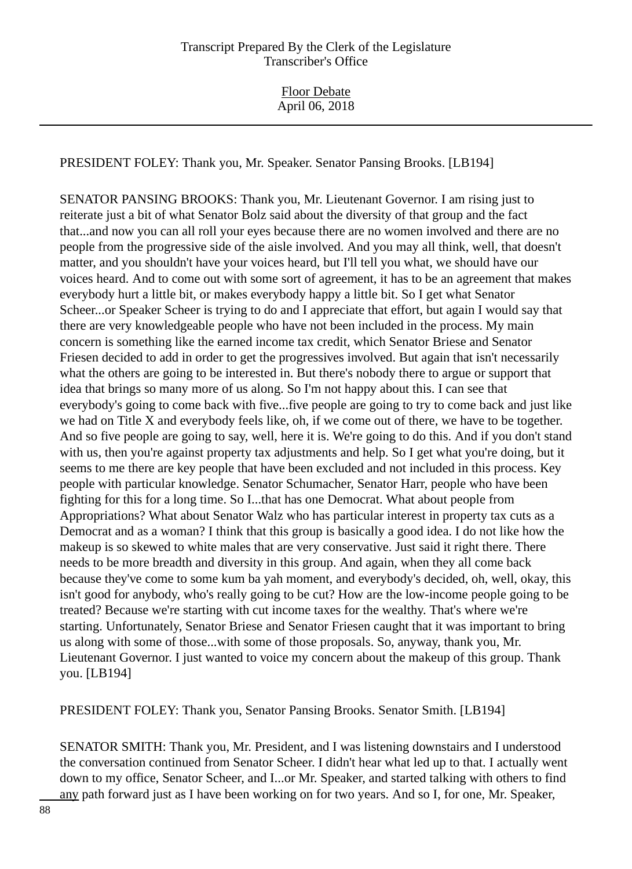PRESIDENT FOLEY: Thank you, Mr. Speaker. Senator Pansing Brooks. [LB194]

SENATOR PANSING BROOKS: Thank you, Mr. Lieutenant Governor. I am rising just to reiterate just a bit of what Senator Bolz said about the diversity of that group and the fact that...and now you can all roll your eyes because there are no women involved and there are no people from the progressive side of the aisle involved. And you may all think, well, that doesn't matter, and you shouldn't have your voices heard, but I'll tell you what, we should have our voices heard. And to come out with some sort of agreement, it has to be an agreement that makes everybody hurt a little bit, or makes everybody happy a little bit. So I get what Senator Scheer...or Speaker Scheer is trying to do and I appreciate that effort, but again I would say that there are very knowledgeable people who have not been included in the process. My main concern is something like the earned income tax credit, which Senator Briese and Senator Friesen decided to add in order to get the progressives involved. But again that isn't necessarily what the others are going to be interested in. But there's nobody there to argue or support that idea that brings so many more of us along. So I'm not happy about this. I can see that everybody's going to come back with five...five people are going to try to come back and just like we had on Title X and everybody feels like, oh, if we come out of there, we have to be together. And so five people are going to say, well, here it is. We're going to do this. And if you don't stand with us, then you're against property tax adjustments and help. So I get what you're doing, but it seems to me there are key people that have been excluded and not included in this process. Key people with particular knowledge. Senator Schumacher, Senator Harr, people who have been fighting for this for a long time. So I...that has one Democrat. What about people from Appropriations? What about Senator Walz who has particular interest in property tax cuts as a Democrat and as a woman? I think that this group is basically a good idea. I do not like how the makeup is so skewed to white males that are very conservative. Just said it right there. There needs to be more breadth and diversity in this group. And again, when they all come back because they've come to some kum ba yah moment, and everybody's decided, oh, well, okay, this isn't good for anybody, who's really going to be cut? How are the low-income people going to be treated? Because we're starting with cut income taxes for the wealthy. That's where we're starting. Unfortunately, Senator Briese and Senator Friesen caught that it was important to bring us along with some of those...with some of those proposals. So, anyway, thank you, Mr. Lieutenant Governor. I just wanted to voice my concern about the makeup of this group. Thank you. [LB194]

PRESIDENT FOLEY: Thank you, Senator Pansing Brooks. Senator Smith. [LB194]

SENATOR SMITH: Thank you, Mr. President, and I was listening downstairs and I understood the conversation continued from Senator Scheer. I didn't hear what led up to that. I actually went down to my office, Senator Scheer, and I...or Mr. Speaker, and started talking with others to find any path forward just as I have been working on for two years. And so I, for one, Mr. Speaker,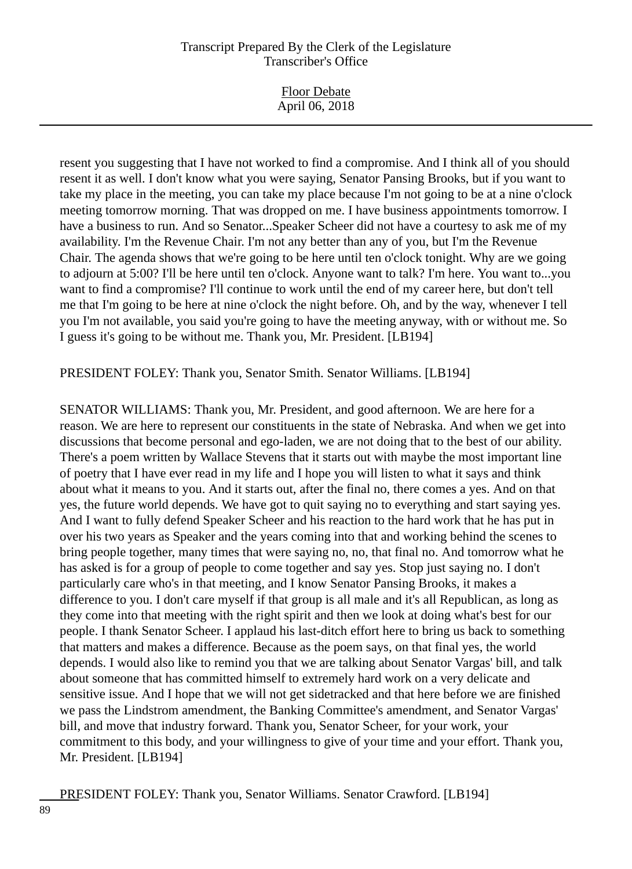| <b>Floor Debate</b><br>April 06, 2018 |  |
|---------------------------------------|--|
|                                       |  |
|                                       |  |

resent you suggesting that I have not worked to find a compromise. And I think all of you should resent it as well. I don't know what you were saying, Senator Pansing Brooks, but if you want to take my place in the meeting, you can take my place because I'm not going to be at a nine o'clock meeting tomorrow morning. That was dropped on me. I have business appointments tomorrow. I have a business to run. And so Senator...Speaker Scheer did not have a courtesy to ask me of my availability. I'm the Revenue Chair. I'm not any better than any of you, but I'm the Revenue Chair. The agenda shows that we're going to be here until ten o'clock tonight. Why are we going to adjourn at 5:00? I'll be here until ten o'clock. Anyone want to talk? I'm here. You want to...you want to find a compromise? I'll continue to work until the end of my career here, but don't tell me that I'm going to be here at nine o'clock the night before. Oh, and by the way, whenever I tell you I'm not available, you said you're going to have the meeting anyway, with or without me. So I guess it's going to be without me. Thank you, Mr. President. [LB194]

PRESIDENT FOLEY: Thank you, Senator Smith. Senator Williams. [LB194]

SENATOR WILLIAMS: Thank you, Mr. President, and good afternoon. We are here for a reason. We are here to represent our constituents in the state of Nebraska. And when we get into discussions that become personal and ego-laden, we are not doing that to the best of our ability. There's a poem written by Wallace Stevens that it starts out with maybe the most important line of poetry that I have ever read in my life and I hope you will listen to what it says and think about what it means to you. And it starts out, after the final no, there comes a yes. And on that yes, the future world depends. We have got to quit saying no to everything and start saying yes. And I want to fully defend Speaker Scheer and his reaction to the hard work that he has put in over his two years as Speaker and the years coming into that and working behind the scenes to bring people together, many times that were saying no, no, that final no. And tomorrow what he has asked is for a group of people to come together and say yes. Stop just saying no. I don't particularly care who's in that meeting, and I know Senator Pansing Brooks, it makes a difference to you. I don't care myself if that group is all male and it's all Republican, as long as they come into that meeting with the right spirit and then we look at doing what's best for our people. I thank Senator Scheer. I applaud his last-ditch effort here to bring us back to something that matters and makes a difference. Because as the poem says, on that final yes, the world depends. I would also like to remind you that we are talking about Senator Vargas' bill, and talk about someone that has committed himself to extremely hard work on a very delicate and sensitive issue. And I hope that we will not get sidetracked and that here before we are finished we pass the Lindstrom amendment, the Banking Committee's amendment, and Senator Vargas' bill, and move that industry forward. Thank you, Senator Scheer, for your work, your commitment to this body, and your willingness to give of your time and your effort. Thank you, Mr. President. [LB194]

PRESIDENT FOLEY: Thank you, Senator Williams. Senator Crawford. [LB194]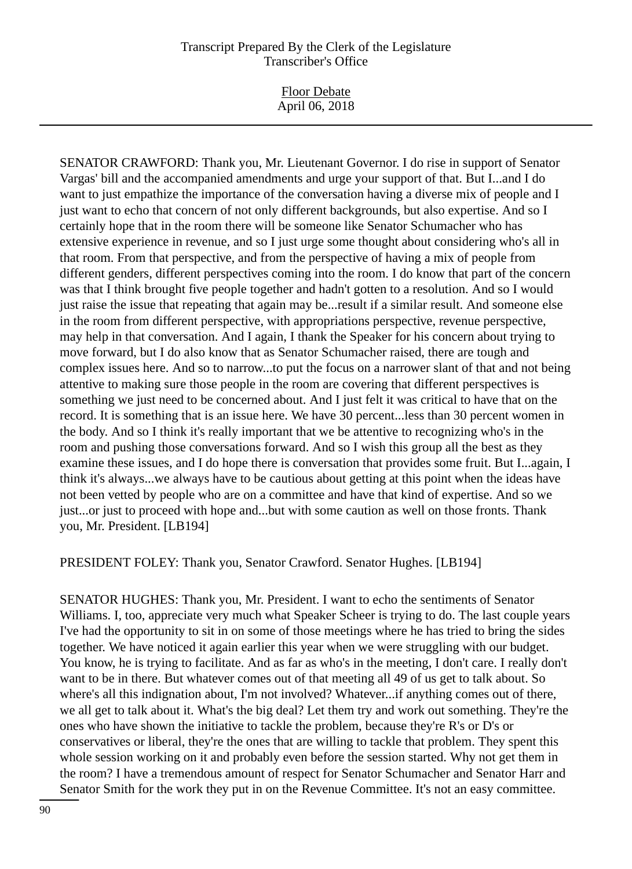Floor Debate April 06, 2018

SENATOR CRAWFORD: Thank you, Mr. Lieutenant Governor. I do rise in support of Senator Vargas' bill and the accompanied amendments and urge your support of that. But I...and I do want to just empathize the importance of the conversation having a diverse mix of people and I just want to echo that concern of not only different backgrounds, but also expertise. And so I certainly hope that in the room there will be someone like Senator Schumacher who has extensive experience in revenue, and so I just urge some thought about considering who's all in that room. From that perspective, and from the perspective of having a mix of people from different genders, different perspectives coming into the room. I do know that part of the concern was that I think brought five people together and hadn't gotten to a resolution. And so I would just raise the issue that repeating that again may be...result if a similar result. And someone else in the room from different perspective, with appropriations perspective, revenue perspective, may help in that conversation. And I again, I thank the Speaker for his concern about trying to move forward, but I do also know that as Senator Schumacher raised, there are tough and complex issues here. And so to narrow...to put the focus on a narrower slant of that and not being attentive to making sure those people in the room are covering that different perspectives is something we just need to be concerned about. And I just felt it was critical to have that on the record. It is something that is an issue here. We have 30 percent...less than 30 percent women in the body. And so I think it's really important that we be attentive to recognizing who's in the room and pushing those conversations forward. And so I wish this group all the best as they examine these issues, and I do hope there is conversation that provides some fruit. But I...again, I think it's always...we always have to be cautious about getting at this point when the ideas have not been vetted by people who are on a committee and have that kind of expertise. And so we just...or just to proceed with hope and...but with some caution as well on those fronts. Thank you, Mr. President. [LB194]

PRESIDENT FOLEY: Thank you, Senator Crawford. Senator Hughes. [LB194]

SENATOR HUGHES: Thank you, Mr. President. I want to echo the sentiments of Senator Williams. I, too, appreciate very much what Speaker Scheer is trying to do. The last couple years I've had the opportunity to sit in on some of those meetings where he has tried to bring the sides together. We have noticed it again earlier this year when we were struggling with our budget. You know, he is trying to facilitate. And as far as who's in the meeting, I don't care. I really don't want to be in there. But whatever comes out of that meeting all 49 of us get to talk about. So where's all this indignation about, I'm not involved? Whatever...if anything comes out of there, we all get to talk about it. What's the big deal? Let them try and work out something. They're the ones who have shown the initiative to tackle the problem, because they're R's or D's or conservatives or liberal, they're the ones that are willing to tackle that problem. They spent this whole session working on it and probably even before the session started. Why not get them in the room? I have a tremendous amount of respect for Senator Schumacher and Senator Harr and Senator Smith for the work they put in on the Revenue Committee. It's not an easy committee.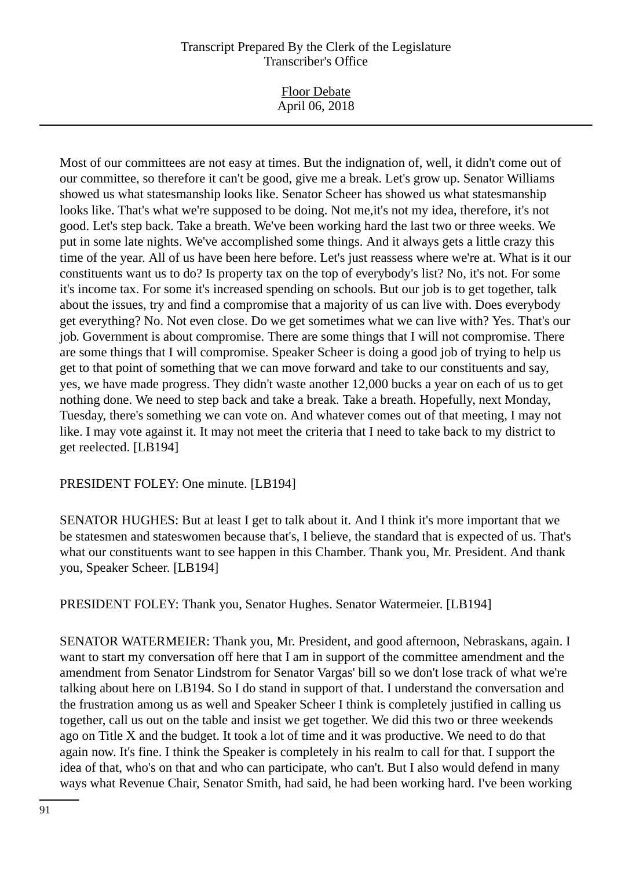Most of our committees are not easy at times. But the indignation of, well, it didn't come out of our committee, so therefore it can't be good, give me a break. Let's grow up. Senator Williams showed us what statesmanship looks like. Senator Scheer has showed us what statesmanship looks like. That's what we're supposed to be doing. Not me,it's not my idea, therefore, it's not good. Let's step back. Take a breath. We've been working hard the last two or three weeks. We put in some late nights. We've accomplished some things. And it always gets a little crazy this time of the year. All of us have been here before. Let's just reassess where we're at. What is it our constituents want us to do? Is property tax on the top of everybody's list? No, it's not. For some it's income tax. For some it's increased spending on schools. But our job is to get together, talk about the issues, try and find a compromise that a majority of us can live with. Does everybody get everything? No. Not even close. Do we get sometimes what we can live with? Yes. That's our job. Government is about compromise. There are some things that I will not compromise. There are some things that I will compromise. Speaker Scheer is doing a good job of trying to help us get to that point of something that we can move forward and take to our constituents and say, yes, we have made progress. They didn't waste another 12,000 bucks a year on each of us to get nothing done. We need to step back and take a break. Take a breath. Hopefully, next Monday, Tuesday, there's something we can vote on. And whatever comes out of that meeting, I may not like. I may vote against it. It may not meet the criteria that I need to take back to my district to get reelected. [LB194]

PRESIDENT FOLEY: One minute. [LB194]

SENATOR HUGHES: But at least I get to talk about it. And I think it's more important that we be statesmen and stateswomen because that's, I believe, the standard that is expected of us. That's what our constituents want to see happen in this Chamber. Thank you, Mr. President. And thank you, Speaker Scheer. [LB194]

PRESIDENT FOLEY: Thank you, Senator Hughes. Senator Watermeier. [LB194]

SENATOR WATERMEIER: Thank you, Mr. President, and good afternoon, Nebraskans, again. I want to start my conversation off here that I am in support of the committee amendment and the amendment from Senator Lindstrom for Senator Vargas' bill so we don't lose track of what we're talking about here on LB194. So I do stand in support of that. I understand the conversation and the frustration among us as well and Speaker Scheer I think is completely justified in calling us together, call us out on the table and insist we get together. We did this two or three weekends ago on Title X and the budget. It took a lot of time and it was productive. We need to do that again now. It's fine. I think the Speaker is completely in his realm to call for that. I support the idea of that, who's on that and who can participate, who can't. But I also would defend in many ways what Revenue Chair, Senator Smith, had said, he had been working hard. I've been working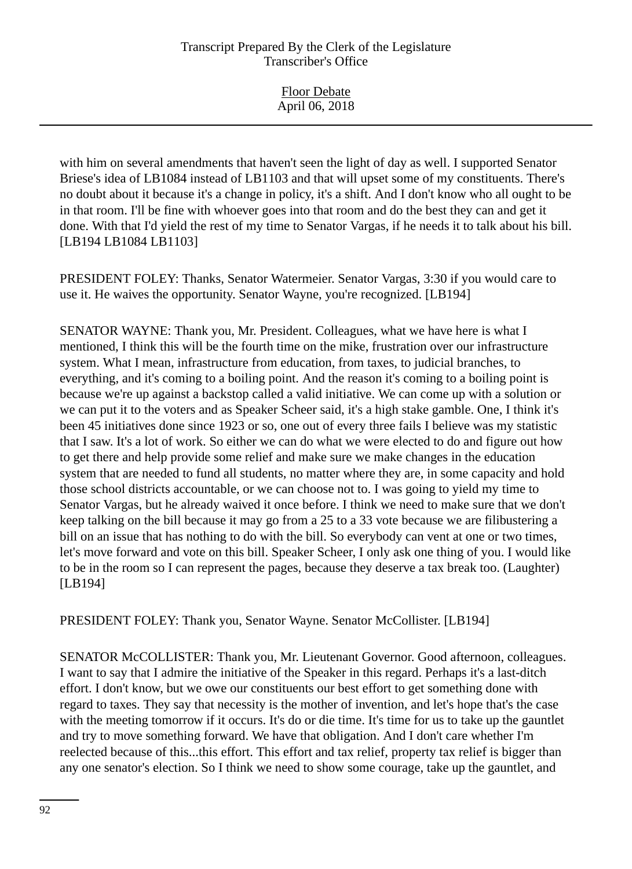| <b>Floor Debate</b><br>April 06, 2018 |  |
|---------------------------------------|--|
|                                       |  |

with him on several amendments that haven't seen the light of day as well. I supported Senator Briese's idea of LB1084 instead of LB1103 and that will upset some of my constituents. There's no doubt about it because it's a change in policy, it's a shift. And I don't know who all ought to be in that room. I'll be fine with whoever goes into that room and do the best they can and get it done. With that I'd yield the rest of my time to Senator Vargas, if he needs it to talk about his bill. [LB194 LB1084 LB1103]

PRESIDENT FOLEY: Thanks, Senator Watermeier. Senator Vargas, 3:30 if you would care to use it. He waives the opportunity. Senator Wayne, you're recognized. [LB194]

SENATOR WAYNE: Thank you, Mr. President. Colleagues, what we have here is what I mentioned, I think this will be the fourth time on the mike, frustration over our infrastructure system. What I mean, infrastructure from education, from taxes, to judicial branches, to everything, and it's coming to a boiling point. And the reason it's coming to a boiling point is because we're up against a backstop called a valid initiative. We can come up with a solution or we can put it to the voters and as Speaker Scheer said, it's a high stake gamble. One, I think it's been 45 initiatives done since 1923 or so, one out of every three fails I believe was my statistic that I saw. It's a lot of work. So either we can do what we were elected to do and figure out how to get there and help provide some relief and make sure we make changes in the education system that are needed to fund all students, no matter where they are, in some capacity and hold those school districts accountable, or we can choose not to. I was going to yield my time to Senator Vargas, but he already waived it once before. I think we need to make sure that we don't keep talking on the bill because it may go from a 25 to a 33 vote because we are filibustering a bill on an issue that has nothing to do with the bill. So everybody can vent at one or two times, let's move forward and vote on this bill. Speaker Scheer, I only ask one thing of you. I would like to be in the room so I can represent the pages, because they deserve a tax break too. (Laughter) [LB194]

PRESIDENT FOLEY: Thank you, Senator Wayne. Senator McCollister. [LB194]

SENATOR McCOLLISTER: Thank you, Mr. Lieutenant Governor. Good afternoon, colleagues. I want to say that I admire the initiative of the Speaker in this regard. Perhaps it's a last-ditch effort. I don't know, but we owe our constituents our best effort to get something done with regard to taxes. They say that necessity is the mother of invention, and let's hope that's the case with the meeting tomorrow if it occurs. It's do or die time. It's time for us to take up the gauntlet and try to move something forward. We have that obligation. And I don't care whether I'm reelected because of this...this effort. This effort and tax relief, property tax relief is bigger than any one senator's election. So I think we need to show some courage, take up the gauntlet, and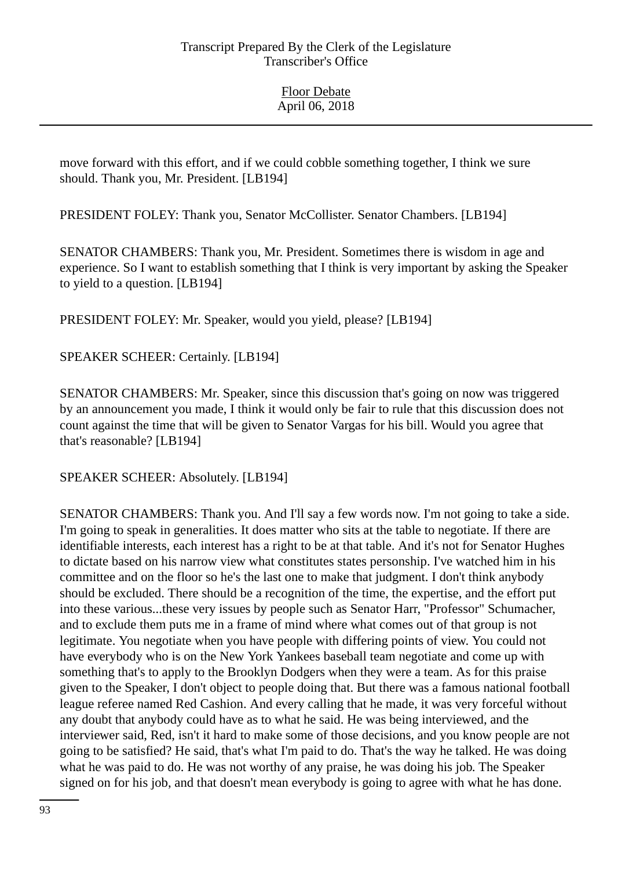move forward with this effort, and if we could cobble something together, I think we sure should. Thank you, Mr. President. [LB194]

PRESIDENT FOLEY: Thank you, Senator McCollister. Senator Chambers. [LB194]

SENATOR CHAMBERS: Thank you, Mr. President. Sometimes there is wisdom in age and experience. So I want to establish something that I think is very important by asking the Speaker to yield to a question. [LB194]

PRESIDENT FOLEY: Mr. Speaker, would you yield, please? [LB194]

SPEAKER SCHEER: Certainly. [LB194]

SENATOR CHAMBERS: Mr. Speaker, since this discussion that's going on now was triggered by an announcement you made, I think it would only be fair to rule that this discussion does not count against the time that will be given to Senator Vargas for his bill. Would you agree that that's reasonable? [LB194]

SPEAKER SCHEER: Absolutely. [LB194]

SENATOR CHAMBERS: Thank you. And I'll say a few words now. I'm not going to take a side. I'm going to speak in generalities. It does matter who sits at the table to negotiate. If there are identifiable interests, each interest has a right to be at that table. And it's not for Senator Hughes to dictate based on his narrow view what constitutes states personship. I've watched him in his committee and on the floor so he's the last one to make that judgment. I don't think anybody should be excluded. There should be a recognition of the time, the expertise, and the effort put into these various...these very issues by people such as Senator Harr, "Professor" Schumacher, and to exclude them puts me in a frame of mind where what comes out of that group is not legitimate. You negotiate when you have people with differing points of view. You could not have everybody who is on the New York Yankees baseball team negotiate and come up with something that's to apply to the Brooklyn Dodgers when they were a team. As for this praise given to the Speaker, I don't object to people doing that. But there was a famous national football league referee named Red Cashion. And every calling that he made, it was very forceful without any doubt that anybody could have as to what he said. He was being interviewed, and the interviewer said, Red, isn't it hard to make some of those decisions, and you know people are not going to be satisfied? He said, that's what I'm paid to do. That's the way he talked. He was doing what he was paid to do. He was not worthy of any praise, he was doing his job. The Speaker signed on for his job, and that doesn't mean everybody is going to agree with what he has done.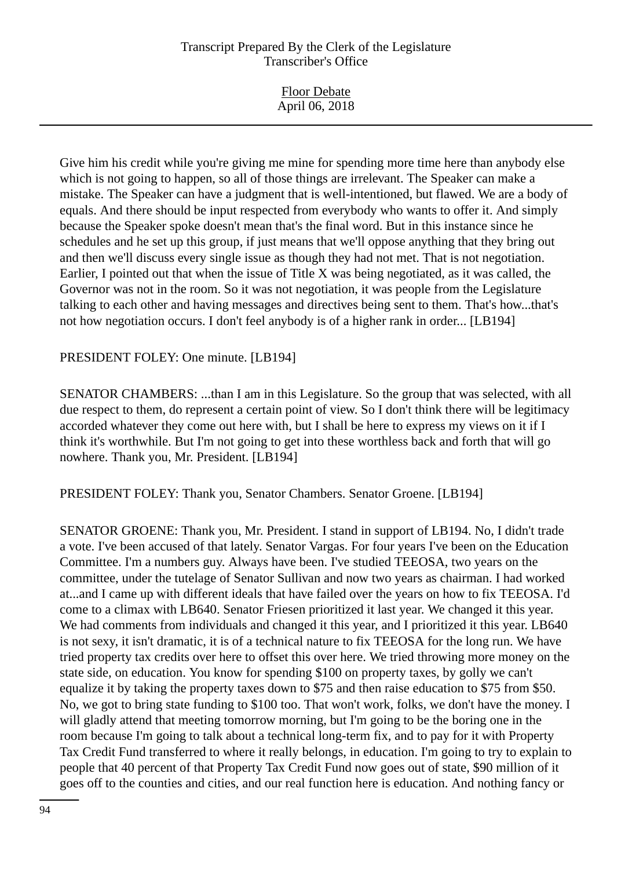Give him his credit while you're giving me mine for spending more time here than anybody else which is not going to happen, so all of those things are irrelevant. The Speaker can make a mistake. The Speaker can have a judgment that is well-intentioned, but flawed. We are a body of equals. And there should be input respected from everybody who wants to offer it. And simply because the Speaker spoke doesn't mean that's the final word. But in this instance since he schedules and he set up this group, if just means that we'll oppose anything that they bring out and then we'll discuss every single issue as though they had not met. That is not negotiation. Earlier, I pointed out that when the issue of Title X was being negotiated, as it was called, the Governor was not in the room. So it was not negotiation, it was people from the Legislature talking to each other and having messages and directives being sent to them. That's how...that's not how negotiation occurs. I don't feel anybody is of a higher rank in order... [LB194]

#### PRESIDENT FOLEY: One minute. [LB194]

SENATOR CHAMBERS: ...than I am in this Legislature. So the group that was selected, with all due respect to them, do represent a certain point of view. So I don't think there will be legitimacy accorded whatever they come out here with, but I shall be here to express my views on it if I think it's worthwhile. But I'm not going to get into these worthless back and forth that will go nowhere. Thank you, Mr. President. [LB194]

PRESIDENT FOLEY: Thank you, Senator Chambers. Senator Groene. [LB194]

SENATOR GROENE: Thank you, Mr. President. I stand in support of LB194. No, I didn't trade a vote. I've been accused of that lately. Senator Vargas. For four years I've been on the Education Committee. I'm a numbers guy. Always have been. I've studied TEEOSA, two years on the committee, under the tutelage of Senator Sullivan and now two years as chairman. I had worked at...and I came up with different ideals that have failed over the years on how to fix TEEOSA. I'd come to a climax with LB640. Senator Friesen prioritized it last year. We changed it this year. We had comments from individuals and changed it this year, and I prioritized it this year. LB640 is not sexy, it isn't dramatic, it is of a technical nature to fix TEEOSA for the long run. We have tried property tax credits over here to offset this over here. We tried throwing more money on the state side, on education. You know for spending \$100 on property taxes, by golly we can't equalize it by taking the property taxes down to \$75 and then raise education to \$75 from \$50. No, we got to bring state funding to \$100 too. That won't work, folks, we don't have the money. I will gladly attend that meeting tomorrow morning, but I'm going to be the boring one in the room because I'm going to talk about a technical long-term fix, and to pay for it with Property Tax Credit Fund transferred to where it really belongs, in education. I'm going to try to explain to people that 40 percent of that Property Tax Credit Fund now goes out of state, \$90 million of it goes off to the counties and cities, and our real function here is education. And nothing fancy or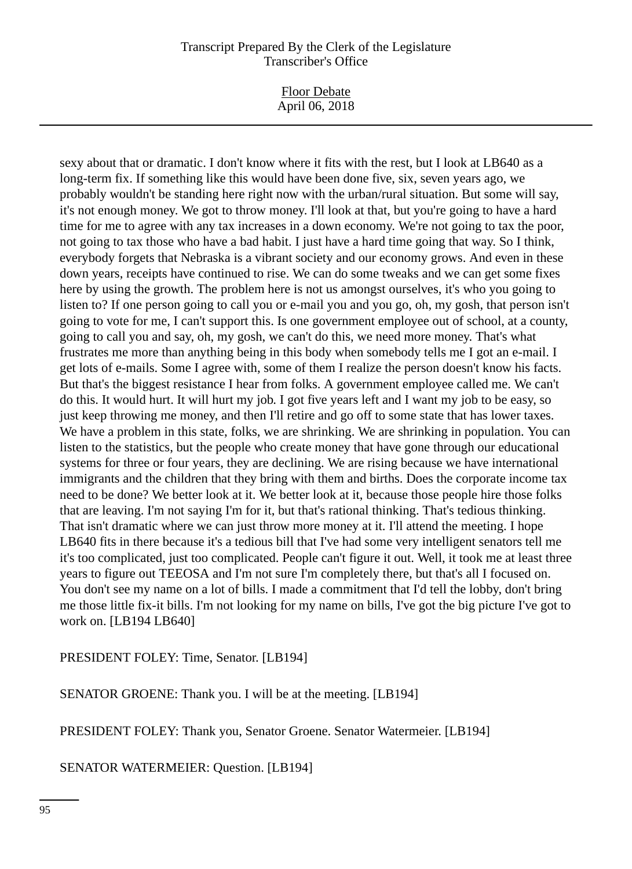Floor Debate April 06, 2018

sexy about that or dramatic. I don't know where it fits with the rest, but I look at LB640 as a long-term fix. If something like this would have been done five, six, seven years ago, we probably wouldn't be standing here right now with the urban/rural situation. But some will say, it's not enough money. We got to throw money. I'll look at that, but you're going to have a hard time for me to agree with any tax increases in a down economy. We're not going to tax the poor, not going to tax those who have a bad habit. I just have a hard time going that way. So I think, everybody forgets that Nebraska is a vibrant society and our economy grows. And even in these down years, receipts have continued to rise. We can do some tweaks and we can get some fixes here by using the growth. The problem here is not us amongst ourselves, it's who you going to listen to? If one person going to call you or e-mail you and you go, oh, my gosh, that person isn't going to vote for me, I can't support this. Is one government employee out of school, at a county, going to call you and say, oh, my gosh, we can't do this, we need more money. That's what frustrates me more than anything being in this body when somebody tells me I got an e-mail. I get lots of e-mails. Some I agree with, some of them I realize the person doesn't know his facts. But that's the biggest resistance I hear from folks. A government employee called me. We can't do this. It would hurt. It will hurt my job. I got five years left and I want my job to be easy, so just keep throwing me money, and then I'll retire and go off to some state that has lower taxes. We have a problem in this state, folks, we are shrinking. We are shrinking in population. You can listen to the statistics, but the people who create money that have gone through our educational systems for three or four years, they are declining. We are rising because we have international immigrants and the children that they bring with them and births. Does the corporate income tax need to be done? We better look at it. We better look at it, because those people hire those folks that are leaving. I'm not saying I'm for it, but that's rational thinking. That's tedious thinking. That isn't dramatic where we can just throw more money at it. I'll attend the meeting. I hope LB640 fits in there because it's a tedious bill that I've had some very intelligent senators tell me it's too complicated, just too complicated. People can't figure it out. Well, it took me at least three years to figure out TEEOSA and I'm not sure I'm completely there, but that's all I focused on. You don't see my name on a lot of bills. I made a commitment that I'd tell the lobby, don't bring me those little fix-it bills. I'm not looking for my name on bills, I've got the big picture I've got to work on. [LB194 LB640]

PRESIDENT FOLEY: Time, Senator. [LB194]

SENATOR GROENE: Thank you. I will be at the meeting. [LB194]

PRESIDENT FOLEY: Thank you, Senator Groene. Senator Watermeier. [LB194]

SENATOR WATERMEIER: Question. [LB194]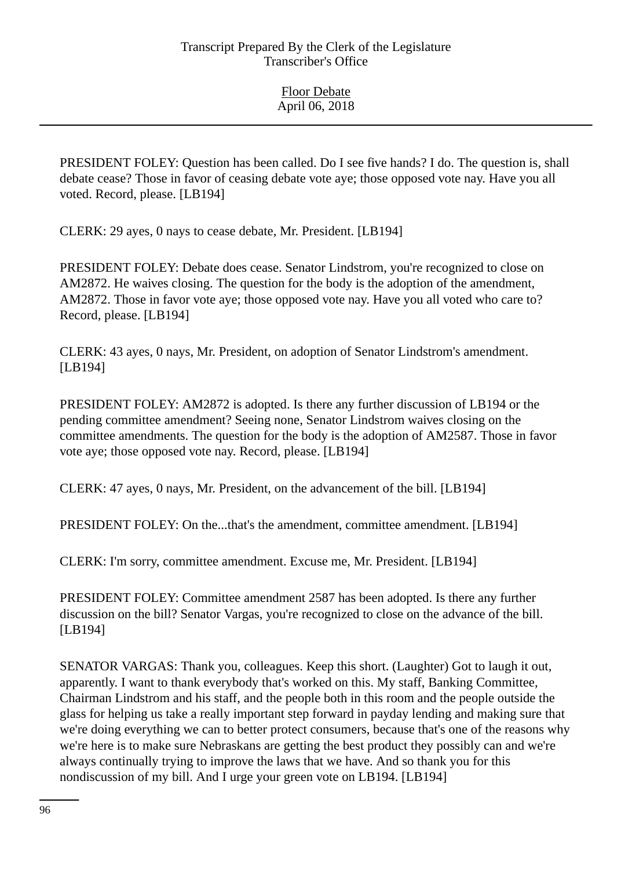PRESIDENT FOLEY: Question has been called. Do I see five hands? I do. The question is, shall debate cease? Those in favor of ceasing debate vote aye; those opposed vote nay. Have you all voted. Record, please. [LB194]

CLERK: 29 ayes, 0 nays to cease debate, Mr. President. [LB194]

PRESIDENT FOLEY: Debate does cease. Senator Lindstrom, you're recognized to close on AM2872. He waives closing. The question for the body is the adoption of the amendment, AM2872. Those in favor vote aye; those opposed vote nay. Have you all voted who care to? Record, please. [LB194]

CLERK: 43 ayes, 0 nays, Mr. President, on adoption of Senator Lindstrom's amendment. [LB194]

PRESIDENT FOLEY: AM2872 is adopted. Is there any further discussion of LB194 or the pending committee amendment? Seeing none, Senator Lindstrom waives closing on the committee amendments. The question for the body is the adoption of AM2587. Those in favor vote aye; those opposed vote nay. Record, please. [LB194]

CLERK: 47 ayes, 0 nays, Mr. President, on the advancement of the bill. [LB194]

PRESIDENT FOLEY: On the...that's the amendment, committee amendment. [LB194]

CLERK: I'm sorry, committee amendment. Excuse me, Mr. President. [LB194]

PRESIDENT FOLEY: Committee amendment 2587 has been adopted. Is there any further discussion on the bill? Senator Vargas, you're recognized to close on the advance of the bill. [LB194]

SENATOR VARGAS: Thank you, colleagues. Keep this short. (Laughter) Got to laugh it out, apparently. I want to thank everybody that's worked on this. My staff, Banking Committee, Chairman Lindstrom and his staff, and the people both in this room and the people outside the glass for helping us take a really important step forward in payday lending and making sure that we're doing everything we can to better protect consumers, because that's one of the reasons why we're here is to make sure Nebraskans are getting the best product they possibly can and we're always continually trying to improve the laws that we have. And so thank you for this nondiscussion of my bill. And I urge your green vote on LB194. [LB194]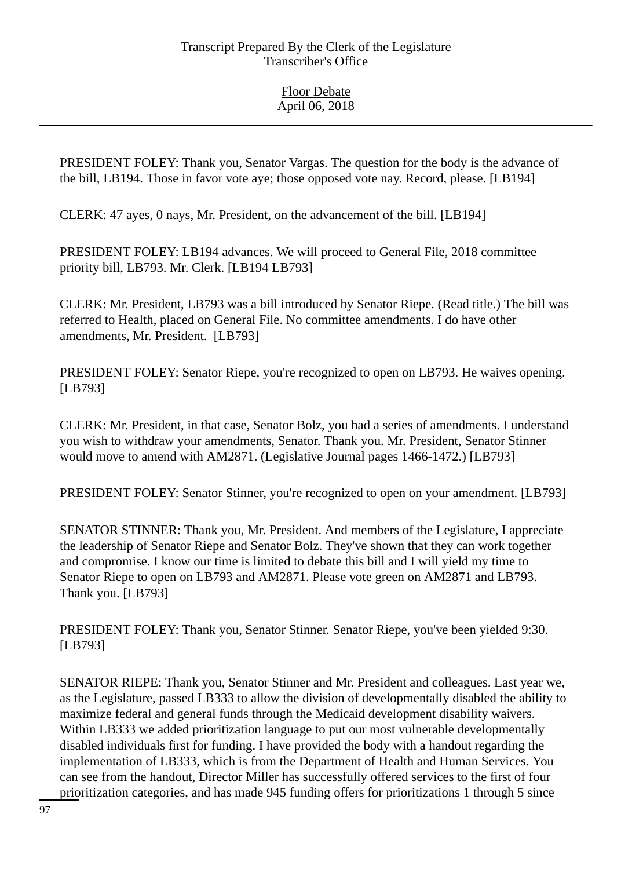PRESIDENT FOLEY: Thank you, Senator Vargas. The question for the body is the advance of the bill, LB194. Those in favor vote aye; those opposed vote nay. Record, please. [LB194]

CLERK: 47 ayes, 0 nays, Mr. President, on the advancement of the bill. [LB194]

PRESIDENT FOLEY: LB194 advances. We will proceed to General File, 2018 committee priority bill, LB793. Mr. Clerk. [LB194 LB793]

CLERK: Mr. President, LB793 was a bill introduced by Senator Riepe. (Read title.) The bill was referred to Health, placed on General File. No committee amendments. I do have other amendments, Mr. President. [LB793]

PRESIDENT FOLEY: Senator Riepe, you're recognized to open on LB793. He waives opening. [LB793]

CLERK: Mr. President, in that case, Senator Bolz, you had a series of amendments. I understand you wish to withdraw your amendments, Senator. Thank you. Mr. President, Senator Stinner would move to amend with AM2871. (Legislative Journal pages 1466-1472.) [LB793]

PRESIDENT FOLEY: Senator Stinner, you're recognized to open on your amendment. [LB793]

SENATOR STINNER: Thank you, Mr. President. And members of the Legislature, I appreciate the leadership of Senator Riepe and Senator Bolz. They've shown that they can work together and compromise. I know our time is limited to debate this bill and I will yield my time to Senator Riepe to open on LB793 and AM2871. Please vote green on AM2871 and LB793. Thank you. [LB793]

PRESIDENT FOLEY: Thank you, Senator Stinner. Senator Riepe, you've been yielded 9:30. [LB793]

SENATOR RIEPE: Thank you, Senator Stinner and Mr. President and colleagues. Last year we, as the Legislature, passed LB333 to allow the division of developmentally disabled the ability to maximize federal and general funds through the Medicaid development disability waivers. Within LB333 we added prioritization language to put our most vulnerable developmentally disabled individuals first for funding. I have provided the body with a handout regarding the implementation of LB333, which is from the Department of Health and Human Services. You can see from the handout, Director Miller has successfully offered services to the first of four prioritization categories, and has made 945 funding offers for prioritizations 1 through 5 since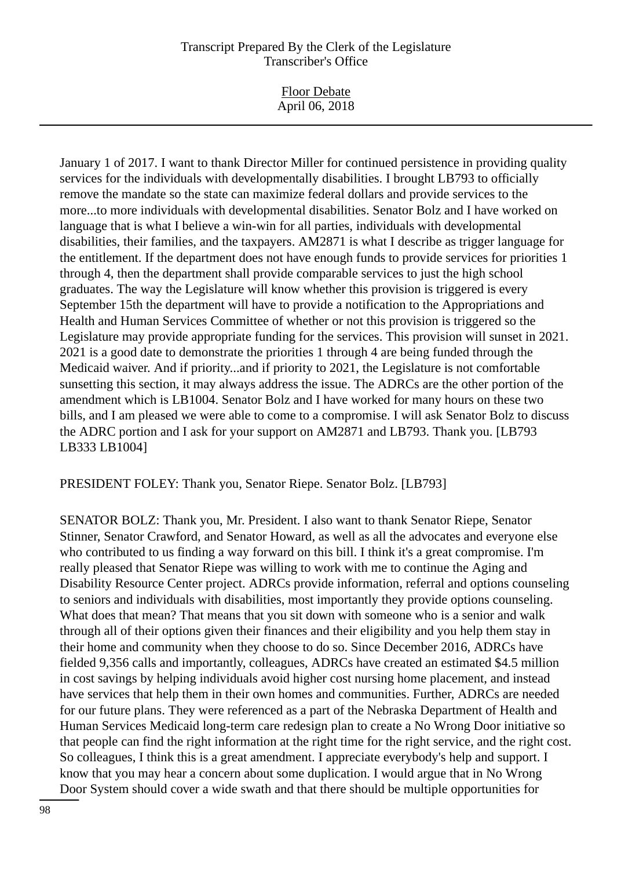Floor Debate April 06, 2018

January 1 of 2017. I want to thank Director Miller for continued persistence in providing quality services for the individuals with developmentally disabilities. I brought LB793 to officially remove the mandate so the state can maximize federal dollars and provide services to the more...to more individuals with developmental disabilities. Senator Bolz and I have worked on language that is what I believe a win-win for all parties, individuals with developmental disabilities, their families, and the taxpayers. AM2871 is what I describe as trigger language for the entitlement. If the department does not have enough funds to provide services for priorities 1 through 4, then the department shall provide comparable services to just the high school graduates. The way the Legislature will know whether this provision is triggered is every September 15th the department will have to provide a notification to the Appropriations and Health and Human Services Committee of whether or not this provision is triggered so the Legislature may provide appropriate funding for the services. This provision will sunset in 2021. 2021 is a good date to demonstrate the priorities 1 through 4 are being funded through the Medicaid waiver. And if priority...and if priority to 2021, the Legislature is not comfortable sunsetting this section, it may always address the issue. The ADRCs are the other portion of the amendment which is LB1004. Senator Bolz and I have worked for many hours on these two bills, and I am pleased we were able to come to a compromise. I will ask Senator Bolz to discuss the ADRC portion and I ask for your support on AM2871 and LB793. Thank you. [LB793 LB333 LB1004]

PRESIDENT FOLEY: Thank you, Senator Riepe. Senator Bolz. [LB793]

SENATOR BOLZ: Thank you, Mr. President. I also want to thank Senator Riepe, Senator Stinner, Senator Crawford, and Senator Howard, as well as all the advocates and everyone else who contributed to us finding a way forward on this bill. I think it's a great compromise. I'm really pleased that Senator Riepe was willing to work with me to continue the Aging and Disability Resource Center project. ADRCs provide information, referral and options counseling to seniors and individuals with disabilities, most importantly they provide options counseling. What does that mean? That means that you sit down with someone who is a senior and walk through all of their options given their finances and their eligibility and you help them stay in their home and community when they choose to do so. Since December 2016, ADRCs have fielded 9,356 calls and importantly, colleagues, ADRCs have created an estimated \$4.5 million in cost savings by helping individuals avoid higher cost nursing home placement, and instead have services that help them in their own homes and communities. Further, ADRCs are needed for our future plans. They were referenced as a part of the Nebraska Department of Health and Human Services Medicaid long-term care redesign plan to create a No Wrong Door initiative so that people can find the right information at the right time for the right service, and the right cost. So colleagues, I think this is a great amendment. I appreciate everybody's help and support. I know that you may hear a concern about some duplication. I would argue that in No Wrong Door System should cover a wide swath and that there should be multiple opportunities for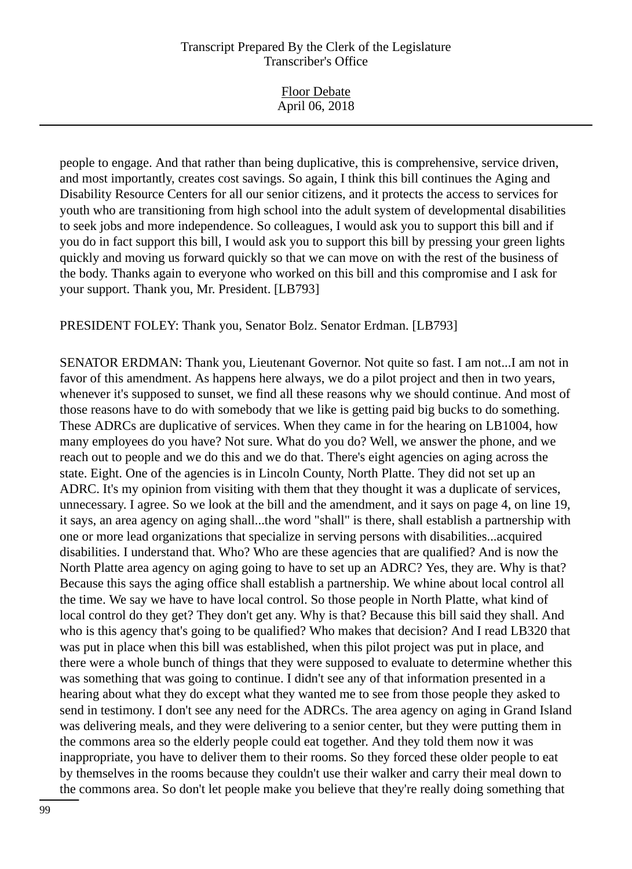| <b>Floor Debate</b><br>April 06, 2018 |  |
|---------------------------------------|--|
|                                       |  |

people to engage. And that rather than being duplicative, this is comprehensive, service driven, and most importantly, creates cost savings. So again, I think this bill continues the Aging and Disability Resource Centers for all our senior citizens, and it protects the access to services for youth who are transitioning from high school into the adult system of developmental disabilities to seek jobs and more independence. So colleagues, I would ask you to support this bill and if you do in fact support this bill, I would ask you to support this bill by pressing your green lights quickly and moving us forward quickly so that we can move on with the rest of the business of the body. Thanks again to everyone who worked on this bill and this compromise and I ask for your support. Thank you, Mr. President. [LB793]

PRESIDENT FOLEY: Thank you, Senator Bolz. Senator Erdman. [LB793]

SENATOR ERDMAN: Thank you, Lieutenant Governor. Not quite so fast. I am not...I am not in favor of this amendment. As happens here always, we do a pilot project and then in two years, whenever it's supposed to sunset, we find all these reasons why we should continue. And most of those reasons have to do with somebody that we like is getting paid big bucks to do something. These ADRCs are duplicative of services. When they came in for the hearing on LB1004, how many employees do you have? Not sure. What do you do? Well, we answer the phone, and we reach out to people and we do this and we do that. There's eight agencies on aging across the state. Eight. One of the agencies is in Lincoln County, North Platte. They did not set up an ADRC. It's my opinion from visiting with them that they thought it was a duplicate of services, unnecessary. I agree. So we look at the bill and the amendment, and it says on page 4, on line 19, it says, an area agency on aging shall...the word "shall" is there, shall establish a partnership with one or more lead organizations that specialize in serving persons with disabilities...acquired disabilities. I understand that. Who? Who are these agencies that are qualified? And is now the North Platte area agency on aging going to have to set up an ADRC? Yes, they are. Why is that? Because this says the aging office shall establish a partnership. We whine about local control all the time. We say we have to have local control. So those people in North Platte, what kind of local control do they get? They don't get any. Why is that? Because this bill said they shall. And who is this agency that's going to be qualified? Who makes that decision? And I read LB320 that was put in place when this bill was established, when this pilot project was put in place, and there were a whole bunch of things that they were supposed to evaluate to determine whether this was something that was going to continue. I didn't see any of that information presented in a hearing about what they do except what they wanted me to see from those people they asked to send in testimony. I don't see any need for the ADRCs. The area agency on aging in Grand Island was delivering meals, and they were delivering to a senior center, but they were putting them in the commons area so the elderly people could eat together. And they told them now it was inappropriate, you have to deliver them to their rooms. So they forced these older people to eat by themselves in the rooms because they couldn't use their walker and carry their meal down to the commons area. So don't let people make you believe that they're really doing something that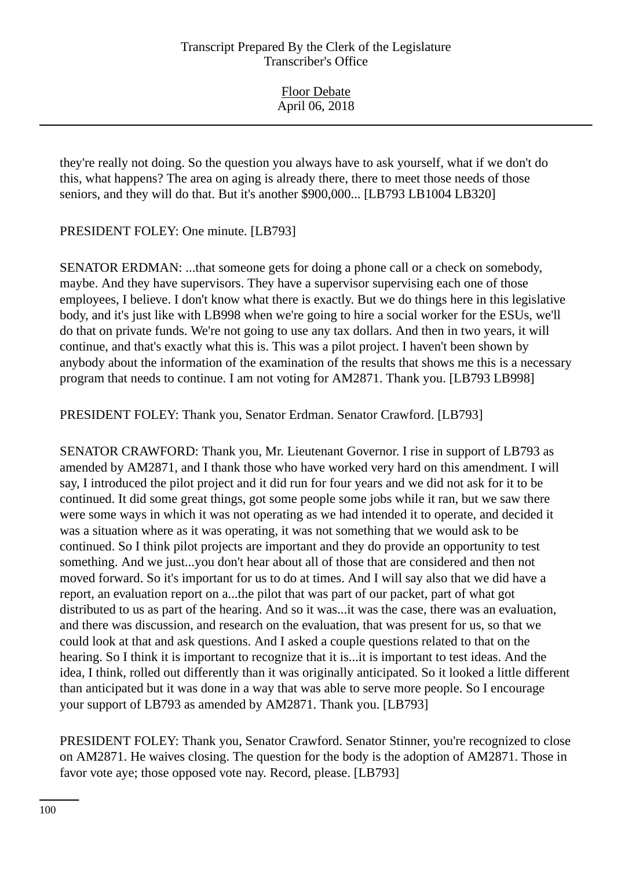| <b>Floor Debate</b> |  |
|---------------------|--|
| April 06, 2018      |  |

they're really not doing. So the question you always have to ask yourself, what if we don't do this, what happens? The area on aging is already there, there to meet those needs of those seniors, and they will do that. But it's another \$900,000... [LB793 LB1004 LB320]

PRESIDENT FOLEY: One minute. [LB793]

SENATOR ERDMAN: ...that someone gets for doing a phone call or a check on somebody, maybe. And they have supervisors. They have a supervisor supervising each one of those employees, I believe. I don't know what there is exactly. But we do things here in this legislative body, and it's just like with LB998 when we're going to hire a social worker for the ESUs, we'll do that on private funds. We're not going to use any tax dollars. And then in two years, it will continue, and that's exactly what this is. This was a pilot project. I haven't been shown by anybody about the information of the examination of the results that shows me this is a necessary program that needs to continue. I am not voting for AM2871. Thank you. [LB793 LB998]

PRESIDENT FOLEY: Thank you, Senator Erdman. Senator Crawford. [LB793]

SENATOR CRAWFORD: Thank you, Mr. Lieutenant Governor. I rise in support of LB793 as amended by AM2871, and I thank those who have worked very hard on this amendment. I will say, I introduced the pilot project and it did run for four years and we did not ask for it to be continued. It did some great things, got some people some jobs while it ran, but we saw there were some ways in which it was not operating as we had intended it to operate, and decided it was a situation where as it was operating, it was not something that we would ask to be continued. So I think pilot projects are important and they do provide an opportunity to test something. And we just...you don't hear about all of those that are considered and then not moved forward. So it's important for us to do at times. And I will say also that we did have a report, an evaluation report on a...the pilot that was part of our packet, part of what got distributed to us as part of the hearing. And so it was...it was the case, there was an evaluation, and there was discussion, and research on the evaluation, that was present for us, so that we could look at that and ask questions. And I asked a couple questions related to that on the hearing. So I think it is important to recognize that it is...it is important to test ideas. And the idea, I think, rolled out differently than it was originally anticipated. So it looked a little different than anticipated but it was done in a way that was able to serve more people. So I encourage your support of LB793 as amended by AM2871. Thank you. [LB793]

PRESIDENT FOLEY: Thank you, Senator Crawford. Senator Stinner, you're recognized to close on AM2871. He waives closing. The question for the body is the adoption of AM2871. Those in favor vote aye; those opposed vote nay. Record, please. [LB793]